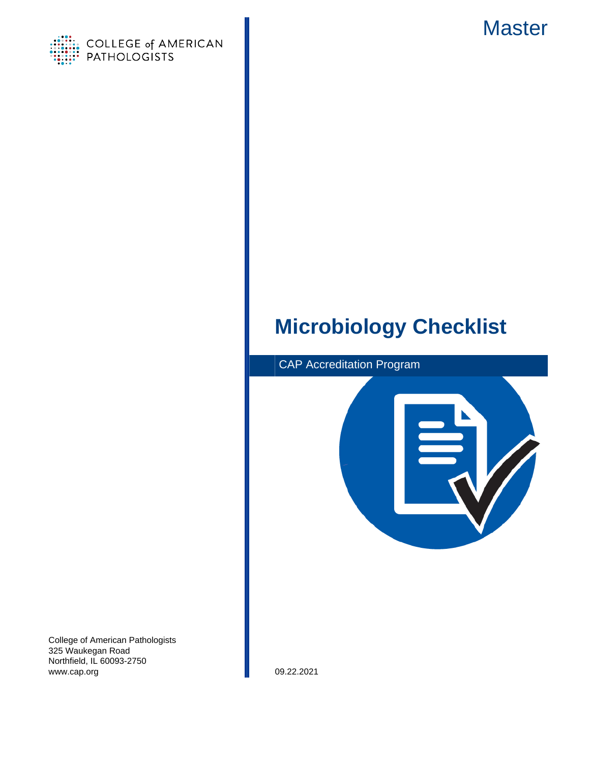



# **Microbiology Checklist**



College of American Pathologists 325 Waukegan Road Northfield, IL 60093-2750 www.cap.org 09.22.2021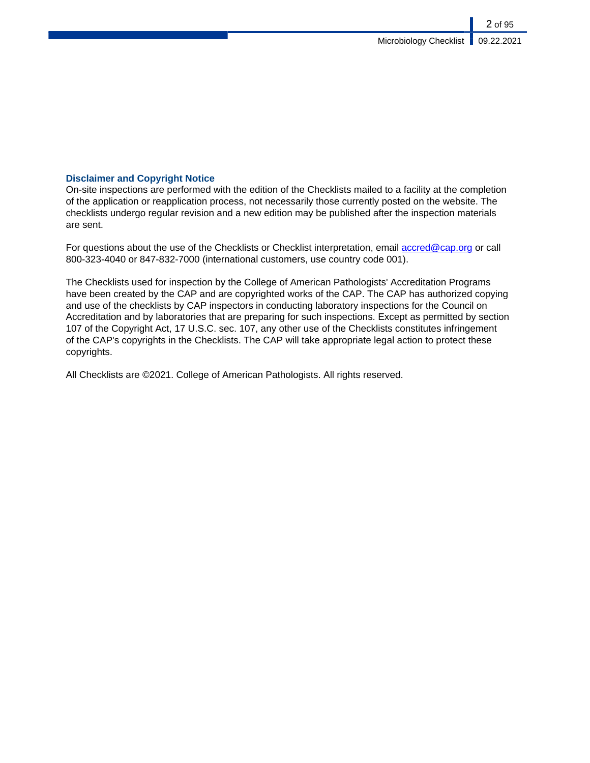## **Disclaimer and Copyright Notice**

On-site inspections are performed with the edition of the Checklists mailed to a facility at the completion of the application or reapplication process, not necessarily those currently posted on the website. The checklists undergo regular revision and a new edition may be published after the inspection materials are sent.

For questions about the use of the Checklists or Checklist interpretation, email [accred@cap.org](mailto:accred@cap.org) or call 800-323-4040 or 847-832-7000 (international customers, use country code 001).

The Checklists used for inspection by the College of American Pathologists' Accreditation Programs have been created by the CAP and are copyrighted works of the CAP. The CAP has authorized copying and use of the checklists by CAP inspectors in conducting laboratory inspections for the Council on Accreditation and by laboratories that are preparing for such inspections. Except as permitted by section 107 of the Copyright Act, 17 U.S.C. sec. 107, any other use of the Checklists constitutes infringement of the CAP's copyrights in the Checklists. The CAP will take appropriate legal action to protect these copyrights.

All Checklists are ©2021. College of American Pathologists. All rights reserved.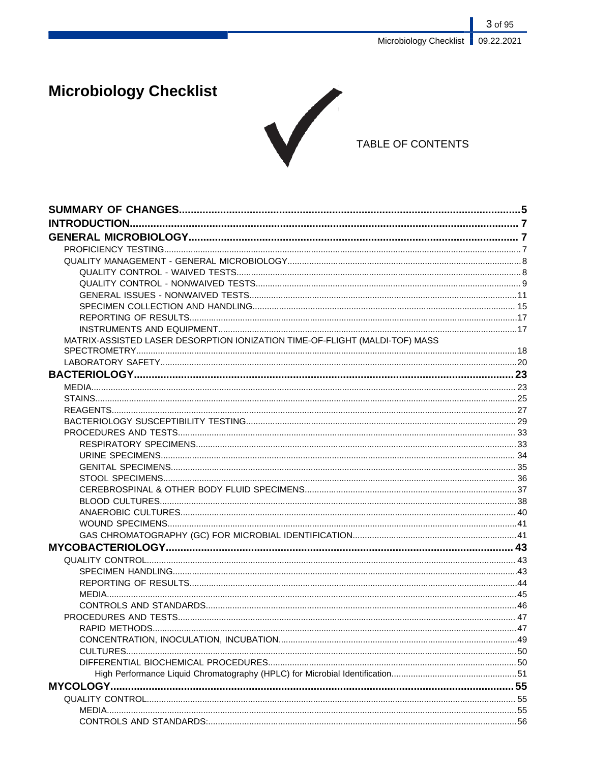# **Microbiology Checklist**



## TABLE OF CONTENTS

| MATRIX-ASSISTED LASER DESORPTION IONIZATION TIME-OF-FLIGHT (MALDI-TOF) MASS |  |
|-----------------------------------------------------------------------------|--|
|                                                                             |  |
|                                                                             |  |
|                                                                             |  |
|                                                                             |  |
|                                                                             |  |
|                                                                             |  |
|                                                                             |  |
|                                                                             |  |
|                                                                             |  |
|                                                                             |  |
|                                                                             |  |
|                                                                             |  |
|                                                                             |  |
|                                                                             |  |
|                                                                             |  |
|                                                                             |  |
|                                                                             |  |
|                                                                             |  |
|                                                                             |  |
|                                                                             |  |
|                                                                             |  |
|                                                                             |  |
|                                                                             |  |
|                                                                             |  |
|                                                                             |  |
|                                                                             |  |
|                                                                             |  |
|                                                                             |  |
|                                                                             |  |
|                                                                             |  |
|                                                                             |  |
|                                                                             |  |
|                                                                             |  |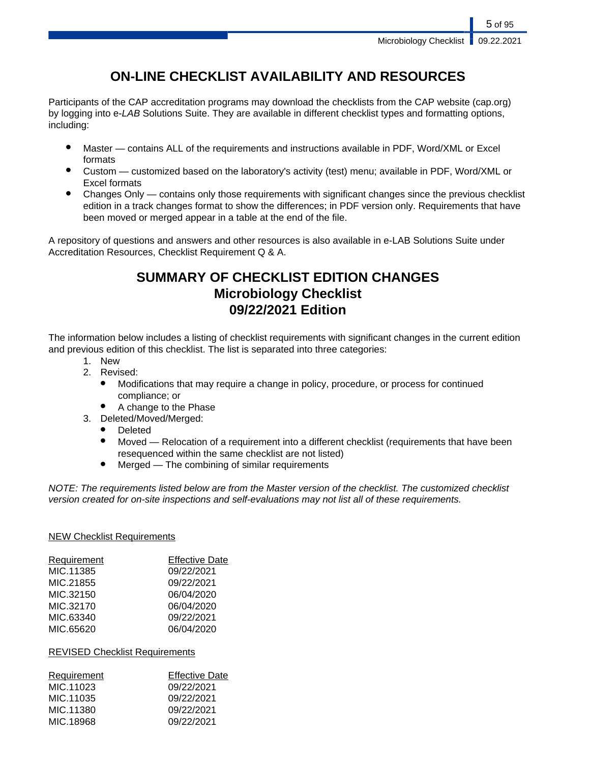## **ON-LINE CHECKLIST AVAILABILITY AND RESOURCES**

Participants of the CAP accreditation programs may download the checklists from the CAP website (cap.org) by logging into e-LAB Solutions Suite. They are available in different checklist types and formatting options, including:

- Master contains ALL of the requirements and instructions available in PDF, Word/XML or Excel formats
- Custom customized based on the laboratory's activity (test) menu; available in PDF, Word/XML or Excel formats
- Changes Only contains only those requirements with significant changes since the previous checklist edition in a track changes format to show the differences; in PDF version only. Requirements that have been moved or merged appear in a table at the end of the file.

A repository of questions and answers and other resources is also available in e-LAB Solutions Suite under Accreditation Resources, Checklist Requirement Q & A.

## **SUMMARY OF CHECKLIST EDITION CHANGES Microbiology Checklist 09/22/2021 Edition**

The information below includes a listing of checklist requirements with significant changes in the current edition and previous edition of this checklist. The list is separated into three categories:

- 1. New
- 2. Revised:
	- Modifications that may require a change in policy, procedure, or process for continued compliance; or
	- A change to the Phase
- 3. Deleted/Moved/Merged:
	- **Deleted**
	- Moved Relocation of a requirement into a different checklist (requirements that have been resequenced within the same checklist are not listed)
	- $Mered$  The combining of similar requirements

NOTE: The requirements listed below are from the Master version of the checklist. The customized checklist version created for on-site inspections and self-evaluations may not list all of these requirements.

## NEW Checklist Requirements

| Requirement | <b>Effective Date</b> |
|-------------|-----------------------|
| MIC.11385   | 09/22/2021            |
| MIC.21855   | 09/22/2021            |
| MIC.32150   | 06/04/2020            |
| MIC.32170   | 06/04/2020            |
| MIC.63340   | 09/22/2021            |
| MIC.65620   | 06/04/2020            |

## REVISED Checklist Requirements

| <b>Requirement</b> | <b>Effective Date</b> |
|--------------------|-----------------------|
| MIC.11023          | 09/22/2021            |
| MIC 11035          | 09/22/2021            |
| MIC.11380          | 09/22/2021            |
| MIC.18968          | 09/22/2021            |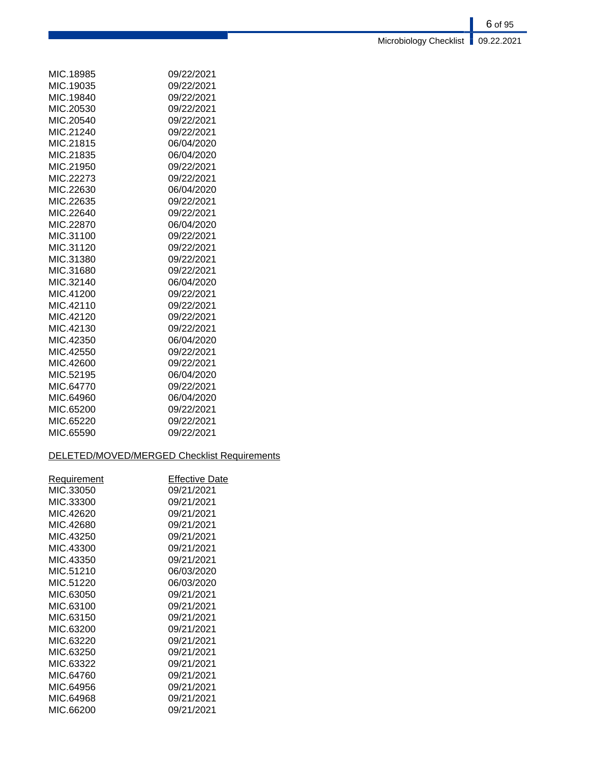| MIC.18985 | 09/22/2021 |
|-----------|------------|
| MIC.19035 | 09/22/2021 |
| MIC.19840 | 09/22/2021 |
| MIC.20530 | 09/22/2021 |
| MIC.20540 | 09/22/2021 |
| MIC.21240 | 09/22/2021 |
| MIC.21815 | 06/04/2020 |
| MIC.21835 | 06/04/2020 |
| MIC.21950 | 09/22/2021 |
| MIC.22273 | 09/22/2021 |
| MIC.22630 | 06/04/2020 |
| MIC.22635 | 09/22/2021 |
| MIC.22640 | 09/22/2021 |
| MIC.22870 | 06/04/2020 |
| MIC.31100 | 09/22/2021 |
| MIC.31120 | 09/22/2021 |
| MIC.31380 | 09/22/2021 |
| MIC.31680 | 09/22/2021 |
| MIC.32140 | 06/04/2020 |
| MIC.41200 | 09/22/2021 |
| MIC.42110 | 09/22/2021 |
| MIC.42120 | 09/22/2021 |
| MIC.42130 | 09/22/2021 |
| MIC.42350 | 06/04/2020 |
| MIC.42550 | 09/22/2021 |
| MIC.42600 | 09/22/2021 |
| MIC.52195 | 06/04/2020 |
| MIC.64770 | 09/22/2021 |
| MIC.64960 | 06/04/2020 |
| MIC.65200 | 09/22/2021 |
| MIC.65220 | 09/22/2021 |
| MIC.65590 | 09/22/2021 |

## DELETED/MOVED/MERGED Checklist Requirements

| Requirement | Effective Date |
|-------------|----------------|
| MIC.33050   | 09/21/2021     |
| MIC.33300   | 09/21/2021     |
| MIC.42620   | 09/21/2021     |
| MIC.42680   | 09/21/2021     |
| MIC 43250   | 09/21/2021     |
| MIC.43300   | 09/21/2021     |
| MIC.43350   | 09/21/2021     |
| MIC.51210   | 06/03/2020     |
| MIC.51220   | 06/03/2020     |
| MIC.63050   | 09/21/2021     |
| MIC.63100   | 09/21/2021     |
| MIC.63150   | 09/21/2021     |
| MIC.63200   | 09/21/2021     |
| MIC.63220   | 09/21/2021     |
| MIC.63250   | 09/21/2021     |
| MIC.63322   | 09/21/2021     |
| MIC.64760   | 09/21/2021     |
| MIC.64956   | 09/21/2021     |
| MIC.64968   | 09/21/2021     |
| MIC.66200   | 09/21/2021     |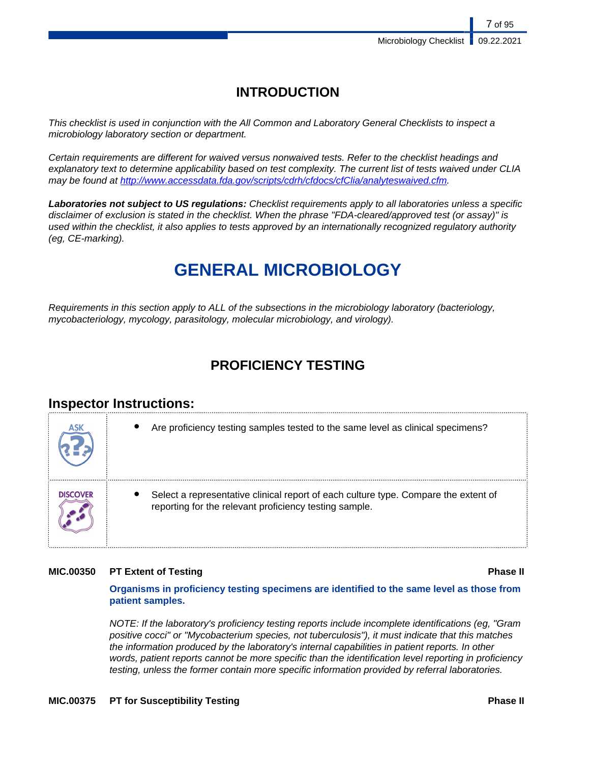## **INTRODUCTION**

This checklist is used in conjunction with the All Common and Laboratory General Checklists to inspect a microbiology laboratory section or department.

Certain requirements are different for waived versus nonwaived tests. Refer to the checklist headings and explanatory text to determine applicability based on test complexity. The current list of tests waived under CLIA may be found at [http://www.accessdata.fda.gov/scripts/cdrh/cfdocs/cfClia/analyteswaived.cfm.](http://www.accessdata.fda.gov/scripts/cdrh/cfdocs/cfClia/analyteswaived.cfm)

**Laboratories not subject to US regulations:** Checklist requirements apply to all laboratories unless a specific disclaimer of exclusion is stated in the checklist. When the phrase "FDA-cleared/approved test (or assay)" is used within the checklist, it also applies to tests approved by an internationally recognized regulatory authority (eg, CE-marking).

# **GENERAL MICROBIOLOGY**

Requirements in this section apply to ALL of the subsections in the microbiology laboratory (bacteriology, mycobacteriology, mycology, parasitology, molecular microbiology, and virology).

## **PROFICIENCY TESTING**

## **Inspector Instructions:**

| ASK             | Are proficiency testing samples tested to the same level as clinical specimens?                                                               |
|-----------------|-----------------------------------------------------------------------------------------------------------------------------------------------|
| <b>DISCOVER</b> | Select a representative clinical report of each culture type. Compare the extent of<br>reporting for the relevant proficiency testing sample. |

## **MIC.00350 PT Extent of Testing <b>Phase II**

主義 しんしょう しゅうしょう おおし しゅうしょう しょうしょく

**Organisms in proficiency testing specimens are identified to the same level as those from patient samples.**

NOTE: If the laboratory's proficiency testing reports include incomplete identifications (eg, "Gram positive cocci" or "Mycobacterium species, not tuberculosis"), it must indicate that this matches the information produced by the laboratory's internal capabilities in patient reports. In other words, patient reports cannot be more specific than the identification level reporting in proficiency testing, unless the former contain more specific information provided by referral laboratories.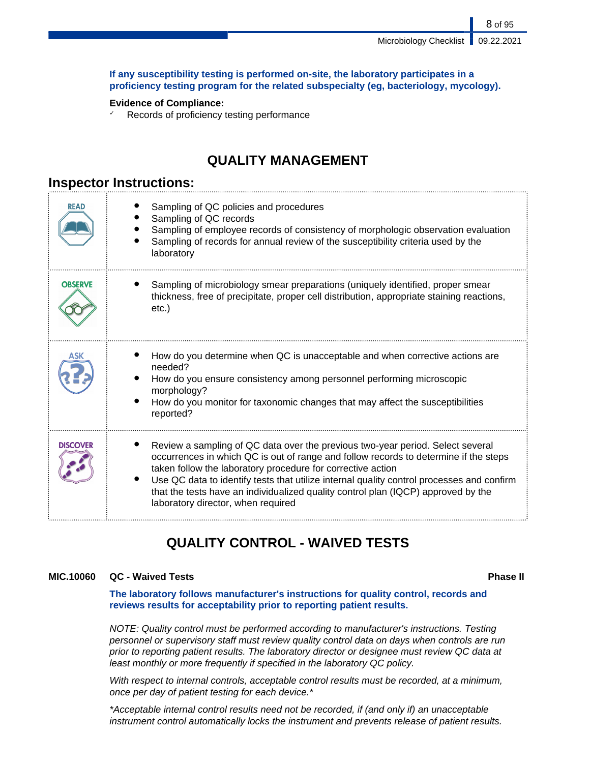## **If any susceptibility testing is performed on-site, the laboratory participates in a proficiency testing program for the related subspecialty (eg, bacteriology, mycology).**

## **Evidence of Compliance:**

✓ Records of proficiency testing performance

## **QUALITY MANAGEMENT**

## **Inspector Instructions:**

| READ            | Sampling of QC policies and procedures<br>Sampling of QC records<br>Sampling of employee records of consistency of morphologic observation evaluation<br>Sampling of records for annual review of the susceptibility criteria used by the<br>laboratory                                                                                                                                                                                                       |
|-----------------|---------------------------------------------------------------------------------------------------------------------------------------------------------------------------------------------------------------------------------------------------------------------------------------------------------------------------------------------------------------------------------------------------------------------------------------------------------------|
| <b>OBSERVE</b>  | Sampling of microbiology smear preparations (uniquely identified, proper smear<br>thickness, free of precipitate, proper cell distribution, appropriate staining reactions,<br>$etc.$ )                                                                                                                                                                                                                                                                       |
|                 | How do you determine when QC is unacceptable and when corrective actions are<br>needed?<br>How do you ensure consistency among personnel performing microscopic<br>morphology?<br>How do you monitor for taxonomic changes that may affect the susceptibilities<br>reported?                                                                                                                                                                                  |
| <b>DISCOVER</b> | Review a sampling of QC data over the previous two-year period. Select several<br>occurrences in which QC is out of range and follow records to determine if the steps<br>taken follow the laboratory procedure for corrective action<br>Use QC data to identify tests that utilize internal quality control processes and confirm<br>that the tests have an individualized quality control plan (IQCP) approved by the<br>laboratory director, when required |

## **QUALITY CONTROL - WAIVED TESTS**

## **MIC.10060 QC - Waived Tests Phase II**

**The laboratory follows manufacturer's instructions for quality control, records and reviews results for acceptability prior to reporting patient results.**

NOTE: Quality control must be performed according to manufacturer's instructions. Testing personnel or supervisory staff must review quality control data on days when controls are run prior to reporting patient results. The laboratory director or designee must review QC data at least monthly or more frequently if specified in the laboratory QC policy.

With respect to internal controls, acceptable control results must be recorded, at a minimum, once per day of patient testing for each device.\*

\*Acceptable internal control results need not be recorded, if (and only if) an unacceptable instrument control automatically locks the instrument and prevents release of patient results.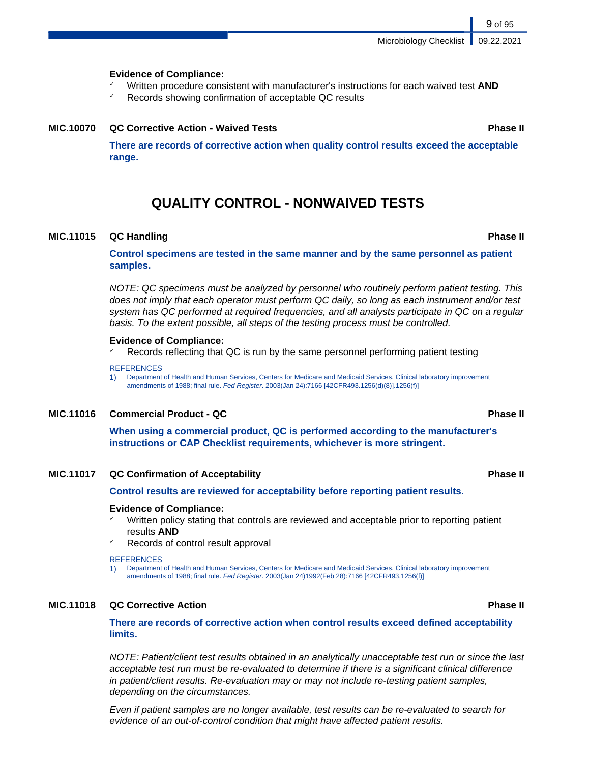Microbiology Checklist | 09.22.2021

## **Evidence of Compliance:**

- ✓ Written procedure consistent with manufacturer's instructions for each waived test **AND**
- Records showing confirmation of acceptable QC results

## **MIC.10070 QC Corrective Action - Waived Tests Phase II**

**There are records of corrective action when quality control results exceed the acceptable range.**

## **QUALITY CONTROL - NONWAIVED TESTS**

## **MIC.11015 QC Handling Phase II**

**Control specimens are tested in the same manner and by the same personnel as patient samples.**

NOTE: QC specimens must be analyzed by personnel who routinely perform patient testing. This does not imply that each operator must perform QC daily, so long as each instrument and/or test system has QC performed at required frequencies, and all analysts participate in QC on a regular basis. To the extent possible, all steps of the testing process must be controlled.

## **Evidence of Compliance:**

 $\textdegree$  Records reflecting that QC is run by the same personnel performing patient testing

### **REFERENCES**

1) Department of Health and Human Services, Centers for Medicare and Medicaid Services. Clinical laboratory improvement amendments of 1988; final rule. Fed Register. 2003(Jan 24):7166 [42CFR493.1256(d)(8)].1256(f)]

## **MIC.11016 Commercial Product - QC Phase II**

**When using a commercial product, QC is performed according to the manufacturer's instructions or CAP Checklist requirements, whichever is more stringent.**

## **MIC.11017 QC Confirmation of Acceptability Phase II**

**Control results are reviewed for acceptability before reporting patient results.**

## **Evidence of Compliance:**

- Written policy stating that controls are reviewed and acceptable prior to reporting patient results **AND**
- Records of control result approval

### **REFERENCES**

1) Department of Health and Human Services, Centers for Medicare and Medicaid Services. Clinical laboratory improvement amendments of 1988; final rule. Fed Register. 2003(Jan 24)1992(Feb 28):7166 [42CFR493.1256(f)]

## **MIC.11018 QC Corrective Action Phase II**

**There are records of corrective action when control results exceed defined acceptability limits.**

NOTE: Patient/client test results obtained in an analytically unacceptable test run or since the last acceptable test run must be re-evaluated to determine if there is a significant clinical difference in patient/client results. Re-evaluation may or may not include re-testing patient samples, depending on the circumstances.

Even if patient samples are no longer available, test results can be re-evaluated to search for evidence of an out-of-control condition that might have affected patient results.

### 9 of 95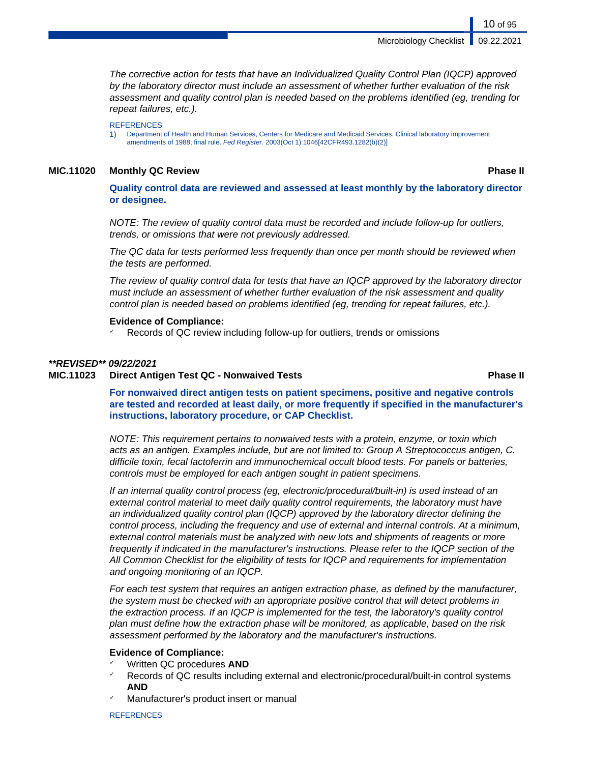Microbiology Checklist **09.22.2021** 

The corrective action for tests that have an Individualized Quality Control Plan (IQCP) approved by the laboratory director must include an assessment of whether further evaluation of the risk assessment and quality control plan is needed based on the problems identified (eg, trending for repeat failures, etc.).

### **REFERENCES**

1) Department of Health and Human Services, Centers for Medicare and Medicaid Services. Clinical laboratory improvement amendments of 1988; final rule. Fed Register. 2003(Oct 1):1046[42CFR493.1282(b)(2)]

## **MIC.11020 Monthly QC Review Phase II**

10 of 95

**Quality control data are reviewed and assessed at least monthly by the laboratory director or designee.**

NOTE: The review of quality control data must be recorded and include follow-up for outliers, trends, or omissions that were not previously addressed.

The QC data for tests performed less frequently than once per month should be reviewed when the tests are performed.

The review of quality control data for tests that have an IQCP approved by the laboratory director must include an assessment of whether further evaluation of the risk assessment and quality control plan is needed based on problems identified (eg, trending for repeat failures, etc.).

## **Evidence of Compliance:**

Records of QC review including follow-up for outliers, trends or omissions

## **\*\*REVISED\*\* 09/22/2021**

## **MIC.11023 Direct Antigen Test QC - Nonwaived Tests Phase II**

**For nonwaived direct antigen tests on patient specimens, positive and negative controls are tested and recorded at least daily, or more frequently if specified in the manufacturer's instructions, laboratory procedure, or CAP Checklist.**

NOTE: This requirement pertains to nonwaived tests with a protein, enzyme, or toxin which acts as an antigen. Examples include, but are not limited to: Group A Streptococcus antigen, C. difficile toxin, fecal lactoferrin and immunochemical occult blood tests. For panels or batteries, controls must be employed for each antigen sought in patient specimens.

If an internal quality control process (eg, electronic/procedural/built-in) is used instead of an external control material to meet daily quality control requirements, the laboratory must have an individualized quality control plan (IQCP) approved by the laboratory director defining the control process, including the frequency and use of external and internal controls. At a minimum, external control materials must be analyzed with new lots and shipments of reagents or more frequently if indicated in the manufacturer's instructions. Please refer to the IQCP section of the All Common Checklist for the eligibility of tests for IQCP and requirements for implementation and ongoing monitoring of an IQCP.

For each test system that requires an antigen extraction phase, as defined by the manufacturer, the system must be checked with an appropriate positive control that will detect problems in the extraction process. If an IQCP is implemented for the test, the laboratory's quality control plan must define how the extraction phase will be monitored, as applicable, based on the risk assessment performed by the laboratory and the manufacturer's instructions.

## **Evidence of Compliance:**

- Written QC procedures **AND**
- Records of QC results including external and electronic/procedural/built-in control systems **AND**
- Manufacturer's product insert or manual

**REFERENCES**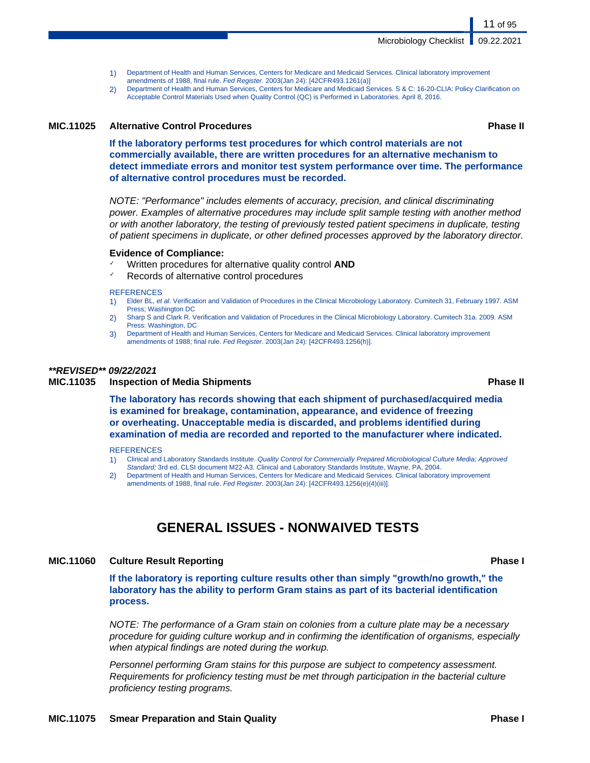- 1) Department of Health and Human Services, Centers for Medicare and Medicaid Services. Clinical laboratory improvement amendments of 1988, final rule. Fed Register. 2003(Jan 24): [42CFR493.1261(a)]
- 2) Department of Health and Human Services, Centers for Medicare and Medicaid Services. S & C: 16-20-CLIA: Policy Clarification on Acceptable Control Materials Used when Quality Control (QC) is Performed in Laboratories. April 8, 2016.

## **MIC.11025 Alternative Control Procedures Phase II**

**If the laboratory performs test procedures for which control materials are not commercially available, there are written procedures for an alternative mechanism to detect immediate errors and monitor test system performance over time. The performance of alternative control procedures must be recorded.**

NOTE: "Performance" includes elements of accuracy, precision, and clinical discriminating power. Examples of alternative procedures may include split sample testing with another method or with another laboratory, the testing of previously tested patient specimens in duplicate, testing of patient specimens in duplicate, or other defined processes approved by the laboratory director.

## **Evidence of Compliance:**

- ✓ Written procedures for alternative quality control **AND**
- Records of alternative control procedures

### **REFERENCES**

- 1) Elder BL, et al. Verification and Validation of Procedures in the Clinical Microbiology Laboratory. Cumitech 31, February 1997. ASM Press; Washington DC
- 2) Sharp S and Clark R. Verification and Validation of Procedures in the Clinical Microbiology Laboratory. Cumitech 31a. 2009. ASM Press: Washington, DC
- 3) Department of Health and Human Services, Centers for Medicare and Medicaid Services. Clinical laboratory improvement amendments of 1988; final rule. Fed Register. 2003(Jan 24): [42CFR493.1256(h)].

## **\*\*REVISED\*\* 09/22/2021**

## **MIC.11035 Inspection of Media Shipments Phase II**

**The laboratory has records showing that each shipment of purchased/acquired media is examined for breakage, contamination, appearance, and evidence of freezing or overheating. Unacceptable media is discarded, and problems identified during examination of media are recorded and reported to the manufacturer where indicated.**

### **REFERENCES**

- 1) Clinical and Laboratory Standards Institute. Quality Control for Commercially Prepared Microbiological Culture Media; Approved Standard; 3rd ed. CLSI document M22-A3. Clinical and Laboratory Standards Institute, Wayne, PA, 2004.
- 2) Department of Health and Human Services, Centers for Medicare and Medicaid Services. Clinical laboratory improvement amendments of 1988, final rule. Fed Register. 2003(Jan 24): [42CFR493.1256(e)(4)(iii)].

## **GENERAL ISSUES - NONWAIVED TESTS**

## **MIC.11060 Culture Result Reporting Phase I**

**If the laboratory is reporting culture results other than simply "growth/no growth," the laboratory has the ability to perform Gram stains as part of its bacterial identification process.**

NOTE: The performance of a Gram stain on colonies from a culture plate may be a necessary procedure for guiding culture workup and in confirming the identification of organisms, especially when atypical findings are noted during the workup.

Personnel performing Gram stains for this purpose are subject to competency assessment. Requirements for proficiency testing must be met through participation in the bacterial culture proficiency testing programs.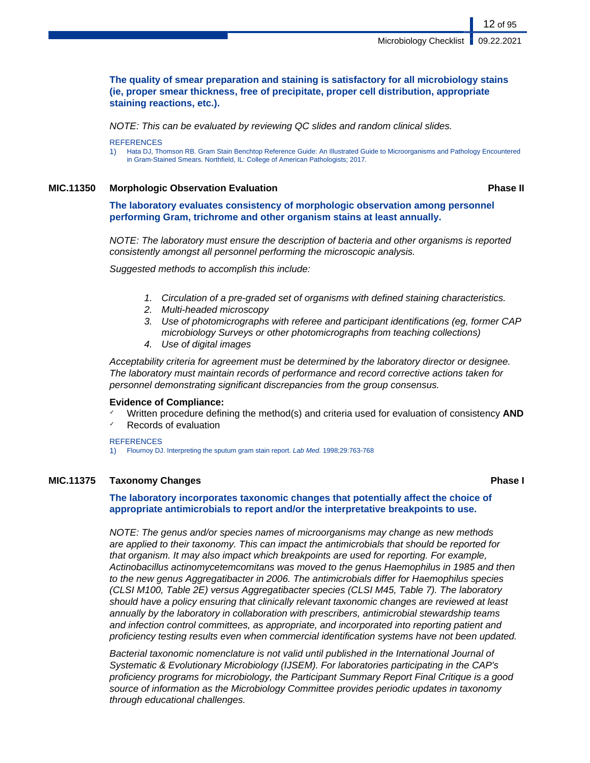## **The quality of smear preparation and staining is satisfactory for all microbiology stains (ie, proper smear thickness, free of precipitate, proper cell distribution, appropriate staining reactions, etc.).**

NOTE: This can be evaluated by reviewing QC slides and random clinical slides.

**REFERENCES** 

1) Hata DJ, Thomson RB. Gram Stain Benchtop Reference Guide: An Illustrated Guide to Microorganisms and Pathology Encountered in Gram-Stained Smears. Northfield, IL: College of American Pathologists; 2017.

**MIC.11350 Morphologic Observation Evaluation Phase II**

12 of 95

**The laboratory evaluates consistency of morphologic observation among personnel performing Gram, trichrome and other organism stains at least annually.**

NOTE: The laboratory must ensure the description of bacteria and other organisms is reported consistently amongst all personnel performing the microscopic analysis.

Suggested methods to accomplish this include:

- 1. Circulation of a pre-graded set of organisms with defined staining characteristics.
- 2. Multi-headed microscopy
- 3. Use of photomicrographs with referee and participant identifications (eg, former CAP microbiology Surveys or other photomicrographs from teaching collections)
- 4. Use of digital images

Acceptability criteria for agreement must be determined by the laboratory director or designee. The laboratory must maintain records of performance and record corrective actions taken for personnel demonstrating significant discrepancies from the group consensus.

## **Evidence of Compliance:**

- Written procedure defining the method(s) and criteria used for evaluation of consistency **AND**
- Records of evaluation

## **REFERENCES**

1) Flournoy DJ. Interpreting the sputum gram stain report. Lab Med. 1998;29:763-768

## **MIC.11375 Taxonomy Changes Phase I**

**The laboratory incorporates taxonomic changes that potentially affect the choice of appropriate antimicrobials to report and/or the interpretative breakpoints to use.**

NOTE: The genus and/or species names of microorganisms may change as new methods are applied to their taxonomy. This can impact the antimicrobials that should be reported for that organism. It may also impact which breakpoints are used for reporting. For example, Actinobacillus actinomycetemcomitans was moved to the genus Haemophilus in 1985 and then to the new genus Aggregatibacter in 2006. The antimicrobials differ for Haemophilus species (CLSI M100, Table 2E) versus Aggregatibacter species (CLSI M45, Table 7). The laboratory should have a policy ensuring that clinically relevant taxonomic changes are reviewed at least annually by the laboratory in collaboration with prescribers, antimicrobial stewardship teams and infection control committees, as appropriate, and incorporated into reporting patient and proficiency testing results even when commercial identification systems have not been updated.

Bacterial taxonomic nomenclature is not valid until published in the International Journal of Systematic & Evolutionary Microbiology (IJSEM). For laboratories participating in the CAP's proficiency programs for microbiology, the Participant Summary Report Final Critique is a good source of information as the Microbiology Committee provides periodic updates in taxonomy through educational challenges.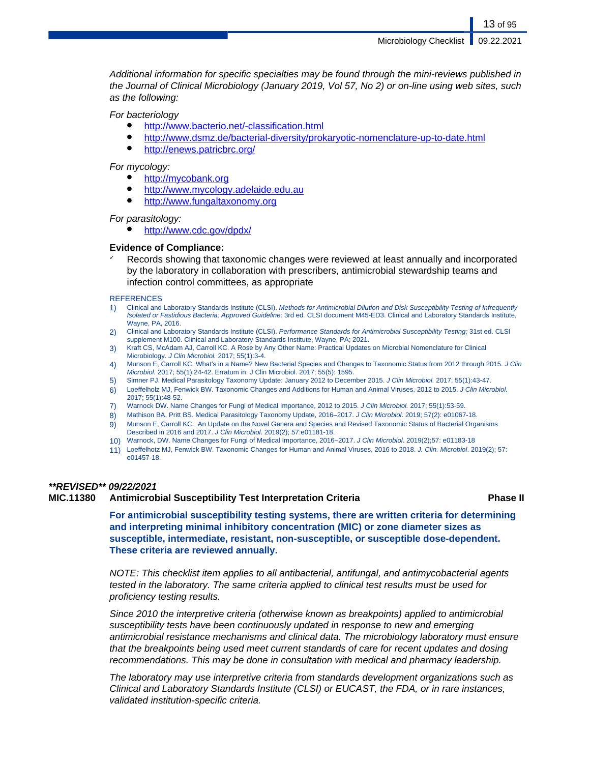Microbiology Checklist | 09.22.2021

Additional information for specific specialties may be found through the mini-reviews published in the Journal of Clinical Microbiology (January 2019, Vol 57, No 2) or on-line using web sites, such as the following:

For bacteriology

- <http://www.bacterio.net/-classification.html>
- <http://www.dsmz.de/bacterial-diversity/prokaryotic-nomenclature-up-to-date.html>
- <http://enews.patricbrc.org/>

For mycology:

- <http://mycobank.org>
- <http://www.mycology.adelaide.edu.au>
- <http://www.fungaltaxonomy.org>

For parasitology:

● <http://www.cdc.gov/dpdx/>

## **Evidence of Compliance:**

Records showing that taxonomic changes were reviewed at least annually and incorporated by the laboratory in collaboration with prescribers, antimicrobial stewardship teams and infection control committees, as appropriate

### **REFERENCES**

- 1) Clinical and Laboratory Standards Institute (CLSI). Methods for Antimicrobial Dilution and Disk Susceptibility Testing of Infrequently Isolated or Fastidious Bacteria; Approved Guideline; 3rd ed. CLSI document M45-ED3. Clinical and Laboratory Standards Institute, Wayne, PA, 2016.
- 2) Clinical and Laboratory Standards Institute (CLSI). Performance Standards for Antimicrobial Susceptibility Testing; 31st ed. CLSI supplement M100. Clinical and Laboratory Standards Institute, Wayne, PA; 2021.
- 3) Kraft CS, McAdam AJ, Carroll KC. A Rose by Any Other Name: Practical Updates on Microbial Nomenclature for Clinical Microbiology. J Clin Microbiol. 2017; 55(1):3-4.
- 4) Munson E, Carroll KC. What's in a Name? New Bacterial Species and Changes to Taxonomic Status from 2012 through 2015. J Clin Microbiol. 2017; 55(1):24-42. Erratum in: J Clin Microbiol. 2017; 55(5): 1595.
- 5) Simner PJ. Medical Parasitology Taxonomy Update: January 2012 to December 2015. J Clin Microbiol. 2017; 55(1):43-47.
- 6) Loeffelholz MJ, Fenwick BW. Taxonomic Changes and Additions for Human and Animal Viruses, 2012 to 2015. J Clin Microbiol. 2017; 55(1):48-52.
- 7) Warnock DW. Name Changes for Fungi of Medical Importance, 2012 to 2015. J Clin Microbiol. 2017; 55(1):53-59.
- 8) Mathison BA, Pritt BS. Medical Parasitology Taxonomy Update, 2016–2017. J Clin Microbiol. 2019; 57(2): e01067-18.
- 9) Munson E, Carroll KC. An Update on the Novel Genera and Species and Revised Taxonomic Status of Bacterial Organisms Described in 2016 and 2017. J Clin Microbiol. 2019(2); 57:e01181-18.
- 10) Warnock, DW. Name Changes for Fungi of Medical Importance, 2016–2017. J Clin Microbiol. 2019(2);57: e01183-18
- 11) Loeffelhotz MJ, Fenwick BW. Taxonomic Changes for Human and Animal Viruses, 2016 to 2018. J. Clin. Microbiol. 2019(2); 57: e01457-18.

## **\*\*REVISED\*\* 09/22/2021**

## **MIC.11380 Antimicrobial Susceptibility Test Interpretation Criteria Phase II**

**For antimicrobial susceptibility testing systems, there are written criteria for determining and interpreting minimal inhibitory concentration (MIC) or zone diameter sizes as susceptible, intermediate, resistant, non-susceptible, or susceptible dose-dependent. These criteria are reviewed annually.**

NOTE: This checklist item applies to all antibacterial, antifungal, and antimycobacterial agents tested in the laboratory. The same criteria applied to clinical test results must be used for proficiency testing results.

Since 2010 the interpretive criteria (otherwise known as breakpoints) applied to antimicrobial susceptibility tests have been continuously updated in response to new and emerging antimicrobial resistance mechanisms and clinical data. The microbiology laboratory must ensure that the breakpoints being used meet current standards of care for recent updates and dosing recommendations. This may be done in consultation with medical and pharmacy leadership.

The laboratory may use interpretive criteria from standards development organizations such as Clinical and Laboratory Standards Institute (CLSI) or EUCAST, the FDA, or in rare instances, validated institution-specific criteria.

13 of 95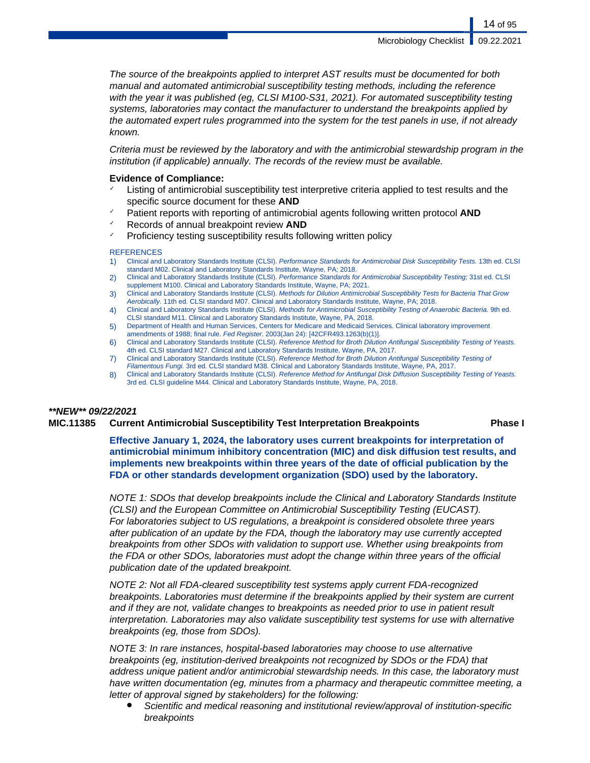The source of the breakpoints applied to interpret AST results must be documented for both manual and automated antimicrobial susceptibility testing methods, including the reference with the year it was published (eg, CLSI M100-S31, 2021). For automated susceptibility testing systems, laboratories may contact the manufacturer to understand the breakpoints applied by the automated expert rules programmed into the system for the test panels in use, if not already known.

Criteria must be reviewed by the laboratory and with the antimicrobial stewardship program in the institution (if applicable) annually. The records of the review must be available.

## **Evidence of Compliance:**

- Listing of antimicrobial susceptibility test interpretive criteria applied to test results and the specific source document for these **AND**
- Patient reports with reporting of antimicrobial agents following written protocol **AND**
- ✓ Records of annual breakpoint review **AND**
- Proficiency testing susceptibility results following written policy

## **REFERENCES**

- 1) Clinical and Laboratory Standards Institute (CLSI). Performance Standards for Antimicrobial Disk Susceptibility Tests. 13th ed. CLSI standard M02. Clinical and Laboratory Standards Institute, Wayne, PA; 2018.
- 2) Clinical and Laboratory Standards Institute (CLSI). Performance Standards for Antimicrobial Susceptibility Testing; 31st ed. CLSI supplement M100. Clinical and Laboratory Standards Institute, Wayne, PA; 2021.
- 3) Clinical and Laboratory Standards Institute (CLSI). Methods for Dilution Antimicrobial Susceptibility Tests for Bacteria That Grow Aerobically. 11th ed. CLSI standard M07. Clinical and Laboratory Standards Institute, Wayne, PA; 2018.
- 4) Clinical and Laboratory Standards Institute (CLSI). Methods for Antimicrobial Susceptibility Testing of Anaerobic Bacteria. 9th ed. CLSI standard M11. Clinical and Laboratory Standards Institute, Wayne, PA, 2018.
- 5) Department of Health and Human Services, Centers for Medicare and Medicaid Services. Clinical laboratory improvement amendments of 1988; final rule. Fed Register. 2003(Jan 24): [42CFR493.1263(b)(1)].
- 6) Clinical and Laboratory Standards Institute (CLSI). Reference Method for Broth Dilution Antifungal Susceptibility Testing of Yeasts. 4th ed. CLSI standard M27. Clinical and Laboratory Standards Institute, Wayne, PA, 2017.
- 7) Clinical and Laboratory Standards Institute (CLSI). Reference Method for Broth Dilution Antifungal Susceptibility Testing of
- Filamentous Fungi. 3rd ed. CLSI standard M38. Clinical and Laboratory Standards Institute, Wayne, PA, 2017. 8) Clinical and Laboratory Standards Institute (CLSI). Reference Method for Antifungal Disk Diffusion Susceptibility Testing of Yeasts. 3rd ed. CLSI guideline M44. Clinical and Laboratory Standards Institute, Wayne, PA, 2018.

## **\*\*NEW\*\* 09/22/2021**

## **MIC.11385 Current Antimicrobial Susceptibility Test Interpretation Breakpoints Phase I**

**Effective January 1, 2024, the laboratory uses current breakpoints for interpretation of antimicrobial minimum inhibitory concentration (MIC) and disk diffusion test results, and implements new breakpoints within three years of the date of official publication by the FDA or other standards development organization (SDO) used by the laboratory.**

NOTE 1: SDOs that develop breakpoints include the Clinical and Laboratory Standards Institute (CLSI) and the European Committee on Antimicrobial Susceptibility Testing (EUCAST). For laboratories subject to US regulations, a breakpoint is considered obsolete three years after publication of an update by the FDA, though the laboratory may use currently accepted breakpoints from other SDOs with validation to support use. Whether using breakpoints from the FDA or other SDOs, laboratories must adopt the change within three years of the official publication date of the updated breakpoint.

NOTE 2: Not all FDA-cleared susceptibility test systems apply current FDA-recognized breakpoints. Laboratories must determine if the breakpoints applied by their system are current and if they are not, validate changes to breakpoints as needed prior to use in patient result interpretation. Laboratories may also validate susceptibility test systems for use with alternative breakpoints (eg, those from SDOs).

NOTE 3: In rare instances, hospital-based laboratories may choose to use alternative breakpoints (eg, institution-derived breakpoints not recognized by SDOs or the FDA) that address unique patient and/or antimicrobial stewardship needs. In this case, the laboratory must have written documentation (eg, minutes from a pharmacy and therapeutic committee meeting, a letter of approval signed by stakeholders) for the following:

Scientific and medical reasoning and institutional review/approval of institution-specific breakpoints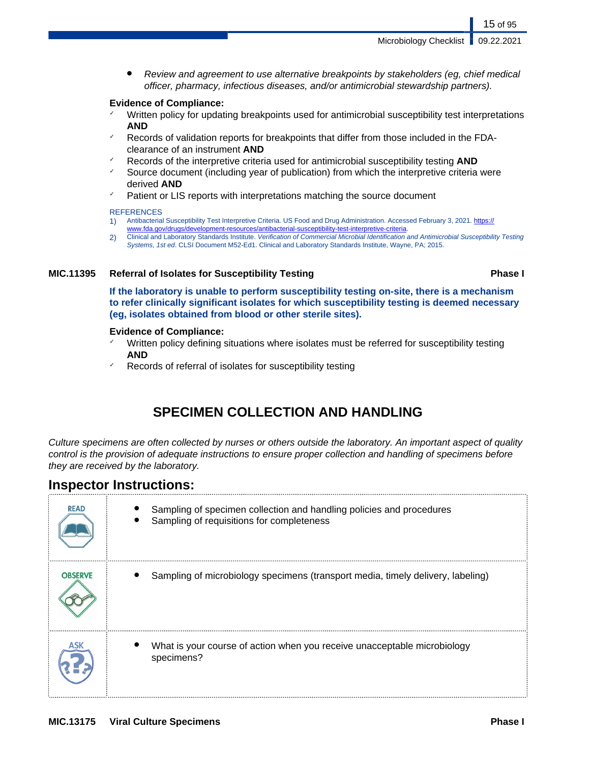Review and agreement to use alternative breakpoints by stakeholders (eg, chief medical officer, pharmacy, infectious diseases, and/or antimicrobial stewardship partners).

## **Evidence of Compliance:**

- ✓ Written policy for updating breakpoints used for antimicrobial susceptibility test interpretations **AND**
- Records of validation reports for breakpoints that differ from those included in the FDAclearance of an instrument **AND**
- ✓ Records of the interpretive criteria used for antimicrobial susceptibility testing **AND**
- Source document (including year of publication) from which the interpretive criteria were derived **AND**
- Patient or LIS reports with interpretations matching the source document

## **REFERENCES**

- 1) Antibacterial Susceptibility Test Interpretive Criteria. US Food and Drug Administration. Accessed February 3, 2021. [https://](https://www.fda.gov/drugs/development-resources/antibacterial-susceptibility-test-interpretive-criteria)<br>www.fda.gov/drugs/development-resources/antibacterial-susceptibility-test-interpretive-criter
- opment-resources/antibacterial-susceptibility-test-interpretive-criteria
- 2) Clinical and Laboratory Standards Institute. Verification of Commercial Microbial Identification and Antimicrobial Susceptibility Testing Systems, 1st ed. CLSI Document M52-Ed1. Clinical and Laboratory Standards Institute, Wayne, PA; 2015.

## **MIC.11395 Referral of Isolates for Susceptibility Testing Phase I**

**If the laboratory is unable to perform susceptibility testing on-site, there is a mechanism to refer clinically significant isolates for which susceptibility testing is deemed necessary (eg, isolates obtained from blood or other sterile sites).**

## **Evidence of Compliance:**

- Written policy defining situations where isolates must be referred for susceptibility testing **AND**
- Records of referral of isolates for susceptibility testing

## **SPECIMEN COLLECTION AND HANDLING**

Culture specimens are often collected by nurses or others outside the laboratory. An important aspect of quality control is the provision of adequate instructions to ensure proper collection and handling of specimens before they are received by the laboratory.

## **Inspector Instructions:**

| <b>READ</b>    | Sampling of specimen collection and handling policies and procedures<br>Sampling of requisitions for completeness |
|----------------|-------------------------------------------------------------------------------------------------------------------|
| <b>OBSERVE</b> | Sampling of microbiology specimens (transport media, timely delivery, labeling)                                   |
|                | What is your course of action when you receive unacceptable microbiology<br>specimens?                            |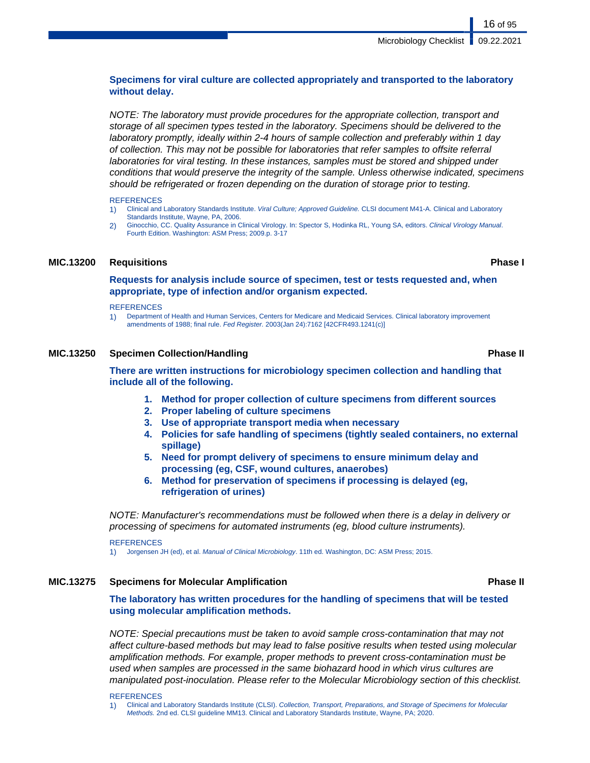## **Specimens for viral culture are collected appropriately and transported to the laboratory without delay.**

NOTE: The laboratory must provide procedures for the appropriate collection, transport and storage of all specimen types tested in the laboratory. Specimens should be delivered to the laboratory promptly, ideally within 2-4 hours of sample collection and preferably within 1 day of collection. This may not be possible for laboratories that refer samples to offsite referral laboratories for viral testing. In these instances, samples must be stored and shipped under conditions that would preserve the integrity of the sample. Unless otherwise indicated, specimens should be refrigerated or frozen depending on the duration of storage prior to testing.

### **REFERENCES**

- 1) Clinical and Laboratory Standards Institute. Viral Culture; Approved Guideline. CLSI document M41-A. Clinical and Laboratory Standards Institute, Wayne, PA, 2006.
- 2) Ginocchio, CC. Quality Assurance in Clinical Virology. In: Spector S, Hodinka RL, Young SA, editors. Clinical Virology Manual. Fourth Edition. Washington: ASM Press; 2009.p. 3-17

## **MIC.13200 Requisitions Phase I**

**Requests for analysis include source of specimen, test or tests requested and, when appropriate, type of infection and/or organism expected.**

### **REFERENCES**

1) Department of Health and Human Services, Centers for Medicare and Medicaid Services. Clinical laboratory improvement amendments of 1988; final rule. Fed Register. 2003(Jan 24):7162 [42CFR493.1241(c)]

## **MIC.13250 Specimen Collection/Handling Phase II**

**There are written instructions for microbiology specimen collection and handling that include all of the following.**

- **1. Method for proper collection of culture specimens from different sources**
- **2. Proper labeling of culture specimens**
- **3. Use of appropriate transport media when necessary**
- **4. Policies for safe handling of specimens (tightly sealed containers, no external spillage)**
- **5. Need for prompt delivery of specimens to ensure minimum delay and processing (eg, CSF, wound cultures, anaerobes)**
- **6. Method for preservation of specimens if processing is delayed (eg, refrigeration of urines)**

NOTE: Manufacturer's recommendations must be followed when there is a delay in delivery or processing of specimens for automated instruments (eg, blood culture instruments).

**REFERENCES** 

1) Jorgensen JH (ed), et al. Manual of Clinical Microbiology. 11th ed. Washington, DC: ASM Press; 2015.

## **MIC.13275 Specimens for Molecular Amplification Phase II**

**The laboratory has written procedures for the handling of specimens that will be tested using molecular amplification methods.**

NOTE: Special precautions must be taken to avoid sample cross-contamination that may not affect culture-based methods but may lead to false positive results when tested using molecular amplification methods. For example, proper methods to prevent cross-contamination must be used when samples are processed in the same biohazard hood in which virus cultures are manipulated post-inoculation. Please refer to the Molecular Microbiology section of this checklist.

REFERENCES

<sup>1)</sup> Clinical and Laboratory Standards Institute (CLSI). Collection, Transport, Preparations, and Storage of Specimens for Molecular Methods. 2nd ed. CLSI guideline MM13. Clinical and Laboratory Standards Institute, Wayne, PA; 2020.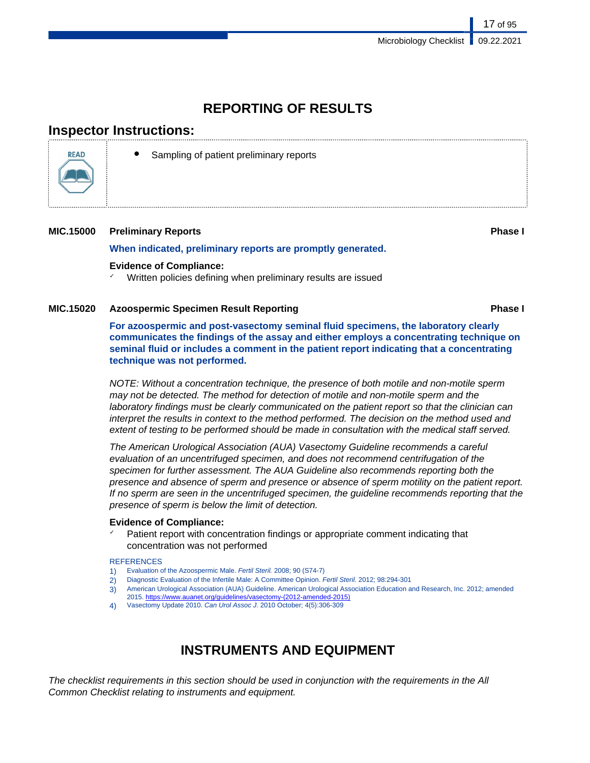## **REPORTING OF RESULTS**

## **Inspector Instructions:**



Sampling of patient preliminary reports

## **MIC.15000 Preliminary Reports Phase I**

**When indicated, preliminary reports are promptly generated.**

## **Evidence of Compliance:**

Written policies defining when preliminary results are issued

## **MIC.15020 Azoospermic Specimen Result Reporting Phase I**

**For azoospermic and post-vasectomy seminal fluid specimens, the laboratory clearly communicates the findings of the assay and either employs a concentrating technique on seminal fluid or includes a comment in the patient report indicating that a concentrating technique was not performed.**

NOTE: Without a concentration technique, the presence of both motile and non-motile sperm may not be detected. The method for detection of motile and non-motile sperm and the laboratory findings must be clearly communicated on the patient report so that the clinician can interpret the results in context to the method performed. The decision on the method used and extent of testing to be performed should be made in consultation with the medical staff served.

The American Urological Association (AUA) Vasectomy Guideline recommends a careful evaluation of an uncentrifuged specimen, and does not recommend centrifugation of the specimen for further assessment. The AUA Guideline also recommends reporting both the presence and absence of sperm and presence or absence of sperm motility on the patient report. If no sperm are seen in the uncentrifuged specimen, the guideline recommends reporting that the presence of sperm is below the limit of detection.

## **Evidence of Compliance:**

Patient report with concentration findings or appropriate comment indicating that concentration was not performed

## **REFERENCES**

- 1) Evaluation of the Azoospermic Male. Fertil Steril. 2008; 90 (S74-7)
- 2) Diagnostic Evaluation of the Infertile Male: A Committee Opinion. Fertil Steril. 2012; 98:294-301
- 3) American Urological Association (AUA) Guideline. American Urological Association Education and Research, Inc. 2012; amended 2015. [https://www.auanet.org/guidelines/vasectomy-\(2012-amended-2015\)](https://www.auanet.org/guidelines/vasectomy-(2012-amended-2015))
- Vasectomy Update 2010. Can Urol Assoc J. 2010 October; 4(5):306-309

## **INSTRUMENTS AND EQUIPMENT**

The checklist requirements in this section should be used in conjunction with the requirements in the All Common Checklist relating to instruments and equipment.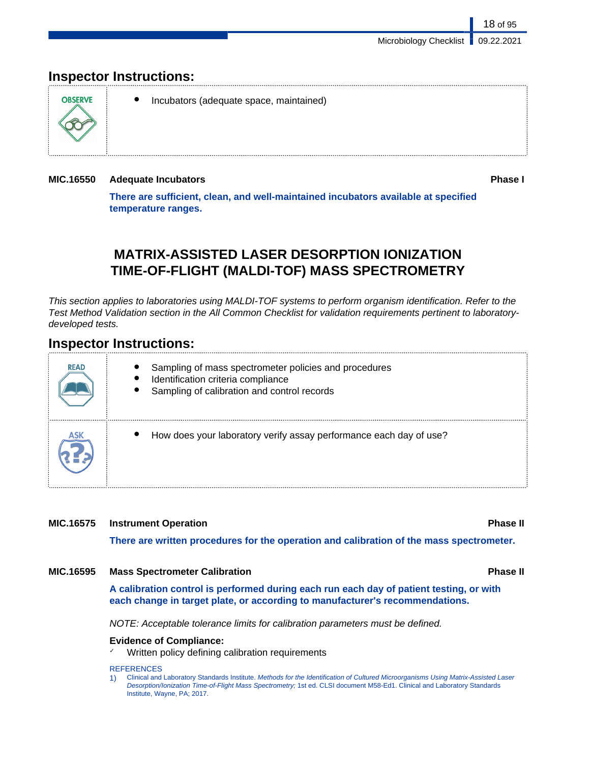## **Inspector Instructions:**



● Incubators (adequate space, maintained)

## **MIC.16550 Adequate Incubators Phase I**

**There are sufficient, clean, and well-maintained incubators available at specified temperature ranges.**

## **MATRIX-ASSISTED LASER DESORPTION IONIZATION TIME-OF-FLIGHT (MALDI-TOF) MASS SPECTROMETRY**

This section applies to laboratories using MALDI-TOF systems to perform organism identification. Refer to the Test Method Validation section in the All Common Checklist for validation requirements pertinent to laboratorydeveloped tests.

## **Inspector Instructions:**

| <b>READ</b> | Sampling of mass spectrometer policies and procedures<br>Identification criteria compliance<br>Sampling of calibration and control records |
|-------------|--------------------------------------------------------------------------------------------------------------------------------------------|
|             | How does your laboratory verify assay performance each day of use?                                                                         |

## **MIC.16575 Instrument Operation Phase II**

**There are written procedures for the operation and calibration of the mass spectrometer.**

## **MIC.16595 Mass Spectrometer Calibration Phase II**

**A calibration control is performed during each run each day of patient testing, or with each change in target plate, or according to manufacturer's recommendations.**

NOTE: Acceptable tolerance limits for calibration parameters must be defined.

## **Evidence of Compliance:**

Written policy defining calibration requirements

## **REFERENCES**

1) Clinical and Laboratory Standards Institute. Methods for the Identification of Cultured Microorganisms Using Matrix-Assisted Laser Desorption/Ionization Time-of-Flight Mass Spectrometry; 1st ed. CLSI document M58-Ed1. Clinical and Laboratory Standards Institute, Wayne, PA; 2017.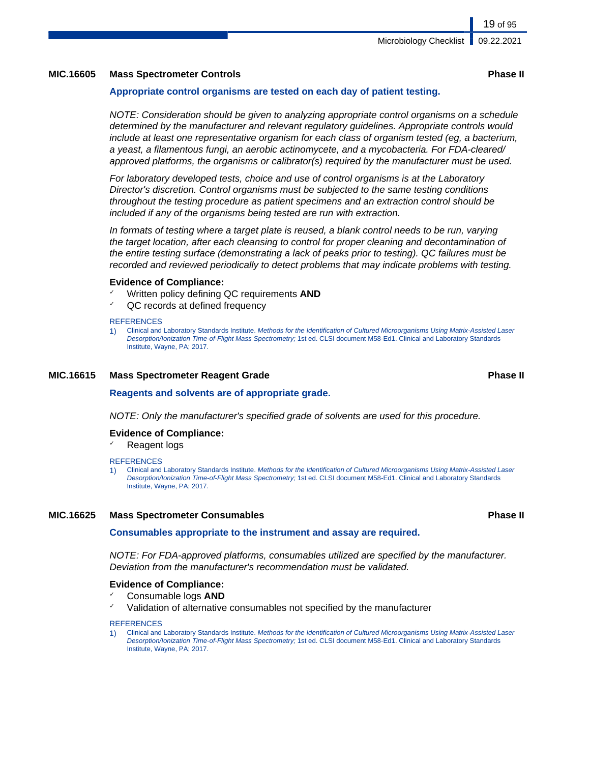## **MIC.16605 Mass Spectrometer Controls Phase II**

## **Appropriate control organisms are tested on each day of patient testing.**

NOTE: Consideration should be given to analyzing appropriate control organisms on a schedule determined by the manufacturer and relevant regulatory guidelines. Appropriate controls would include at least one representative organism for each class of organism tested (eg, a bacterium, a yeast, a filamentous fungi, an aerobic actinomycete, and a mycobacteria. For FDA-cleared/ approved platforms, the organisms or calibrator(s) required by the manufacturer must be used.

For laboratory developed tests, choice and use of control organisms is at the Laboratory Director's discretion. Control organisms must be subjected to the same testing conditions throughout the testing procedure as patient specimens and an extraction control should be included if any of the organisms being tested are run with extraction.

In formats of testing where a target plate is reused, a blank control needs to be run, varying the target location, after each cleansing to control for proper cleaning and decontamination of the entire testing surface (demonstrating a lack of peaks prior to testing). QC failures must be recorded and reviewed periodically to detect problems that may indicate problems with testing.

## **Evidence of Compliance:**

- Written policy defining QC requirements **AND**
- QC records at defined frequency

### **REFERENCES**

1) Clinical and Laboratory Standards Institute. Methods for the Identification of Cultured Microorganisms Using Matrix-Assisted Laser Desorption/Ionization Time-of-Flight Mass Spectrometry; 1st ed. CLSI document M58-Ed1. Clinical and Laboratory Standards Institute, Wayne, PA; 2017.

## **MIC.16615 Mass Spectrometer Reagent Grade Phase II**

**Reagents and solvents are of appropriate grade.**

NOTE: Only the manufacturer's specified grade of solvents are used for this procedure.

## **Evidence of Compliance:**

✓ Reagent logs

## **REFERENCES**

1) Clinical and Laboratory Standards Institute. Methods for the Identification of Cultured Microorganisms Using Matrix-Assisted Laser Desorption/Ionization Time-of-Flight Mass Spectrometry; 1st ed. CLSI document M58-Ed1. Clinical and Laboratory Standards Institute, Wayne, PA; 2017.

## **MIC.16625 Mass Spectrometer Consumables Phase II**

## **Consumables appropriate to the instrument and assay are required.**

NOTE: For FDA-approved platforms, consumables utilized are specified by the manufacturer. Deviation from the manufacturer's recommendation must be validated.

## **Evidence of Compliance:**

- ✓ Consumable logs **AND**
- ✓ Validation of alternative consumables not specified by the manufacturer

### **REFERENCES**

1) Clinical and Laboratory Standards Institute. Methods for the Identification of Cultured Microorganisms Using Matrix-Assisted Laser Desorption/Ionization Time-of-Flight Mass Spectrometry; 1st ed. CLSI document M58-Ed1. Clinical and Laboratory Standards Institute, Wayne, PA; 2017.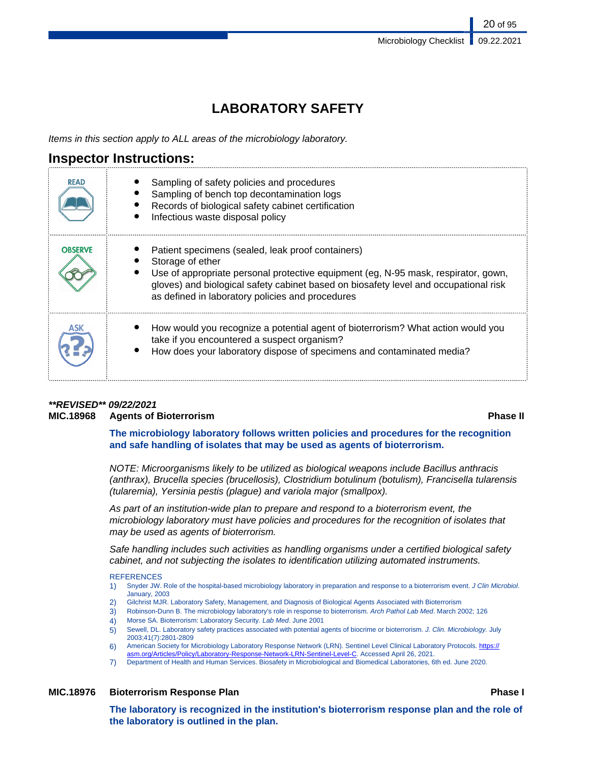## **LABORATORY SAFETY**

Items in this section apply to ALL areas of the microbiology laboratory.

## **Inspector Instructions:**

| <b>READ</b>    | Sampling of safety policies and procedures<br>Sampling of bench top decontamination logs<br>Records of biological safety cabinet certification<br>Infectious waste disposal policy                                                                                                                      |
|----------------|---------------------------------------------------------------------------------------------------------------------------------------------------------------------------------------------------------------------------------------------------------------------------------------------------------|
| <b>OBSERVE</b> | Patient specimens (sealed, leak proof containers)<br>Storage of ether<br>Use of appropriate personal protective equipment (eg, N-95 mask, respirator, gown,<br>gloves) and biological safety cabinet based on biosafety level and occupational risk<br>as defined in laboratory policies and procedures |
|                | How would you recognize a potential agent of bioterrorism? What action would you<br>take if you encountered a suspect organism?<br>How does your laboratory dispose of specimens and contaminated media?                                                                                                |

## **\*\*REVISED\*\* 09/22/2021 MIC.18968 Agents of Bioterrorism Phase II**

**The microbiology laboratory follows written policies and procedures for the recognition and safe handling of isolates that may be used as agents of bioterrorism.**

NOTE: Microorganisms likely to be utilized as biological weapons include Bacillus anthracis (anthrax), Brucella species (brucellosis), Clostridium botulinum (botulism), Francisella tularensis (tularemia), Yersinia pestis (plague) and variola major (smallpox).

As part of an institution-wide plan to prepare and respond to a bioterrorism event, the microbiology laboratory must have policies and procedures for the recognition of isolates that may be used as agents of bioterrorism.

Safe handling includes such activities as handling organisms under a certified biological safety cabinet, and not subjecting the isolates to identification utilizing automated instruments.

## **REFERENCES**

- 1) Snyder JW. Role of the hospital-based microbiology laboratory in preparation and response to a bioterrorism event. J Clin Microbiol. January, 2003
- 2) Gilchrist MJR. Laboratory Safety, Management, and Diagnosis of Biological Agents Associated with Bioterrorism
- 3) Robinson-Dunn B. The microbiology laboratory's role in response to bioterrorism. Arch Pathol Lab Med. March 2002; 126
- 4) Morse SA. Bioterrorism: Laboratory Security. Lab Med. June 2001
- 5) Sewell, DL. Laboratory safety practices associated with potential agents of biocrime or bioterrorism. J. Clin. Microbiology. July 2003;41(7):2801-2809
- 6) American Society for Microbiology Laboratory Response Network (LRN). Sentinel Level Clinical Laboratory Protocols. [https://](https://asm.org/Articles/Policy/Laboratory-Response-Network-LRN-Sentinel-Level-C) [asm.org/Articles/Policy/Laboratory-Response-Network-LRN-Sentinel-Level-C](https://asm.org/Articles/Policy/Laboratory-Response-Network-LRN-Sentinel-Level-C). Accessed April 26, 2021.
- 7) Department of Health and Human Services. Biosafety in Microbiological and Biomedical Laboratories, 6th ed. June 2020.

## **MIC.18976 Bioterrorism Response Plan Phase I**

**The laboratory is recognized in the institution's bioterrorism response plan and the role of the laboratory is outlined in the plan.**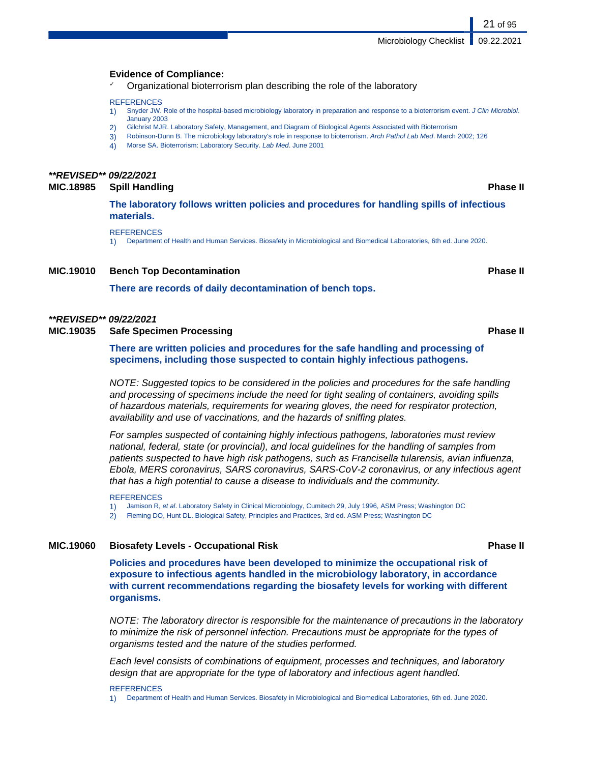## **Evidence of Compliance:**

✓ Organizational bioterrorism plan describing the role of the laboratory

### **REFERENCES**

- 1) Snyder JW. Role of the hospital-based microbiology laboratory in preparation and response to a bioterrorism event. J Clin Microbiol. January 2003
- 2) Gilchrist MJR. Laboratory Safety, Management, and Diagram of Biological Agents Associated with Bioterrorism
- 3) Robinson-Dunn B. The microbiology laboratory's role in response to bioterrorism. Arch Pathol Lab Med. March 2002; 126
- 4) Morse SA. Bioterrorism: Laboratory Security. Lab Med. June 2001

## **\*\*REVISED\*\* 09/22/2021**

## **MIC.18985 Spill Handling Phase II**

**The laboratory follows written policies and procedures for handling spills of infectious materials.**

**REFERENCES** 

1) Department of Health and Human Services. Biosafety in Microbiological and Biomedical Laboratories, 6th ed. June 2020.

## **MIC.19010 Bench Top Decontamination Phase II**

**There are records of daily decontamination of bench tops.**

## **\*\*REVISED\*\* 09/22/2021**

**MIC.19035 Safe Specimen Processing Phase II**

**There are written policies and procedures for the safe handling and processing of specimens, including those suspected to contain highly infectious pathogens.**

NOTE: Suggested topics to be considered in the policies and procedures for the safe handling and processing of specimens include the need for tight sealing of containers, avoiding spills of hazardous materials, requirements for wearing gloves, the need for respirator protection, availability and use of vaccinations, and the hazards of sniffing plates.

For samples suspected of containing highly infectious pathogens, laboratories must review national, federal, state (or provincial), and local guidelines for the handling of samples from patients suspected to have high risk pathogens, such as Francisella tularensis, avian influenza, Ebola, MERS coronavirus, SARS coronavirus, SARS-CoV-2 coronavirus, or any infectious agent that has a high potential to cause a disease to individuals and the community.

1) Jamison R, et al. Laboratory Safety in Clinical Microbiology, Cumitech 29, July 1996, ASM Press; Washington DC

2) Fleming DO, Hunt DL. Biological Safety, Principles and Practices, 3rd ed. ASM Press; Washington DC

## **MIC.19060 Biosafety Levels - Occupational Risk Phase II**

**Policies and procedures have been developed to minimize the occupational risk of exposure to infectious agents handled in the microbiology laboratory, in accordance with current recommendations regarding the biosafety levels for working with different organisms.**

NOTE: The laboratory director is responsible for the maintenance of precautions in the laboratory to minimize the risk of personnel infection. Precautions must be appropriate for the types of organisms tested and the nature of the studies performed.

Each level consists of combinations of equipment, processes and techniques, and laboratory design that are appropriate for the type of laboratory and infectious agent handled.

### **REFERENCES**

1) Department of Health and Human Services. Biosafety in Microbiological and Biomedical Laboratories, 6th ed. June 2020.

**REFERENCES**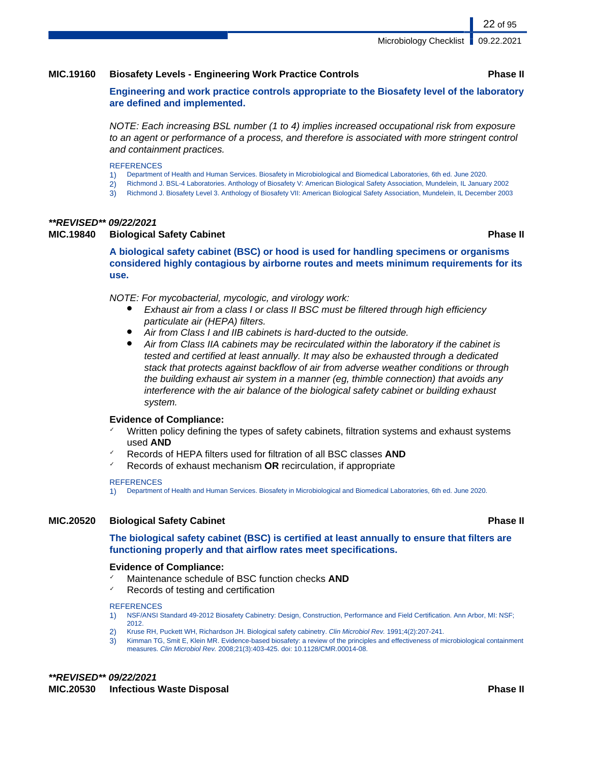## **MIC.19160 Biosafety Levels - Engineering Work Practice Controls Phase II**

**Engineering and work practice controls appropriate to the Biosafety level of the laboratory are defined and implemented.**

NOTE: Each increasing BSL number (1 to 4) implies increased occupational risk from exposure to an agent or performance of a process, and therefore is associated with more stringent control and containment practices.

### **REFERENCES**

- 1) Department of Health and Human Services. Biosafety in Microbiological and Biomedical Laboratories, 6th ed. June 2020.
- 2) Richmond J. BSL-4 Laboratories. Anthology of Biosafety V: American Biological Safety Association, Mundelein, IL January 2002
- 3) Richmond J. Biosafety Level 3. Anthology of Biosafety VII: American Biological Safety Association, Mundelein, IL December 2003

## **\*\*REVISED\*\* 09/22/2021**

## **MIC.19840 Biological Safety Cabinet Phase II**

**A biological safety cabinet (BSC) or hood is used for handling specimens or organisms considered highly contagious by airborne routes and meets minimum requirements for its use.**

NOTE: For mycobacterial, mycologic, and virology work:

- Exhaust air from a class I or class II BSC must be filtered through high efficiency particulate air (HEPA) filters.
- Air from Class I and IIB cabinets is hard-ducted to the outside.
- Air from Class IIA cabinets may be recirculated within the laboratory if the cabinet is tested and certified at least annually. It may also be exhausted through a dedicated stack that protects against backflow of air from adverse weather conditions or through the building exhaust air system in a manner (eg, thimble connection) that avoids any interference with the air balance of the biological safety cabinet or building exhaust system.

## **Evidence of Compliance:**

- Written policy defining the types of safety cabinets, filtration systems and exhaust systems used **AND**
- ✓ Records of HEPA filters used for filtration of all BSC classes **AND**
- ✓ Records of exhaust mechanism **OR** recirculation, if appropriate

### **REFERENCES**

1) Department of Health and Human Services. Biosafety in Microbiological and Biomedical Laboratories, 6th ed. June 2020.

## **MIC.20520 Biological Safety Cabinet Phase II**

**The biological safety cabinet (BSC) is certified at least annually to ensure that filters are functioning properly and that airflow rates meet specifications.**

## **Evidence of Compliance:**

- Maintenance schedule of BSC function checks **AND**
- ✓ Records of testing and certification

### **REFERENCES**

- 1) NSF/ANSI Standard 49-2012 Biosafety Cabinetry: Design, Construction, Performance and Field Certification. Ann Arbor, MI: NSF; 2012.
- 2) Kruse RH, Puckett WH, Richardson JH. Biological safety cabinetry. Clin Microbiol Rev. 1991;4(2):207-241.
- 3) Kimman TG, Smit E, Klein MR. Evidence-based biosafety: a review of the principles and effectiveness of microbiological containment measures. Clin Microbiol Rev. 2008;21(3):403-425. doi: 10.1128/CMR.00014-08.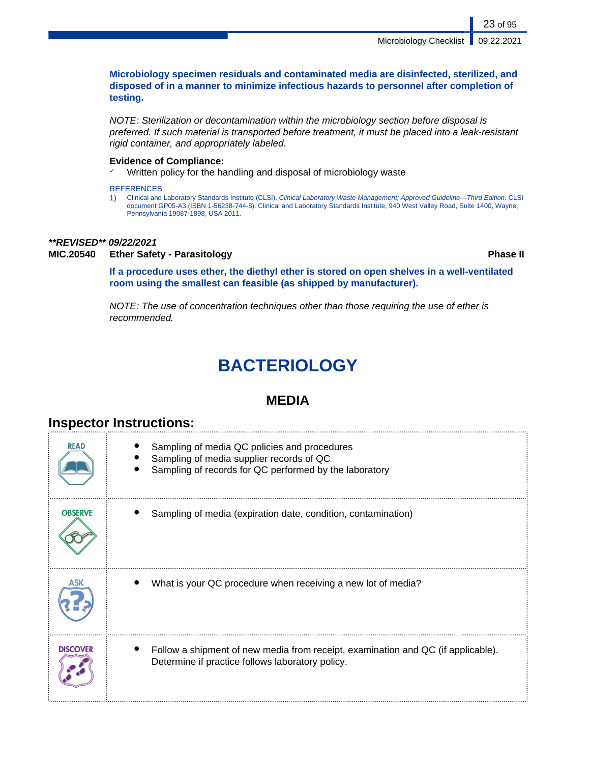**Microbiology specimen residuals and contaminated media are disinfected, sterilized, and disposed of in a manner to minimize infectious hazards to personnel after completion of testing.**

NOTE: Sterilization or decontamination within the microbiology section before disposal is preferred. If such material is transported before treatment, it must be placed into a leak-resistant rigid container, and appropriately labeled.

## **Evidence of Compliance:**

Written policy for the handling and disposal of microbiology waste

**REFERENCES** 

1) Clinical and Laboratory Standards Institute (CLSI). Clinical Laboratory Waste Management; Approved Guideline—Third Edition. CLSI document GP05-A3 (ISBN 1-56238-744-8). Clinical and Laboratory Standards Institute, 940 West Valley Road, Suite 1400, Wayne, Pennsylvania 19087-1898, USA 2011.

## **\*\*REVISED\*\* 09/22/2021**

## **MIC.20540 Ether Safety - Parasitology Phase II**

**If a procedure uses ether, the diethyl ether is stored on open shelves in a well-ventilated room using the smallest can feasible (as shipped by manufacturer).**

NOTE: The use of concentration techniques other than those requiring the use of ether is recommended.

# **BACTERIOLOGY**

## **MEDIA**

| <b>READ</b>     | Sampling of media QC policies and procedures<br>Sampling of media supplier records of QC<br>Sampling of records for QC performed by the laboratory |
|-----------------|----------------------------------------------------------------------------------------------------------------------------------------------------|
| <b>OBSERVE</b>  | Sampling of media (expiration date, condition, contamination)                                                                                      |
| ASK             | What is your QC procedure when receiving a new lot of media?                                                                                       |
| <b>DISCOVER</b> | Follow a shipment of new media from receipt, examination and QC (if applicable).<br>Determine if practice follows laboratory policy.               |

## **Inspector Instructions:**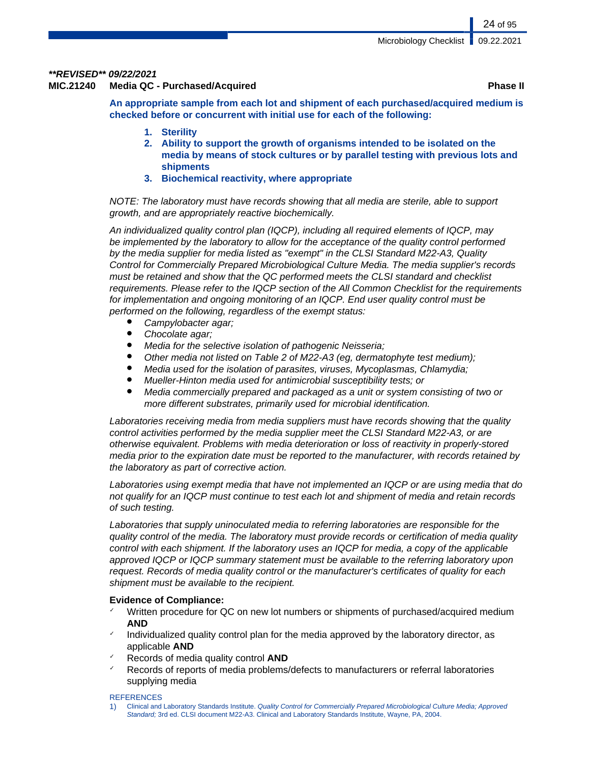## **\*\*REVISED\*\* 09/22/2021**

**MIC.21240 Media QC - Purchased/Acquired Phase II**

**An appropriate sample from each lot and shipment of each purchased/acquired medium is checked before or concurrent with initial use for each of the following:**

- **1. Sterility**
- **2. Ability to support the growth of organisms intended to be isolated on the media by means of stock cultures or by parallel testing with previous lots and shipments**
- **3. Biochemical reactivity, where appropriate**

NOTE: The laboratory must have records showing that all media are sterile, able to support growth, and are appropriately reactive biochemically.

An individualized quality control plan (IQCP), including all required elements of IQCP, may be implemented by the laboratory to allow for the acceptance of the quality control performed by the media supplier for media listed as "exempt" in the CLSI Standard M22-A3, Quality Control for Commercially Prepared Microbiological Culture Media. The media supplier's records must be retained and show that the QC performed meets the CLSI standard and checklist requirements. Please refer to the IQCP section of the All Common Checklist for the requirements for implementation and ongoing monitoring of an IQCP. End user quality control must be performed on the following, regardless of the exempt status:

- Campylobacter agar;
- Chocolate agar;
- Media for the selective isolation of pathogenic Neisseria;
- Other media not listed on Table 2 of M22-A3 (eg, dermatophyte test medium);
- Media used for the isolation of parasites, viruses, Mycoplasmas, Chlamydia;
- Mueller-Hinton media used for antimicrobial susceptibility tests; or
- Media commercially prepared and packaged as a unit or system consisting of two or more different substrates, primarily used for microbial identification.

Laboratories receiving media from media suppliers must have records showing that the quality control activities performed by the media supplier meet the CLSI Standard M22-A3, or are otherwise equivalent. Problems with media deterioration or loss of reactivity in properly-stored media prior to the expiration date must be reported to the manufacturer, with records retained by the laboratory as part of corrective action.

Laboratories using exempt media that have not implemented an IQCP or are using media that do not qualify for an IQCP must continue to test each lot and shipment of media and retain records of such testing.

Laboratories that supply uninoculated media to referring laboratories are responsible for the quality control of the media. The laboratory must provide records or certification of media quality control with each shipment. If the laboratory uses an IQCP for media, a copy of the applicable approved IQCP or IQCP summary statement must be available to the referring laboratory upon request. Records of media quality control or the manufacturer's certificates of quality for each shipment must be available to the recipient.

## **Evidence of Compliance:**

- $\checkmark$  Written procedure for QC on new lot numbers or shipments of purchased/acquired medium **AND**
- Individualized quality control plan for the media approved by the laboratory director, as applicable **AND**
- ✓ Records of media quality control **AND**
- Records of reports of media problems/defects to manufacturers or referral laboratories supplying media

**REFERENCES** 

1) Clinical and Laboratory Standards Institute. Quality Control for Commercially Prepared Microbiological Culture Media; Approved Standard; 3rd ed. CLSI document M22-A3. Clinical and Laboratory Standards Institute, Wayne, PA, 2004.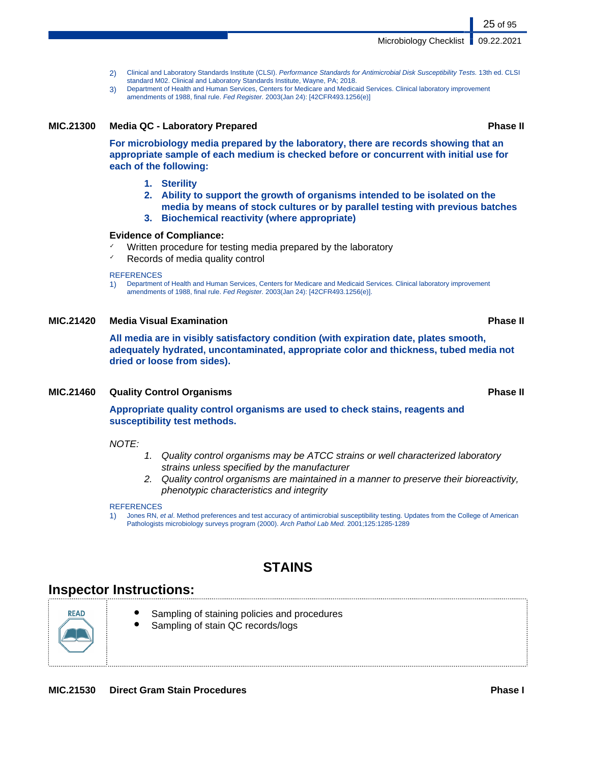**MIC.21530 Direct Gram Stain Procedures Phase I**

- 2) Clinical and Laboratory Standards Institute (CLSI). Performance Standards for Antimicrobial Disk Susceptibility Tests. 13th ed. CLSI standard M02. Clinical and Laboratory Standards Institute, Wayne, PA; 2018.
- 3) Department of Health and Human Services, Centers for Medicare and Medicaid Services. Clinical laboratory improvement amendments of 1988, final rule. Fed Register. 2003(Jan 24): [42CFR493.1256(e)]

## **MIC.21300 Media QC - Laboratory Prepared Phase II**

**For microbiology media prepared by the laboratory, there are records showing that an appropriate sample of each medium is checked before or concurrent with initial use for each of the following:**

- **1. Sterility**
- **2. Ability to support the growth of organisms intended to be isolated on the media by means of stock cultures or by parallel testing with previous batches**
- **3. Biochemical reactivity (where appropriate)**

## **Evidence of Compliance:**

- Written procedure for testing media prepared by the laboratory
- $\checkmark$  Records of media quality control

## **REFERENCES**

1) Department of Health and Human Services, Centers for Medicare and Medicaid Services. Clinical laboratory improvement amendments of 1988, final rule. Fed Register. 2003(Jan 24): [42CFR493.1256(e)].

## **MIC.21420 Media Visual Examination Phase II**

**All media are in visibly satisfactory condition (with expiration date, plates smooth, adequately hydrated, uncontaminated, appropriate color and thickness, tubed media not dried or loose from sides).**

## **MIC.21460 Quality Control Organisms Phase II**

**Appropriate quality control organisms are used to check stains, reagents and susceptibility test methods.**

 $NOTF$ 

- 1. Quality control organisms may be ATCC strains or well characterized laboratory strains unless specified by the manufacturer
- 2. Quality control organisms are maintained in a manner to preserve their bioreactivity, phenotypic characteristics and integrity

## **REFERENCES**

1) Jones RN, et al. Method preferences and test accuracy of antimicrobial susceptibility testing. Updates from the College of American Pathologists microbiology surveys program (2000). Arch Pathol Lab Med. 2001;125:1285-1289

## **STAINS**

## **Inspector Instructions:**

RFAD

- Sampling of staining policies and procedures
- Sampling of stain QC records/logs

## Microbiology Checklist | 09.22.2021

25 of 95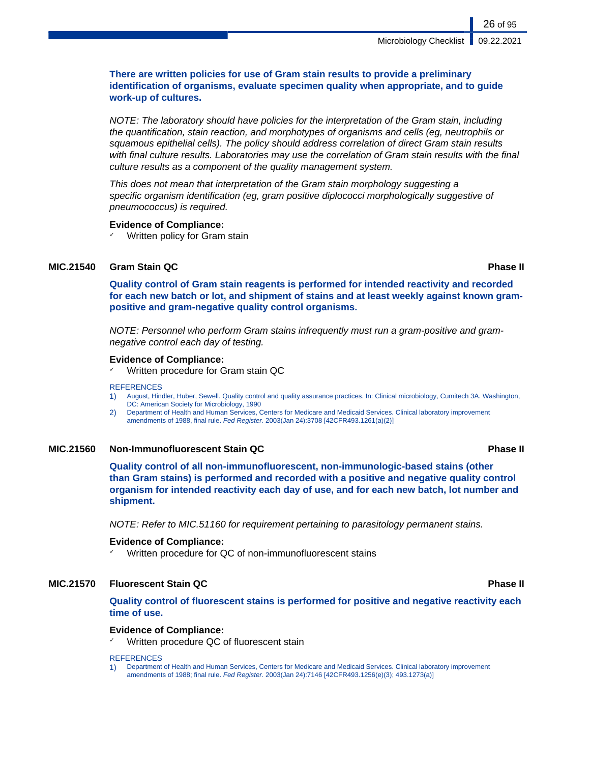## **There are written policies for use of Gram stain results to provide a preliminary identification of organisms, evaluate specimen quality when appropriate, and to guide work-up of cultures.**

NOTE: The laboratory should have policies for the interpretation of the Gram stain, including the quantification, stain reaction, and morphotypes of organisms and cells (eg, neutrophils or squamous epithelial cells). The policy should address correlation of direct Gram stain results with final culture results. Laboratories may use the correlation of Gram stain results with the final culture results as a component of the quality management system.

This does not mean that interpretation of the Gram stain morphology suggesting a specific organism identification (eg, gram positive diplococci morphologically suggestive of pneumococcus) is required.

## **Evidence of Compliance:**

 $\checkmark$  Written policy for Gram stain

## **MIC.21540 Gram Stain QC Phase II**

**Quality control of Gram stain reagents is performed for intended reactivity and recorded for each new batch or lot, and shipment of stains and at least weekly against known grampositive and gram-negative quality control organisms.**

NOTE: Personnel who perform Gram stains infrequently must run a gram-positive and gramnegative control each day of testing.

## **Evidence of Compliance:**

✓ Written procedure for Gram stain QC

### **REFERENCES**

- 1) August, Hindler, Huber, Sewell. Quality control and quality assurance practices. In: Clinical microbiology, Cumitech 3A. Washington, DC: American Society for Microbiology, 1990
- 2) Department of Health and Human Services, Centers for Medicare and Medicaid Services. Clinical laboratory improvement amendments of 1988, final rule. Fed Register. 2003(Jan 24):3708 [42CFR493.1261(a)(2)]

## **MIC.21560 Non-Immunofluorescent Stain QC Phase II**

**Quality control of all non-immunofluorescent, non-immunologic-based stains (other than Gram stains) is performed and recorded with a positive and negative quality control organism for intended reactivity each day of use, and for each new batch, lot number and shipment.**

NOTE: Refer to MIC.51160 for requirement pertaining to parasitology permanent stains.

## **Evidence of Compliance:**

Written procedure for QC of non-immunofluorescent stains

## **MIC.21570 Fluorescent Stain QC Phase II**

**Quality control of fluorescent stains is performed for positive and negative reactivity each time of use.**

## **Evidence of Compliance:**

Written procedure QC of fluorescent stain

## REFERENCES

1) Department of Health and Human Services, Centers for Medicare and Medicaid Services. Clinical laboratory improvement amendments of 1988; final rule. Fed Register. 2003(Jan 24):7146 [42CFR493.1256(e)(3); 493.1273(a)]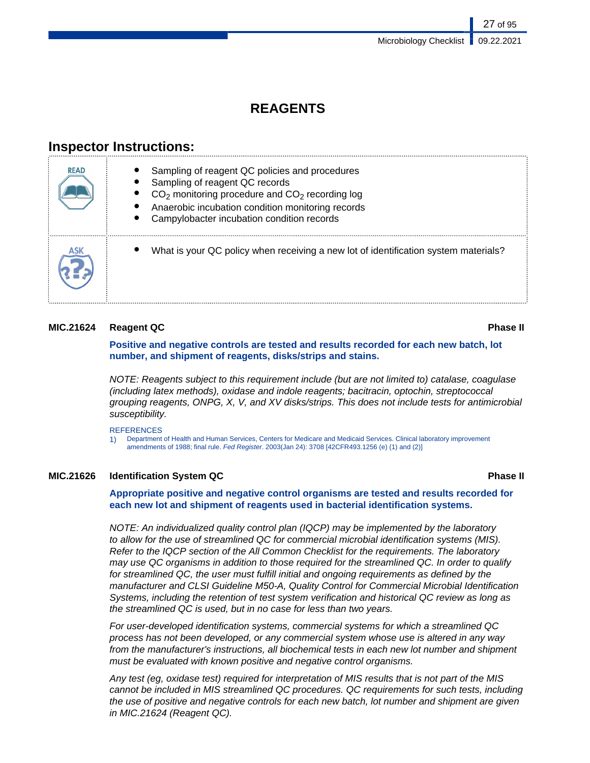## **REAGENTS**

## **Inspector Instructions:**

| <b>READ</b> | Sampling of reagent QC policies and procedures<br>Sampling of reagent QC records<br>$CO2$ monitoring procedure and $CO2$ recording log<br>Anaerobic incubation condition monitoring records<br>Campylobacter incubation condition records |
|-------------|-------------------------------------------------------------------------------------------------------------------------------------------------------------------------------------------------------------------------------------------|
| ASK         | What is your QC policy when receiving a new lot of identification system materials?                                                                                                                                                       |

## **MIC.21624 Reagent QC Phase II**

**Positive and negative controls are tested and results recorded for each new batch, lot number, and shipment of reagents, disks/strips and stains.**

NOTE: Reagents subject to this requirement include (but are not limited to) catalase, coagulase (including latex methods), oxidase and indole reagents; bacitracin, optochin, streptococcal grouping reagents, ONPG, X, V, and XV disks/strips. This does not include tests for antimicrobial susceptibility.

**REFERENCES** 

1) Department of Health and Human Services, Centers for Medicare and Medicaid Services. Clinical laboratory improvement amendments of 1988; final rule. Fed Register. 2003(Jan 24): 3708 [42CFR493.1256 (e) (1) and (2)]

## **MIC.21626 Identification System QC Phase II**

## **Appropriate positive and negative control organisms are tested and results recorded for each new lot and shipment of reagents used in bacterial identification systems.**

NOTE: An individualized quality control plan (IQCP) may be implemented by the laboratory to allow for the use of streamlined QC for commercial microbial identification systems (MIS). Refer to the IQCP section of the All Common Checklist for the requirements. The laboratory may use QC organisms in addition to those required for the streamlined QC. In order to qualify for streamlined QC, the user must fulfill initial and ongoing requirements as defined by the manufacturer and CLSI Guideline M50-A, Quality Control for Commercial Microbial Identification Systems, including the retention of test system verification and historical QC review as long as the streamlined QC is used, but in no case for less than two years.

For user-developed identification systems, commercial systems for which a streamlined QC process has not been developed, or any commercial system whose use is altered in any way from the manufacturer's instructions, all biochemical tests in each new lot number and shipment must be evaluated with known positive and negative control organisms.

Any test (eg, oxidase test) required for interpretation of MIS results that is not part of the MIS cannot be included in MIS streamlined QC procedures. QC requirements for such tests, including the use of positive and negative controls for each new batch, lot number and shipment are given in MIC.21624 (Reagent QC).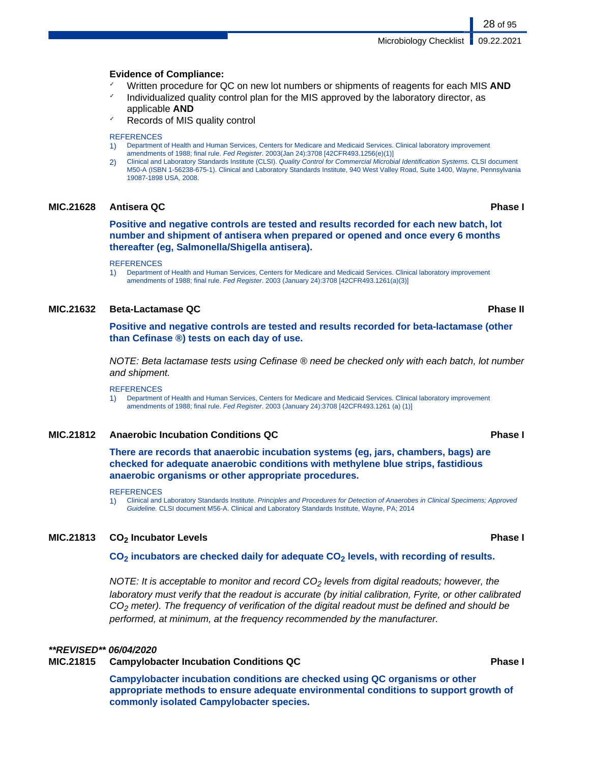Microbiology Checklist | 09.22.2021

## **Evidence of Compliance:**

- Written procedure for QC on new lot numbers or shipments of reagents for each MIS **AND**
- Individualized quality control plan for the MIS approved by the laboratory director, as applicable **AND**
- Records of MIS quality control

### **REFERENCES**

- 1) Department of Health and Human Services, Centers for Medicare and Medicaid Services. Clinical laboratory improvement amendments of 1988; final rule. Fed Register. 2003(Jan 24):3708 [42CFR493.1256(e)(1)]
- 2) Clinical and Laboratory Standards Institute (CLSI). Quality Control for Commercial Microbial Identification Systems. CLSI document M50-A (ISBN 1-56238-675-1). Clinical and Laboratory Standards Institute, 940 West Valley Road, Suite 1400, Wayne, Pennsylvania 19087-1898 USA, 2008.

## **MIC.21628 Antisera QC Phase I**

**Positive and negative controls are tested and results recorded for each new batch, lot number and shipment of antisera when prepared or opened and once every 6 months thereafter (eg, Salmonella/Shigella antisera).**

### REFERENCES

1) Department of Health and Human Services, Centers for Medicare and Medicaid Services. Clinical laboratory improvement amendments of 1988; final rule. Fed Register. 2003 (January 24):3708 [42CFR493.1261(a)(3)]

## **MIC.21632 Beta-Lactamase QC Phase II**

**Positive and negative controls are tested and results recorded for beta-lactamase (other than Cefinase ®) tests on each day of use.**

NOTE: Beta lactamase tests using Cefinase ® need be checked only with each batch, lot number and shipment.

### **REFERENCES**

1) Department of Health and Human Services, Centers for Medicare and Medicaid Services. Clinical laboratory improvement amendments of 1988; final rule. Fed Register. 2003 (January 24):3708 [42CFR493.1261 (a) (1)]

## **MIC.21812 Anaerobic Incubation Conditions QC Phase I**

**There are records that anaerobic incubation systems (eg, jars, chambers, bags) are checked for adequate anaerobic conditions with methylene blue strips, fastidious anaerobic organisms or other appropriate procedures.**

## **REFERENCES**

1) Clinical and Laboratory Standards Institute. Principles and Procedures for Detection of Anaerobes in Clinical Specimens; Approved Guideline. CLSI document M56-A. Clinical and Laboratory Standards Institute, Wayne, PA; 2014

## **MIC.21813 CO2 Incubator Levels Phase I**

### **CO2 incubators are checked daily for adequate CO2 levels, with recording of results.**

NOTE: It is acceptable to monitor and record  $CO<sub>2</sub>$  levels from digital readouts; however, the laboratory must verify that the readout is accurate (by initial calibration, Fyrite, or other calibrated  $CO<sub>2</sub>$  meter). The frequency of verification of the digital readout must be defined and should be performed, at minimum, at the frequency recommended by the manufacturer.

## **\*\*REVISED\*\* 06/04/2020**

## **MIC.21815 Campylobacter Incubation Conditions QC Phase I**

**Campylobacter incubation conditions are checked using QC organisms or other appropriate methods to ensure adequate environmental conditions to support growth of commonly isolated Campylobacter species.**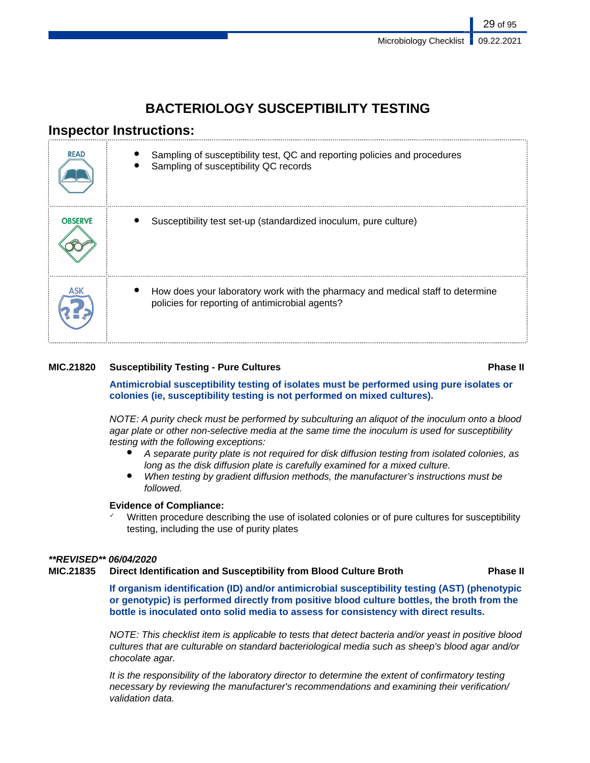## **BACTERIOLOGY SUSCEPTIBILITY TESTING**

## **Inspector Instructions:**

| <b>READ</b>    | Sampling of susceptibility test, QC and reporting policies and procedures<br>Sampling of susceptibility QC records                |
|----------------|-----------------------------------------------------------------------------------------------------------------------------------|
| <b>OBSERVE</b> | Susceptibility test set-up (standardized inoculum, pure culture)                                                                  |
|                | How does your laboratory work with the pharmacy and medical staff to determine<br>policies for reporting of antimicrobial agents? |

## **MIC.21820 Susceptibility Testing - Pure Cultures Phase II**

**Antimicrobial susceptibility testing of isolates must be performed using pure isolates or colonies (ie, susceptibility testing is not performed on mixed cultures).**

NOTE: A purity check must be performed by subculturing an aliquot of the inoculum onto a blood agar plate or other non-selective media at the same time the inoculum is used for susceptibility testing with the following exceptions:

- A separate purity plate is not required for disk diffusion testing from isolated colonies, as long as the disk diffusion plate is carefully examined for a mixed culture.
- When testing by gradient diffusion methods, the manufacturer's instructions must be followed.

## **Evidence of Compliance:**

Written procedure describing the use of isolated colonies or of pure cultures for susceptibility testing, including the use of purity plates

## **\*\*REVISED\*\* 06/04/2020**

## **MIC.21835 Direct Identification and Susceptibility from Blood Culture Broth Phase II**

**If organism identification (ID) and/or antimicrobial susceptibility testing (AST) (phenotypic or genotypic) is performed directly from positive blood culture bottles, the broth from the bottle is inoculated onto solid media to assess for consistency with direct results.**

NOTE: This checklist item is applicable to tests that detect bacteria and/or yeast in positive blood cultures that are culturable on standard bacteriological media such as sheep's blood agar and/or chocolate agar.

It is the responsibility of the laboratory director to determine the extent of confirmatory testing necessary by reviewing the manufacturer's recommendations and examining their verification/ validation data.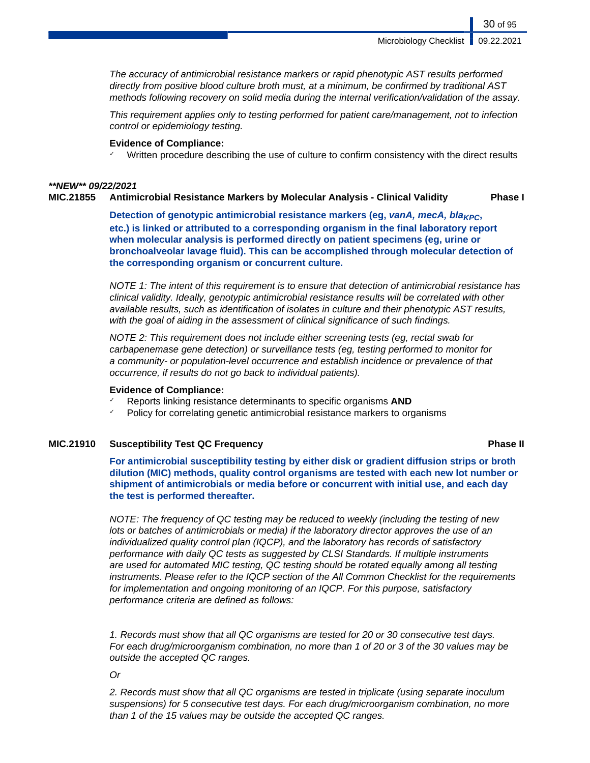Microbiology Checklist **1** 09.22.2021

30 of 95

The accuracy of antimicrobial resistance markers or rapid phenotypic AST results performed directly from positive blood culture broth must, at a minimum, be confirmed by traditional AST methods following recovery on solid media during the internal verification/validation of the assay.

This requirement applies only to testing performed for patient care/management, not to infection control or epidemiology testing.

## **Evidence of Compliance:**

 $\checkmark$  Written procedure describing the use of culture to confirm consistency with the direct results

## **\*\*NEW\*\* 09/22/2021**

## **MIC.21855 Antimicrobial Resistance Markers by Molecular Analysis - Clinical Validity Phase I**

**Detection of genotypic antimicrobial resistance markers (eg, vanA, mecA, bla<sub>KPC</sub>, etc.) is linked or attributed to a corresponding organism in the final laboratory report when molecular analysis is performed directly on patient specimens (eg, urine or bronchoalveolar lavage fluid). This can be accomplished through molecular detection of the corresponding organism or concurrent culture.**

NOTE 1: The intent of this requirement is to ensure that detection of antimicrobial resistance has clinical validity. Ideally, genotypic antimicrobial resistance results will be correlated with other available results, such as identification of isolates in culture and their phenotypic AST results, with the goal of aiding in the assessment of clinical significance of such findings.

NOTE 2: This requirement does not include either screening tests (eg, rectal swab for carbapenemase gene detection) or surveillance tests (eg, testing performed to monitor for a community- or population-level occurrence and establish incidence or prevalence of that occurrence, if results do not go back to individual patients).

## **Evidence of Compliance:**

- ✓ Reports linking resistance determinants to specific organisms **AND**
- Policy for correlating genetic antimicrobial resistance markers to organisms

## **MIC.21910 Susceptibility Test QC Frequency Phase II**

**For antimicrobial susceptibility testing by either disk or gradient diffusion strips or broth dilution (MIC) methods, quality control organisms are tested with each new lot number or shipment of antimicrobials or media before or concurrent with initial use, and each day the test is performed thereafter.**

NOTE: The frequency of QC testing may be reduced to weekly (including the testing of new lots or batches of antimicrobials or media) if the laboratory director approves the use of an individualized quality control plan (IQCP), and the laboratory has records of satisfactory performance with daily QC tests as suggested by CLSI Standards. If multiple instruments are used for automated MIC testing, QC testing should be rotated equally among all testing instruments. Please refer to the IQCP section of the All Common Checklist for the requirements for implementation and ongoing monitoring of an IQCP. For this purpose, satisfactory performance criteria are defined as follows:

1. Records must show that all QC organisms are tested for 20 or 30 consecutive test days. For each drug/microorganism combination, no more than 1 of 20 or 3 of the 30 values may be outside the accepted QC ranges.

## Or

2. Records must show that all QC organisms are tested in triplicate (using separate inoculum suspensions) for 5 consecutive test days. For each drug/microorganism combination, no more than 1 of the 15 values may be outside the accepted QC ranges.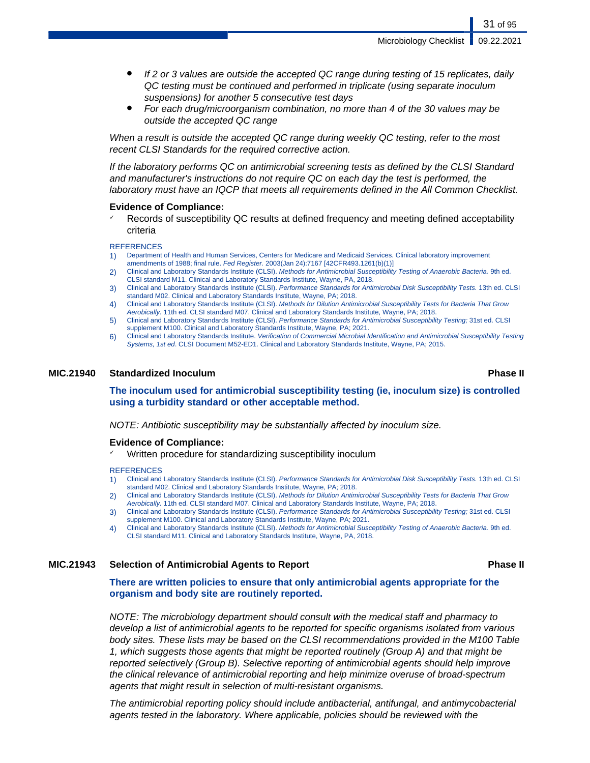Microbiology Checklist | 09.22.2021

- If 2 or 3 values are outside the accepted QC range during testing of 15 replicates, daily QC testing must be continued and performed in triplicate (using separate inoculum suspensions) for another 5 consecutive test days
- For each drug/microorganism combination, no more than 4 of the 30 values may be outside the accepted QC range

When a result is outside the accepted QC range during weekly QC testing, refer to the most recent CLSI Standards for the required corrective action.

If the laboratory performs QC on antimicrobial screening tests as defined by the CLSI Standard and manufacturer's instructions do not require QC on each day the test is performed, the laboratory must have an IQCP that meets all requirements defined in the All Common Checklist.

## **Evidence of Compliance:**

Records of susceptibility QC results at defined frequency and meeting defined acceptability criteria

### **REFERENCES**

- 1) Department of Health and Human Services, Centers for Medicare and Medicaid Services. Clinical laboratory improvement amendments of 1988; final rule. Fed Register. 2003(Jan 24):7167 [42CFR493.1261(b)(1)]
- 2) Clinical and Laboratory Standards Institute (CLSI). Methods for Antimicrobial Susceptibility Testing of Anaerobic Bacteria. 9th ed. CLSI standard M11. Clinical and Laboratory Standards Institute, Wayne, PA, 2018.
- 3) Clinical and Laboratory Standards Institute (CLSI). Performance Standards for Antimicrobial Disk Susceptibility Tests. 13th ed. CLSI standard M02. Clinical and Laboratory Standards Institute, Wayne, PA; 2018.
- 4) Clinical and Laboratory Standards Institute (CLSI). Methods for Dilution Antimicrobial Susceptibility Tests for Bacteria That Grow Aerobically. 11th ed. CLSI standard M07. Clinical and Laboratory Standards Institute, Wayne, PA; 2018.
- 5) Clinical and Laboratory Standards Institute (CLSI). Performance Standards for Antimicrobial Susceptibility Testing; 31st ed. CLSI supplement M100. Clinical and Laboratory Standards Institute, Wayne, PA; 2021.
- 6) Clinical and Laboratory Standards Institute. Verification of Commercial Microbial Identification and Antimicrobial Susceptibility Testing Systems, 1st ed. CLSI Document M52-ED1. Clinical and Laboratory Standards Institute, Wayne, PA; 2015.

## **MIC.21940 Standardized Inoculum Phase II**

**The inoculum used for antimicrobial susceptibility testing (ie, inoculum size) is controlled using a turbidity standard or other acceptable method.**

NOTE: Antibiotic susceptibility may be substantially affected by inoculum size.

### **Evidence of Compliance:**

Written procedure for standardizing susceptibility inoculum

### **REFERENCES**

- 1) Clinical and Laboratory Standards Institute (CLSI). Performance Standards for Antimicrobial Disk Susceptibility Tests. 13th ed. CLSI standard M02. Clinical and Laboratory Standards Institute, Wayne, PA; 2018.
- 2) Clinical and Laboratory Standards Institute (CLSI). Methods for Dilution Antimicrobial Susceptibility Tests for Bacteria That Grow Aerobically. 11th ed. CLSI standard M07. Clinical and Laboratory Standards Institute, Wayne, PA; 2018.
- 3) Clinical and Laboratory Standards Institute (CLSI). Performance Standards for Antimicrobial Susceptibility Testing; 31st ed. CLSI supplement M100. Clinical and Laboratory Standards Institute, Wayne, PA; 2021.
- 4) Clinical and Laboratory Standards Institute (CLSI). Methods for Antimicrobial Susceptibility Testing of Anaerobic Bacteria. 9th ed. CLSI standard M11. Clinical and Laboratory Standards Institute, Wayne, PA, 2018.

## **MIC.21943 Selection of Antimicrobial Agents to Report Phase II**

**There are written policies to ensure that only antimicrobial agents appropriate for the organism and body site are routinely reported.**

NOTE: The microbiology department should consult with the medical staff and pharmacy to develop a list of antimicrobial agents to be reported for specific organisms isolated from various body sites. These lists may be based on the CLSI recommendations provided in the M100 Table 1, which suggests those agents that might be reported routinely (Group A) and that might be reported selectively (Group B). Selective reporting of antimicrobial agents should help improve the clinical relevance of antimicrobial reporting and help minimize overuse of broad-spectrum agents that might result in selection of multi-resistant organisms.

The antimicrobial reporting policy should include antibacterial, antifungal, and antimycobacterial agents tested in the laboratory. Where applicable, policies should be reviewed with the

31 of 95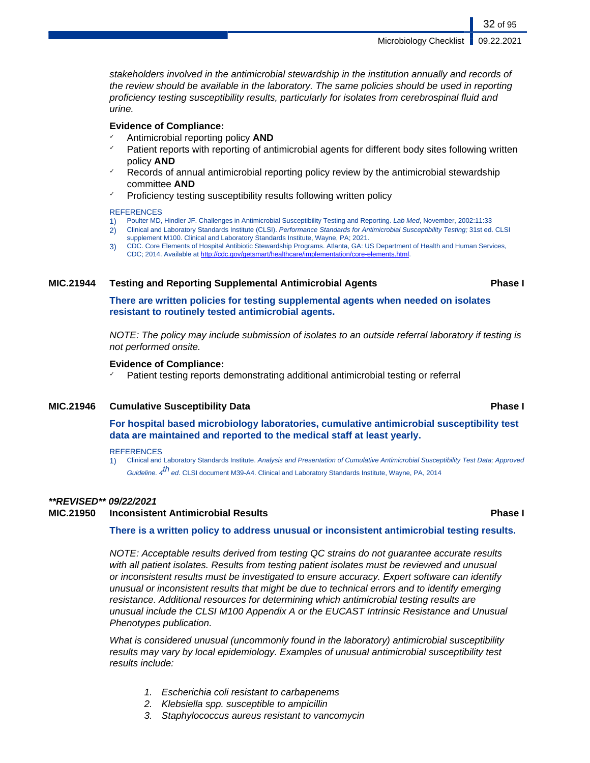Microbiology Checklist **1** 09.22.2021

stakeholders involved in the antimicrobial stewardship in the institution annually and records of the review should be available in the laboratory. The same policies should be used in reporting proficiency testing susceptibility results, particularly for isolates from cerebrospinal fluid and urine.

## **Evidence of Compliance:**

- ✓ Antimicrobial reporting policy **AND**
- Patient reports with reporting of antimicrobial agents for different body sites following written policy **AND**
- Records of annual antimicrobial reporting policy review by the antimicrobial stewardship committee **AND**
- Proficiency testing susceptibility results following written policy

## **REFERENCES**

- 1) Poulter MD, Hindler JF. Challenges in Antimicrobial Susceptibility Testing and Reporting. Lab Med, November, 2002:11:33
- 2) Clinical and Laboratory Standards Institute (CLSI). Performance Standards for Antimicrobial Susceptibility Testing; 31st ed. CLSI supplement M100. Clinical and Laboratory Standards Institute, Wayne, PA; 2021.
- 3) CDC. Core Elements of Hospital Antibiotic Stewardship Programs. Atlanta, GA: US Department of Health and Human Services, CDC; 2014. Available at [http://cdc.gov/getsmart/healthcare/implementation/core-elements.html.](http://cdc.gov/getsmart/healthcare/implementation/core-elements.html)

## **MIC.21944 Testing and Reporting Supplemental Antimicrobial Agents Phase I**

**There are written policies for testing supplemental agents when needed on isolates resistant to routinely tested antimicrobial agents.**

NOTE: The policy may include submission of isolates to an outside referral laboratory if testing is not performed onsite.

## **Evidence of Compliance:**

Patient testing reports demonstrating additional antimicrobial testing or referral

## **MIC.21946 Cumulative Susceptibility Data Phase I**

**For hospital based microbiology laboratories, cumulative antimicrobial susceptibility test data are maintained and reported to the medical staff at least yearly.**

## **REFERENCES**

1) Clinical and Laboratory Standards Institute. Analysis and Presentation of Cumulative Antimicrobial Susceptibility Test Data; Approved Guideline. 4<sup>th</sup> ed. CLSI document M39-A4. Clinical and Laboratory Standards Institute, Wayne, PA, 2014

## **\*\*REVISED\*\* 09/22/2021**

## **MIC.21950 Inconsistent Antimicrobial Results Phase I**

**There is a written policy to address unusual or inconsistent antimicrobial testing results.**

NOTE: Acceptable results derived from testing QC strains do not guarantee accurate results with all patient isolates. Results from testing patient isolates must be reviewed and unusual or inconsistent results must be investigated to ensure accuracy. Expert software can identify unusual or inconsistent results that might be due to technical errors and to identify emerging resistance. Additional resources for determining which antimicrobial testing results are unusual include the CLSI M100 Appendix A or the EUCAST Intrinsic Resistance and Unusual Phenotypes publication.

What is considered unusual (uncommonly found in the laboratory) antimicrobial susceptibility results may vary by local epidemiology. Examples of unusual antimicrobial susceptibility test results include:

- 1. Escherichia coli resistant to carbapenems
- 2. Klebsiella spp. susceptible to ampicillin
- 3. Staphylococcus aureus resistant to vancomycin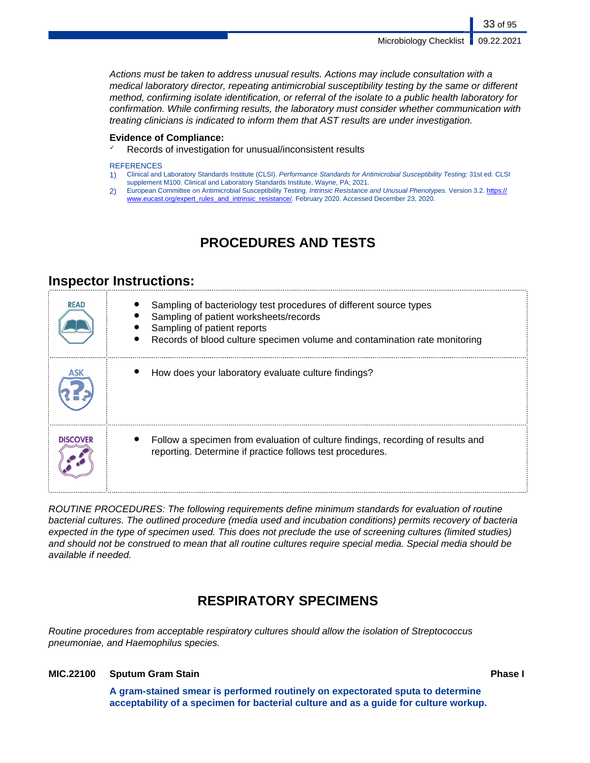Microbiology Checklist | 09.22.2021

33 of 95

Actions must be taken to address unusual results. Actions may include consultation with a medical laboratory director, repeating antimicrobial susceptibility testing by the same or different method, confirming isolate identification, or referral of the isolate to a public health laboratory for confirmation. While confirming results, the laboratory must consider whether communication with treating clinicians is indicated to inform them that AST results are under investigation.

## **Evidence of Compliance:**

✓ Records of investigation for unusual/inconsistent results

## **REFERENCES**

- 1) Clinical and Laboratory Standards Institute (CLSI). Performance Standards for Antimicrobial Susceptibility Testing; 31st ed. CLSI supplement M100. Clinical and Laboratory Standards Institute, Wayne, PA; 2021.
- 2) European Committee on Antimicrobial Susceptibility Testing. Intrinsic Resistance and Unusual Phenotypes. Version 3.2. [https://](https://www.eucast.org/expert_rules_and_intrinsic_resistance/) [www.eucast.org/expert\\_rules\\_and\\_intrinsic\\_resistance/.](https://www.eucast.org/expert_rules_and_intrinsic_resistance/) February 2020. Accessed December 23, 2020.

## **PROCEDURES AND TESTS**

## **Inspector Instructions:**

| <b>READ</b>     | Sampling of bacteriology test procedures of different source types<br>Sampling of patient worksheets/records<br>Sampling of patient reports<br>Records of blood culture specimen volume and contamination rate monitoring |
|-----------------|---------------------------------------------------------------------------------------------------------------------------------------------------------------------------------------------------------------------------|
|                 | How does your laboratory evaluate culture findings?                                                                                                                                                                       |
| <b>DISCOVER</b> | Follow a specimen from evaluation of culture findings, recording of results and<br>reporting. Determine if practice follows test procedures.                                                                              |

ROUTINE PROCEDURES: The following requirements define minimum standards for evaluation of routine bacterial cultures. The outlined procedure (media used and incubation conditions) permits recovery of bacteria expected in the type of specimen used. This does not preclude the use of screening cultures (limited studies) and should not be construed to mean that all routine cultures require special media. Special media should be available if needed.

## **RESPIRATORY SPECIMENS**

Routine procedures from acceptable respiratory cultures should allow the isolation of Streptococcus pneumoniae, and Haemophilus species.

## **MIC.22100 Sputum Gram Stain Phase I**

**A gram-stained smear is performed routinely on expectorated sputa to determine acceptability of a specimen for bacterial culture and as a guide for culture workup.**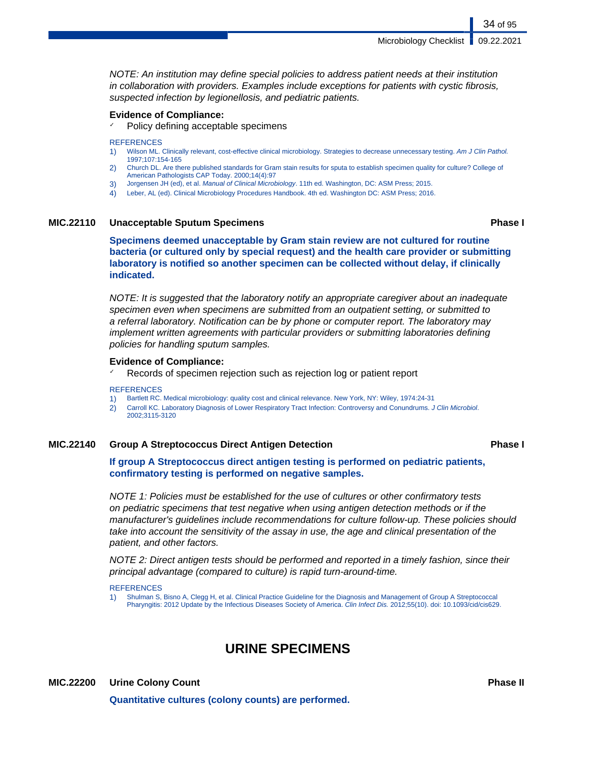Microbiology Checklist **6** 09.22.2021

NOTE: An institution may define special policies to address patient needs at their institution in collaboration with providers. Examples include exceptions for patients with cystic fibrosis, suspected infection by legionellosis, and pediatric patients.

## **Evidence of Compliance:**

Policy defining acceptable specimens

### **REFERENCES**

- 1) Wilson ML. Clinically relevant, cost-effective clinical microbiology. Strategies to decrease unnecessary testing. Am J Clin Pathol. 1997;107:154-165
- 2) Church DL. Are there published standards for Gram stain results for sputa to establish specimen quality for culture? College of American Pathologists CAP Today. 2000;14(4):97
- 3) Jorgensen JH (ed), et al. Manual of Clinical Microbiology. 11th ed. Washington, DC: ASM Press; 2015.
- 4) Leber, AL (ed). Clinical Microbiology Procedures Handbook. 4th ed. Washington DC: ASM Press; 2016.

## **MIC.22110 Unacceptable Sputum Specimens Phase I**

**Specimens deemed unacceptable by Gram stain review are not cultured for routine bacteria (or cultured only by special request) and the health care provider or submitting laboratory is notified so another specimen can be collected without delay, if clinically indicated.**

NOTE: It is suggested that the laboratory notify an appropriate caregiver about an inadequate specimen even when specimens are submitted from an outpatient setting, or submitted to a referral laboratory. Notification can be by phone or computer report. The laboratory may implement written agreements with particular providers or submitting laboratories defining policies for handling sputum samples.

## **Evidence of Compliance:**

 $\checkmark$  Records of specimen rejection such as rejection log or patient report

### **REFERENCES**

- 1) Bartlett RC. Medical microbiology: quality cost and clinical relevance. New York, NY: Wiley, 1974:24-31
- 2) Carroll KC. Laboratory Diagnosis of Lower Respiratory Tract Infection: Controversy and Conundrums. J Clin Microbiol. 2002;3115-3120

## **MIC.22140 Group A Streptococcus Direct Antigen Detection Phase I**

## **If group A Streptococcus direct antigen testing is performed on pediatric patients, confirmatory testing is performed on negative samples.**

NOTE 1: Policies must be established for the use of cultures or other confirmatory tests on pediatric specimens that test negative when using antigen detection methods or if the manufacturer's guidelines include recommendations for culture follow-up. These policies should take into account the sensitivity of the assay in use, the age and clinical presentation of the patient, and other factors.

NOTE 2: Direct antigen tests should be performed and reported in a timely fashion, since their principal advantage (compared to culture) is rapid turn-around-time.

**REFERENCES** 

1) Shulman S, Bisno A, Clegg H, et al. Clinical Practice Guideline for the Diagnosis and Management of Group A Streptococcal Pharyngitis: 2012 Update by the Infectious Diseases Society of America. Clin Infect Dis. 2012;55(10). doi: 10.1093/cid/cis629.

## **URINE SPECIMENS**

**MIC.22200 Urine Colony Count Phase II**

**Quantitative cultures (colony counts) are performed.**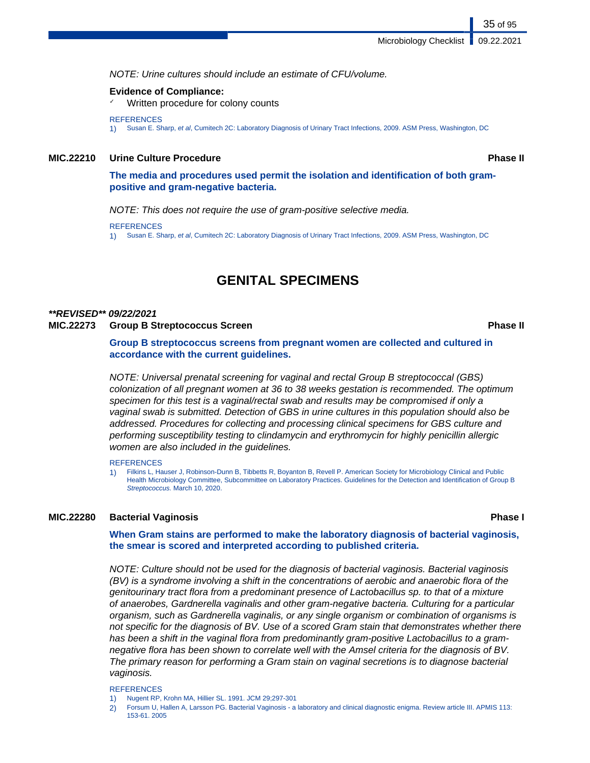NOTE: Urine cultures should include an estimate of CFU/volume.

## **Evidence of Compliance:**

Written procedure for colony counts

### **REFERENCES**

1) Susan E. Sharp, et al, Cumitech 2C: Laboratory Diagnosis of Urinary Tract Infections, 2009. ASM Press, Washington, DC

## **MIC.22210 Urine Culture Procedure Phase II**

35 of 95

## **The media and procedures used permit the isolation and identification of both grampositive and gram-negative bacteria.**

NOTE: This does not require the use of gram-positive selective media.

**REFERENCES** 

1) Susan E. Sharp, et al, Cumitech 2C: Laboratory Diagnosis of Urinary Tract Infections, 2009. ASM Press, Washington, DC

## **GENITAL SPECIMENS**

## **\*\*REVISED\*\* 09/22/2021 MIC.22273 Group B Streptococcus Screen Phase II**

**Group B streptococcus screens from pregnant women are collected and cultured in accordance with the current guidelines.**

NOTE: Universal prenatal screening for vaginal and rectal Group B streptococcal (GBS) colonization of all pregnant women at 36 to 38 weeks gestation is recommended. The optimum specimen for this test is a vaginal/rectal swab and results may be compromised if only a vaginal swab is submitted. Detection of GBS in urine cultures in this population should also be addressed. Procedures for collecting and processing clinical specimens for GBS culture and performing susceptibility testing to clindamycin and erythromycin for highly penicillin allergic women are also included in the guidelines.

### **REFERENCES**

1) Filkins L, Hauser J, Robinson-Dunn B, Tibbetts R, Boyanton B, Revell P. American Society for Microbiology Clinical and Public Health Microbiology Committee, Subcommittee on Laboratory Practices. Guidelines for the Detection and Identification of Group B Streptococcus. March 10, 2020.

## **MIC.22280 Bacterial Vaginosis Phase I**

**When Gram stains are performed to make the laboratory diagnosis of bacterial vaginosis, the smear is scored and interpreted according to published criteria.**

NOTE: Culture should not be used for the diagnosis of bacterial vaginosis. Bacterial vaginosis (BV) is a syndrome involving a shift in the concentrations of aerobic and anaerobic flora of the genitourinary tract flora from a predominant presence of Lactobacillus sp. to that of a mixture of anaerobes, Gardnerella vaginalis and other gram-negative bacteria. Culturing for a particular organism, such as Gardnerella vaginalis, or any single organism or combination of organisms is not specific for the diagnosis of BV. Use of a scored Gram stain that demonstrates whether there has been a shift in the vaginal flora from predominantly gram-positive Lactobacillus to a gramnegative flora has been shown to correlate well with the Amsel criteria for the diagnosis of BV. The primary reason for performing a Gram stain on vaginal secretions is to diagnose bacterial vaginosis.

### **REFERENCES**

- 1) Nugent RP, Krohn MA, Hillier SL. 1991. JCM 29;297-301
- 2) Forsum U, Hallen A, Larsson PG. Bacterial Vaginosis a laboratory and clinical diagnostic enigma. Review article III. APMIS 113: 153-61. 2005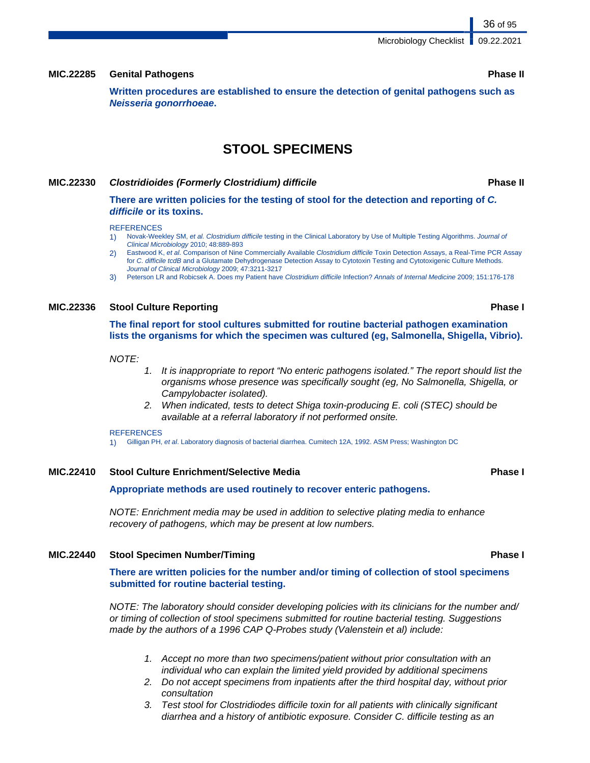## **MIC.22285 Genital Pathogens Phase II**

**Written procedures are established to ensure the detection of genital pathogens such as Neisseria gonorrhoeae.**

## **STOOL SPECIMENS**

## **MIC.22330 Clostridioides (Formerly Clostridium) difficile Phase II**

**There are written policies for the testing of stool for the detection and reporting of C. difficile or its toxins.**

### **REFERENCES**

- 1) Novak-Weekley SM, et al. Clostridium difficile testing in the Clinical Laboratory by Use of Multiple Testing Algorithms. Journal of Clinical Microbiology 2010; 48:889-893
- Eastwood K, et al. Comparison of Nine Commercially Available Clostridium difficile Toxin Detection Assays, a Real-Time PCR Assay for C. difficile tcdB and a Glutamate Dehydrogenase Detection Assay to Cytotoxin Testing and Cytotoxigenic Culture Methods. Journal of Clinical Microbiology 2009; 47:3211-3217
- 3) Peterson LR and Robicsek A. Does my Patient have Clostridium difficile Infection? Annals of Internal Medicine 2009; 151:176-178

## **MIC.22336 Stool Culture Reporting Phase I**

**The final report for stool cultures submitted for routine bacterial pathogen examination lists the organisms for which the specimen was cultured (eg, Salmonella, Shigella, Vibrio).**

## NOTE:

- 1. It is inappropriate to report "No enteric pathogens isolated." The report should list the organisms whose presence was specifically sought (eg, No Salmonella, Shigella, or Campylobacter isolated).
- 2. When indicated, tests to detect Shiga toxin-producing E. coli (STEC) should be available at a referral laboratory if not performed onsite.

### **REFERENCES**

1) Gilligan PH, et al. Laboratory diagnosis of bacterial diarrhea. Cumitech 12A, 1992. ASM Press; Washington DC

## **MIC.22410 Stool Culture Enrichment/Selective Media Phase I**

### **Appropriate methods are used routinely to recover enteric pathogens.**

NOTE: Enrichment media may be used in addition to selective plating media to enhance recovery of pathogens, which may be present at low numbers.

### **MIC.22440 Stool Specimen Number/Timing Phase I**

**There are written policies for the number and/or timing of collection of stool specimens submitted for routine bacterial testing.**

NOTE: The laboratory should consider developing policies with its clinicians for the number and/ or timing of collection of stool specimens submitted for routine bacterial testing. Suggestions made by the authors of a 1996 CAP Q-Probes study (Valenstein et al) include:

- 1. Accept no more than two specimens/patient without prior consultation with an individual who can explain the limited yield provided by additional specimens
- 2. Do not accept specimens from inpatients after the third hospital day, without prior consultation
- 3. Test stool for Clostridiodes difficile toxin for all patients with clinically significant diarrhea and a history of antibiotic exposure. Consider C. difficile testing as an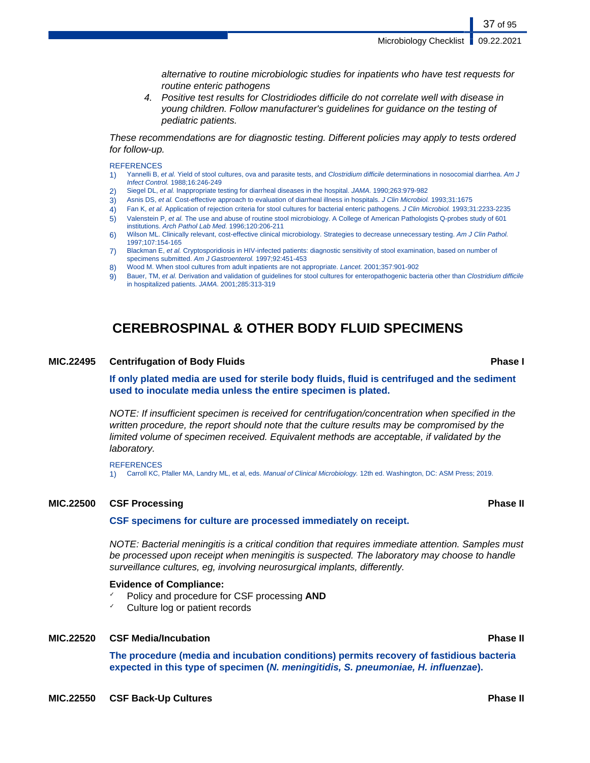37 of 95

alternative to routine microbiologic studies for inpatients who have test requests for routine enteric pathogens

4. Positive test results for Clostridiodes difficile do not correlate well with disease in young children. Follow manufacturer's guidelines for guidance on the testing of pediatric patients.

These recommendations are for diagnostic testing. Different policies may apply to tests ordered for follow-up.

### **REFERENCES**

- 1) Yannelli B, et al. Yield of stool cultures, ova and parasite tests, and Clostridium difficile determinations in nosocomial diarrhea. Am J Infect Control. 1988;16:246-249
- 2) Siegel DL, et al. Inappropriate testing for diarrheal diseases in the hospital. JAMA. 1990;263:979-982
- 3) Asnis DS, et al. Cost-effective approach to evaluation of diarrheal illness in hospitals. J Clin Microbiol. 1993;31:1675
- 4) Fan K, et al. Application of rejection criteria for stool cultures for bacterial enteric pathogens. J Clin Microbiol. 1993;31:2233-2235
- 5) Valenstein P, et al. The use and abuse of routine stool microbiology. A College of American Pathologists Q-probes study of 601
- institutions. Arch Pathol Lab Med. 1996;120:206-211 6) Wilson ML. Clinically relevant, cost-effective clinical microbiology. Strategies to decrease unnecessary testing. Am J Clin Pathol. 1997;107:154-165
- 7) Blackman E, et al. Cryptosporidiosis in HIV-infected patients: diagnostic sensitivity of stool examination, based on number of specimens submitted. Am J Gastroenterol. 1997;92:451-453
- 8) Wood M. When stool cultures from adult inpatients are not appropriate. Lancet. 2001;357:901-902
- 9) Bauer, TM, et al. Derivation and validation of guidelines for stool cultures for enteropathogenic bacteria other than Clostridium difficile in hospitalized patients. JAMA. 2001;285:313-319

# **CEREBROSPINAL & OTHER BODY FLUID SPECIMENS**

### **MIC.22495 Centrifugation of Body Fluids Phase I**

**If only plated media are used for sterile body fluids, fluid is centrifuged and the sediment used to inoculate media unless the entire specimen is plated.**

NOTE: If insufficient specimen is received for centrifugation/concentration when specified in the written procedure, the report should note that the culture results may be compromised by the limited volume of specimen received. Equivalent methods are acceptable, if validated by the laboratory.

**REFERENCES** 1) Carroll KC, Pfaller MA, Landry ML, et al, eds. Manual of Clinical Microbiology. 12th ed. Washington, DC: ASM Press; 2019.

### **MIC.22500 CSF Processing Phase II**

### **CSF specimens for culture are processed immediately on receipt.**

NOTE: Bacterial meningitis is a critical condition that requires immediate attention. Samples must be processed upon receipt when meningitis is suspected. The laboratory may choose to handle surveillance cultures, eg, involving neurosurgical implants, differently.

### **Evidence of Compliance:**

- ✓ Policy and procedure for CSF processing **AND**
- ✓ Culture log or patient records

### **MIC.22520 CSF Media/Incubation Phase II**

**The procedure (media and incubation conditions) permits recovery of fastidious bacteria expected in this type of specimen (N. meningitidis, S. pneumoniae, H. influenzae).**

**MIC.22550 CSF Back-Up Cultures Phase II**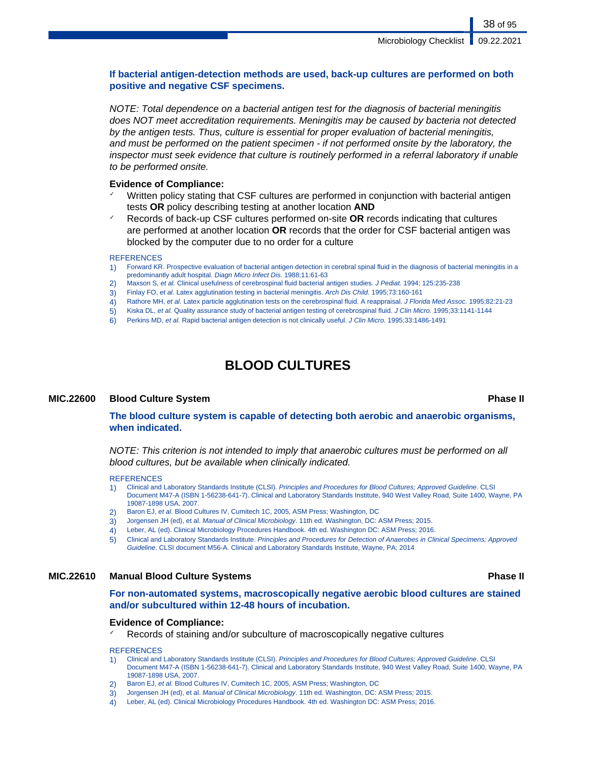### **If bacterial antigen-detection methods are used, back-up cultures are performed on both positive and negative CSF specimens.**

NOTE: Total dependence on a bacterial antigen test for the diagnosis of bacterial meningitis does NOT meet accreditation requirements. Meningitis may be caused by bacteria not detected by the antigen tests. Thus, culture is essential for proper evaluation of bacterial meningitis, and must be performed on the patient specimen - if not performed onsite by the laboratory, the inspector must seek evidence that culture is routinely performed in a referral laboratory if unable to be performed onsite.

### **Evidence of Compliance:**

- Written policy stating that CSF cultures are performed in conjunction with bacterial antigen tests **OR** policy describing testing at another location **AND**
- ✓ Records of back-up CSF cultures performed on-site **OR** records indicating that cultures are performed at another location **OR** records that the order for CSF bacterial antigen was blocked by the computer due to no order for a culture

### **REFERENCES**

- 1) Forward KR. Prospective evaluation of bacterial antigen detection in cerebral spinal fluid in the diagnosis of bacterial meningitis in a predominantly adult hospital. Diagn Micro Infect Dis. 1988;11:61-63
- 2) Maxson S, et al. Clinical usefulness of cerebrospinal fluid bacterial antigen studies. J Pediat. 1994; 125:235-238
- 3) Finlay FO, et al. Latex agglutination testing in bacterial meningitis. Arch Dis Child. 1995;73:160-161
- 4) Rathore MH, et al. Latex particle agglutination tests on the cerebrospinal fluid. A reappraisal. J Florida Med Assoc. 1995;82:21-23
- 5) Kiska DL, et al. Quality assurance study of bacterial antigen testing of cerebrospinal fluid. J Clin Micro. 1995;33:1141-1144
- 6) Perkins MD, et al. Rapid bacterial antigen detection is not clinically useful. J Clin Micro. 1995;33:1486-1491

# **BLOOD CULTURES**

### **MIC.22600 Blood Culture System Phase II**

**The blood culture system is capable of detecting both aerobic and anaerobic organisms, when indicated.**

NOTE: This criterion is not intended to imply that anaerobic cultures must be performed on all blood cultures, but be available when clinically indicated.

### **REFERENCES**

- 1) Clinical and Laboratory Standards Institute (CLSI). Principles and Procedures for Blood Cultures; Approved Guideline. CLSI Document M47-A (ISBN 1-56238-641-7). Clinical and Laboratory Standards Institute, 940 West Valley Road, Suite 1400, Wayne, PA 19087-1898 USA, 2007.
- 2) Baron EJ, et al. Blood Cultures IV, Cumitech 1C, 2005, ASM Press; Washington, DC
- 3) Jorgensen JH (ed), et al. Manual of Clinical Microbiology. 11th ed. Washington, DC: ASM Press; 2015.
- 4) Leber, AL (ed). Clinical Microbiology Procedures Handbook. 4th ed. Washington DC: ASM Press; 2016.
- 5) Clinical and Laboratory Standards Institute. Principles and Procedures for Detection of Anaerobes in Clinical Specimens; Approved Guideline. CLSI document M56-A. Clinical and Laboratory Standards Institute, Wayne, PA; 2014

### **MIC.22610 Manual Blood Culture Systems Phase II**

**For non-automated systems, macroscopically negative aerobic blood cultures are stained and/or subcultured within 12-48 hours of incubation.**

### **Evidence of Compliance:**

Records of staining and/or subculture of macroscopically negative cultures

- 1) Clinical and Laboratory Standards Institute (CLSI). Principles and Procedures for Blood Cultures; Approved Guideline. CLSI Document M47-A (ISBN 1-56238-641-7). Clinical and Laboratory Standards Institute, 940 West Valley Road, Suite 1400, Wayne, PA 19087-1898 USA, 2007.
- Baron EJ, et al. Blood Cultures IV, Cumitech 1C, 2005, ASM Press; Washington, DC
- 3) Jorgensen JH (ed), et al. Manual of Clinical Microbiology. 11th ed. Washington, DC: ASM Press; 2015.
- 4) Leber, AL (ed). Clinical Microbiology Procedures Handbook. 4th ed. Washington DC: ASM Press; 2016.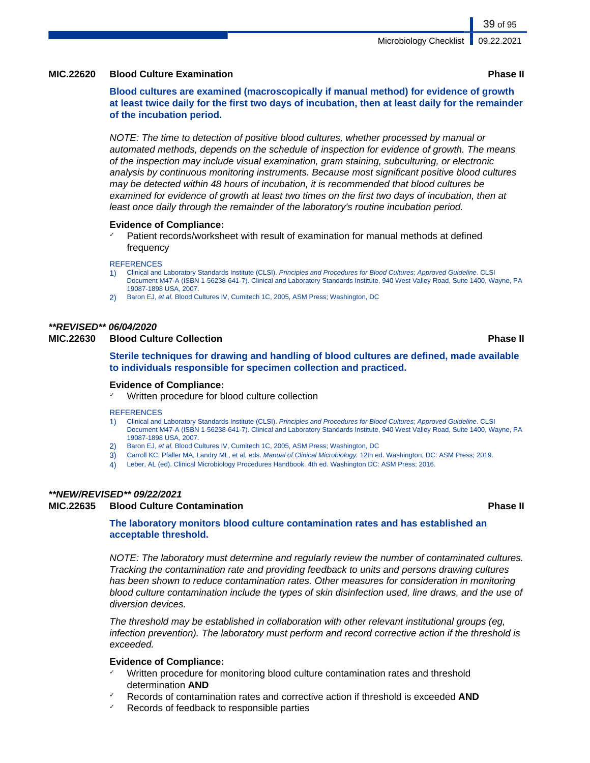### **MIC.22620 Blood Culture Examination Phase II**

**Blood cultures are examined (macroscopically if manual method) for evidence of growth at least twice daily for the first two days of incubation, then at least daily for the remainder of the incubation period.**

NOTE: The time to detection of positive blood cultures, whether processed by manual or automated methods, depends on the schedule of inspection for evidence of growth. The means of the inspection may include visual examination, gram staining, subculturing, or electronic analysis by continuous monitoring instruments. Because most significant positive blood cultures may be detected within 48 hours of incubation, it is recommended that blood cultures be examined for evidence of growth at least two times on the first two days of incubation, then at least once daily through the remainder of the laboratory's routine incubation period.

### **Evidence of Compliance:**

Patient records/worksheet with result of examination for manual methods at defined frequency

### **REFERENCES**

- 1) Clinical and Laboratory Standards Institute (CLSI). Principles and Procedures for Blood Cultures: Approved Guideline. CLSI Document M47-A (ISBN 1-56238-641-7). Clinical and Laboratory Standards Institute, 940 West Valley Road, Suite 1400, Wayne, PA 19087-1898 USA, 2007.
- 2) Baron EJ, et al. Blood Cultures IV, Cumitech 1C, 2005, ASM Press; Washington, DC

### **\*\*REVISED\*\* 06/04/2020**

### **MIC.22630 Blood Culture Collection Phase II**

**Sterile techniques for drawing and handling of blood cultures are defined, made available to individuals responsible for specimen collection and practiced.**

### **Evidence of Compliance:**

✓ Written procedure for blood culture collection

### **REFERENCES**

- 1) Clinical and Laboratory Standards Institute (CLSI). Principles and Procedures for Blood Cultures; Approved Guideline. CLSI Document M47-A (ISBN 1-56238-641-7). Clinical and Laboratory Standards Institute, 940 West Valley Road, Suite 1400, Wayne, PA 19087-1898 USA, 2007.
- 2) Baron EJ, et al. Blood Cultures IV, Cumitech 1C, 2005, ASM Press; Washington, DC
- 3) Carroll KC, Pfaller MA, Landry ML, et al, eds. Manual of Clinical Microbiology. 12th ed. Washington, DC: ASM Press; 2019.
- 4) Leber, AL (ed). Clinical Microbiology Procedures Handbook. 4th ed. Washington DC: ASM Press; 2016.

### **\*\*NEW/REVISED\*\* 09/22/2021**

### **MIC.22635 Blood Culture Contamination Phase II**

### **The laboratory monitors blood culture contamination rates and has established an acceptable threshold.**

NOTE: The laboratory must determine and regularly review the number of contaminated cultures. Tracking the contamination rate and providing feedback to units and persons drawing cultures has been shown to reduce contamination rates. Other measures for consideration in monitoring blood culture contamination include the types of skin disinfection used, line draws, and the use of diversion devices.

The threshold may be established in collaboration with other relevant institutional groups (eg, infection prevention). The laboratory must perform and record corrective action if the threshold is exceeded.

### **Evidence of Compliance:**

- ✓ Written procedure for monitoring blood culture contamination rates and threshold determination **AND**
- ✓ Records of contamination rates and corrective action if threshold is exceeded **AND**
- Records of feedback to responsible parties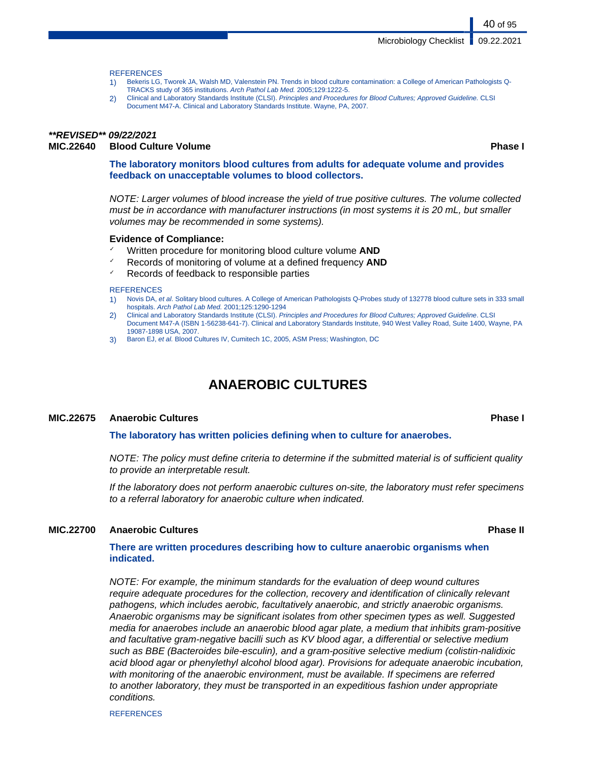### **REFERENCES**

- 1) Bekeris LG, Tworek JA, Walsh MD, Valenstein PN. Trends in blood culture contamination: a College of American Pathologists Q-TRACKS study of 365 institutions. Arch Pathol Lab Med. 2005;129:1222-5.
- 2) Clinical and Laboratory Standards Institute (CLSI). Principles and Procedures for Blood Cultures; Approved Guideline. CLSI Document M47-A. Clinical and Laboratory Standards Institute. Wayne, PA, 2007.

### **\*\*REVISED\*\* 09/22/2021 MIC.22640 Blood Culture Volume Phase I**

40 of 95

**The laboratory monitors blood cultures from adults for adequate volume and provides feedback on unacceptable volumes to blood collectors.**

NOTE: Larger volumes of blood increase the yield of true positive cultures. The volume collected must be in accordance with manufacturer instructions (in most systems it is 20 mL, but smaller volumes may be recommended in some systems).

### **Evidence of Compliance:**

- Written procedure for monitoring blood culture volume **AND**
- ✓ Records of monitoring of volume at a defined frequency **AND**
- ✓ Records of feedback to responsible parties

### **REFERENCES**

- Novis DA, et al. Solitary blood cultures. A College of American Pathologists Q-Probes study of 132778 blood culture sets in 333 small hospitals. Arch Pathol Lab Med. 2001;125:1290-1294
- 2) Clinical and Laboratory Standards Institute (CLSI). Principles and Procedures for Blood Cultures; Approved Guideline. CLSI Document M47-A (ISBN 1-56238-641-7). Clinical and Laboratory Standards Institute, 940 West Valley Road, Suite 1400, Wayne, PA 19087-1898 USA, 2007.
- 3) Baron EJ, et al. Blood Cultures IV, Cumitech 1C, 2005, ASM Press; Washington, DC

# **ANAEROBIC CULTURES**

### **MIC.22675 Anaerobic Cultures Phase I**

**The laboratory has written policies defining when to culture for anaerobes.**

NOTE: The policy must define criteria to determine if the submitted material is of sufficient quality to provide an interpretable result.

If the laboratory does not perform anaerobic cultures on-site, the laboratory must refer specimens to a referral laboratory for anaerobic culture when indicated.

### **MIC.22700 Anaerobic Cultures Phase II**

### **There are written procedures describing how to culture anaerobic organisms when indicated.**

NOTE: For example, the minimum standards for the evaluation of deep wound cultures require adequate procedures for the collection, recovery and identification of clinically relevant pathogens, which includes aerobic, facultatively anaerobic, and strictly anaerobic organisms. Anaerobic organisms may be significant isolates from other specimen types as well. Suggested media for anaerobes include an anaerobic blood agar plate, a medium that inhibits gram-positive and facultative gram-negative bacilli such as KV blood agar, a differential or selective medium such as BBE (Bacteroides bile-esculin), and a gram-positive selective medium (colistin-nalidixic acid blood agar or phenylethyl alcohol blood agar). Provisions for adequate anaerobic incubation, with monitoring of the anaerobic environment, must be available. If specimens are referred to another laboratory, they must be transported in an expeditious fashion under appropriate conditions.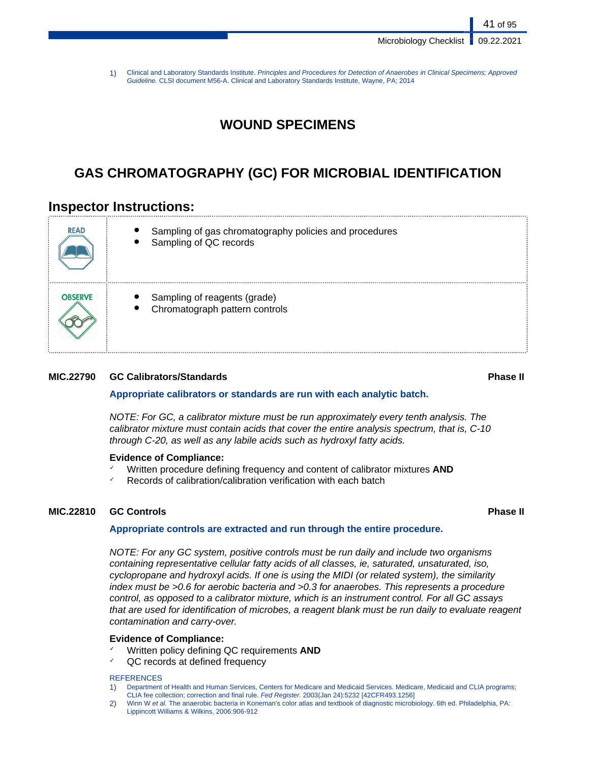Microbiology Checklist | 09.22.2021

41 of 95

1) Clinical and Laboratory Standards Institute. Principles and Procedures for Detection of Anaerobes in Clinical Specimens; Approved Guideline. CLSI document M56-A. Clinical and Laboratory Standards Institute, Wayne, PA; 2014

# **WOUND SPECIMENS**

# **GAS CHROMATOGRAPHY (GC) FOR MICROBIAL IDENTIFICATION**

# **Inspector Instructions:**

| <b>READ</b>    | Sampling of gas chromatography policies and procedures<br>Sampling of QC records |
|----------------|----------------------------------------------------------------------------------|
| <b>OBSERVE</b> | Sampling of reagents (grade)<br>Chromatograph pattern controls                   |

### **MIC.22790 GC Calibrators/Standards Phase II**

### **Appropriate calibrators or standards are run with each analytic batch.**

NOTE: For GC, a calibrator mixture must be run approximately every tenth analysis. The calibrator mixture must contain acids that cover the entire analysis spectrum, that is, C-10 through C-20, as well as any labile acids such as hydroxyl fatty acids.

### **Evidence of Compliance:**

- Written procedure defining frequency and content of calibrator mixtures **AND**
- $\checkmark$  Records of calibration/calibration verification with each batch

### **MIC.22810 GC Controls Phase II**

### **Appropriate controls are extracted and run through the entire procedure.**

NOTE: For any GC system, positive controls must be run daily and include two organisms containing representative cellular fatty acids of all classes, ie, saturated, unsaturated, iso, cyclopropane and hydroxyl acids. If one is using the MIDI (or related system), the similarity index must be >0.6 for aerobic bacteria and >0.3 for anaerobes. This represents a procedure control, as opposed to a calibrator mixture, which is an instrument control. For all GC assays that are used for identification of microbes, a reagent blank must be run daily to evaluate reagent contamination and carry-over.

### **Evidence of Compliance:**

- Written policy defining QC requirements **AND**
- QC records at defined frequency

- 1) Department of Health and Human Services, Centers for Medicare and Medicaid Services. Medicare, Medicaid and CLIA programs; CLIA fee collection; correction and final rule. Fed Register. 2003(Jan 24):5232 [42CFR493.1256]
- 2) Winn W et al. The anaerobic bacteria in Koneman's color atlas and textbook of diagnostic microbiology. 6th ed. Philadelphia, PA: Lippincott Williams & Wilkins, 2006:906-912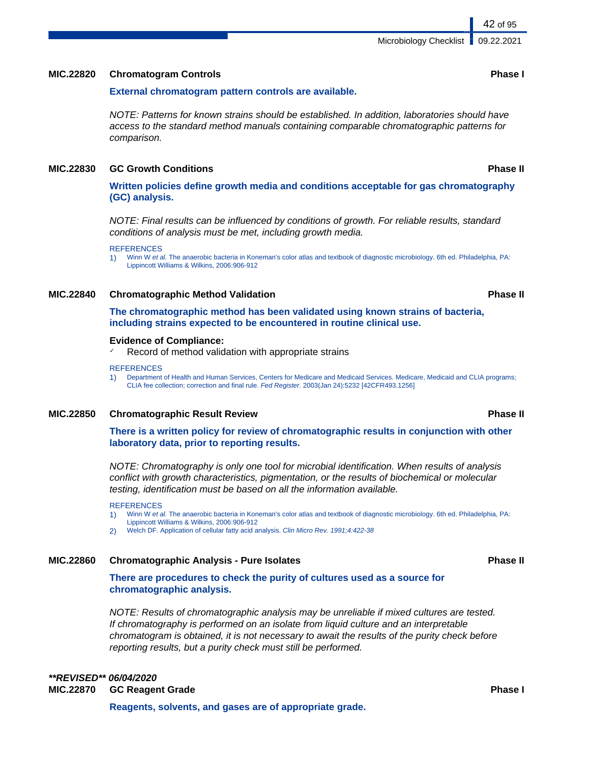### **MIC.22820 Chromatogram Controls Phase I**

### **External chromatogram pattern controls are available.**

NOTE: Patterns for known strains should be established. In addition, laboratories should have access to the standard method manuals containing comparable chromatographic patterns for comparison.

### **MIC.22830 GC Growth Conditions Phase II**

**Written policies define growth media and conditions acceptable for gas chromatography (GC) analysis.**

NOTE: Final results can be influenced by conditions of growth. For reliable results, standard conditions of analysis must be met, including growth media.

**REFERENCES** 

1) Winn W et al. The anaerobic bacteria in Koneman's color atlas and textbook of diagnostic microbiology. 6th ed. Philadelphia, PA: Lippincott Williams & Wilkins, 2006:906-912

### **MIC.22840 Chromatographic Method Validation Phase II**

**The chromatographic method has been validated using known strains of bacteria, including strains expected to be encountered in routine clinical use.**

### **Evidence of Compliance:**

Record of method validation with appropriate strains

### **REFERENCES**

1) Department of Health and Human Services, Centers for Medicare and Medicaid Services. Medicare, Medicaid and CLIA programs; CLIA fee collection; correction and final rule. Fed Register. 2003(Jan 24):5232 [42CFR493.1256]

### **MIC.22850 Chromatographic Result Review Phase II**

### **There is a written policy for review of chromatographic results in conjunction with other laboratory data, prior to reporting results.**

NOTE: Chromatography is only one tool for microbial identification. When results of analysis conflict with growth characteristics, pigmentation, or the results of biochemical or molecular testing, identification must be based on all the information available.

### REFERENCES

- 1) Winn W et al. The anaerobic bacteria in Koneman's color atlas and textbook of diagnostic microbiology. 6th ed. Philadelphia, PA: Lippincott Williams & Wilkins, 2006:906-912
- 2) Welch DF. Application of cellular fatty acid analysis. Clin Micro Rev. 1991;4:422-38

### **MIC.22860 Chromatographic Analysis - Pure Isolates Phase II**

**There are procedures to check the purity of cultures used as a source for chromatographic analysis.**

NOTE: Results of chromatographic analysis may be unreliable if mixed cultures are tested. If chromatography is performed on an isolate from liquid culture and an interpretable chromatogram is obtained, it is not necessary to await the results of the purity check before reporting results, but a purity check must still be performed.

## **\*\*REVISED\*\* 06/04/2020 MIC.22870 GC Reagent Grade Phase I**

**Reagents, solvents, and gases are of appropriate grade.**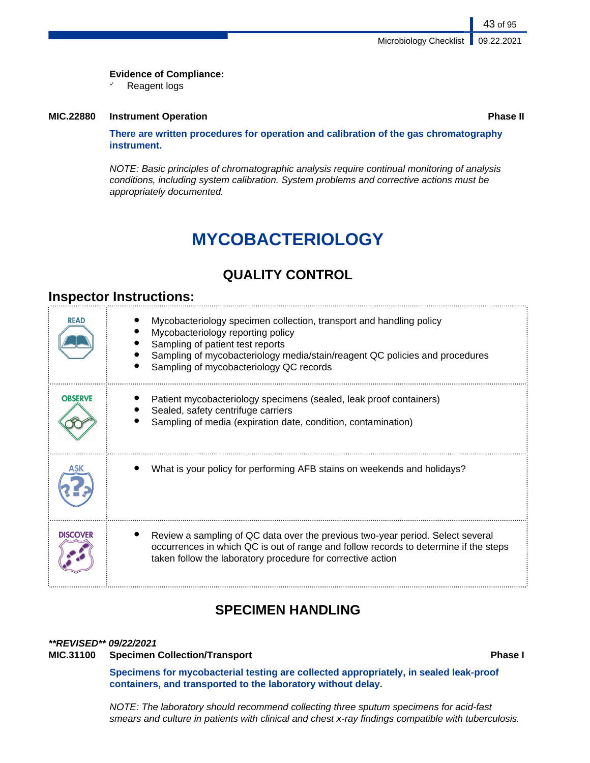### **Evidence of Compliance:**

✓ Reagent logs

### **MIC.22880 Instrument Operation Phase II**

**There are written procedures for operation and calibration of the gas chromatography instrument.**

NOTE: Basic principles of chromatographic analysis require continual monitoring of analysis conditions, including system calibration. System problems and corrective actions must be appropriately documented.

# **MYCOBACTERIOLOGY**

# **QUALITY CONTROL**

# **Inspector Instructions:**

| <b>READ</b>     | Mycobacteriology specimen collection, transport and handling policy<br>Mycobacteriology reporting policy<br>Sampling of patient test reports<br>Sampling of mycobacteriology media/stain/reagent QC policies and procedures<br>Sampling of mycobacteriology QC records |
|-----------------|------------------------------------------------------------------------------------------------------------------------------------------------------------------------------------------------------------------------------------------------------------------------|
| <b>OBSERVE</b>  | Patient mycobacteriology specimens (sealed, leak proof containers)<br>Sealed, safety centrifuge carriers<br>Sampling of media (expiration date, condition, contamination)                                                                                              |
|                 | What is your policy for performing AFB stains on weekends and holidays?                                                                                                                                                                                                |
| <b>DISCOVER</b> | Review a sampling of QC data over the previous two-year period. Select several<br>occurrences in which QC is out of range and follow records to determine if the steps<br>taken follow the laboratory procedure for corrective action                                  |

# **SPECIMEN HANDLING**

### **\*\*REVISED\*\* 09/22/2021**

### **MIC.31100 Specimen Collection/Transport Phase I**

**Specimens for mycobacterial testing are collected appropriately, in sealed leak-proof containers, and transported to the laboratory without delay.**

NOTE: The laboratory should recommend collecting three sputum specimens for acid-fast smears and culture in patients with clinical and chest x-ray findings compatible with tuberculosis.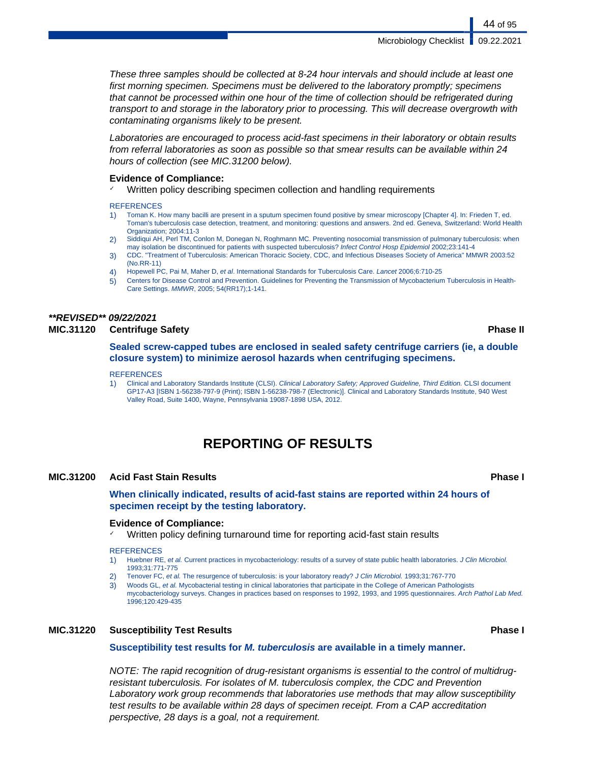Microbiology Checklist | 09.22.2021

These three samples should be collected at 8-24 hour intervals and should include at least one first morning specimen. Specimens must be delivered to the laboratory promptly; specimens that cannot be processed within one hour of the time of collection should be refrigerated during transport to and storage in the laboratory prior to processing. This will decrease overgrowth with contaminating organisms likely to be present.

Laboratories are encouraged to process acid-fast specimens in their laboratory or obtain results from referral laboratories as soon as possible so that smear results can be available within 24 hours of collection (see MIC.31200 below).

### **Evidence of Compliance:**

✓ Written policy describing specimen collection and handling requirements

### **REFERENCES**

- 1) Toman K. How many bacilli are present in a sputum specimen found positive by smear microscopy [Chapter 4]. In: Frieden T, ed. Toman's tuberculosis case detection, treatment, and monitoring: questions and answers. 2nd ed. Geneva, Switzerland: World Health Organization; 2004:11-3
- 2) Siddiqui AH, Perl TM, Conlon M, Donegan N, Roghmann MC. Preventing nosocomial transmission of pulmonary tuberculosis: when may isolation be discontinued for patients with suspected tuberculosis? Infect Control Hosp Epidemiol 2002;23:141-4
- 3) CDC. "Treatment of Tuberculosis: American Thoracic Society, CDC, and Infectious Diseases Society of America" MMWR 2003:52 (No.RR-11)
- 4) Hopewell PC, Pai M, Maher D, et al. International Standards for Tuberculosis Care. Lancet 2006;6:710-25
- 5) Centers for Disease Control and Prevention. Guidelines for Preventing the Transmission of Mycobacterium Tuberculosis in Health-Care Settings. MMWR, 2005; 54(RR17);1-141.

# **\*\*REVISED\*\* 09/22/2021**

### **MIC.31120 Centrifuge Safety Phase II**

**Sealed screw-capped tubes are enclosed in sealed safety centrifuge carriers (ie, a double closure system) to minimize aerosol hazards when centrifuging specimens.**

**REFERENCES** 

1) Clinical and Laboratory Standards Institute (CLSI). Clinical Laboratory Safety; Approved Guideline, Third Edition. CLSI document GP17-A3 [ISBN 1-56238-797-9 (Print); ISBN 1-56238-798-7 (Electronic)]. Clinical and Laboratory Standards Institute, 940 West Valley Road, Suite 1400, Wayne, Pennsylvania 19087-1898 USA, 2012.

# **REPORTING OF RESULTS**

### **MIC.31200 Acid Fast Stain Results Phase I**

**When clinically indicated, results of acid-fast stains are reported within 24 hours of specimen receipt by the testing laboratory.**

### **Evidence of Compliance:**

✓ Written policy defining turnaround time for reporting acid-fast stain results

### **REFERENCES**

- 1) Huebner RE, et al. Current practices in mycobacteriology: results of a survey of state public health laboratories. J Clin Microbiol. 1993;31:771-775
- 2) Tenover FC, et al. The resurgence of tuberculosis: is your laboratory ready? J Clin Microbiol. 1993;31:767-770
- 3) Woods GL, et al. Mycobacterial testing in clinical laboratories that participate in the College of American Pathologists mycobacteriology surveys. Changes in practices based on responses to 1992, 1993, and 1995 questionnaires. Arch Pathol Lab Med. 1996;120:429-435

### **MIC.31220 Susceptibility Test Results Phase I**

### **Susceptibility test results for M. tuberculosis are available in a timely manner.**

NOTE: The rapid recognition of drug-resistant organisms is essential to the control of multidrugresistant tuberculosis. For isolates of M. tuberculosis complex, the CDC and Prevention Laboratory work group recommends that laboratories use methods that may allow susceptibility test results to be available within 28 days of specimen receipt. From a CAP accreditation perspective, 28 days is a goal, not a requirement.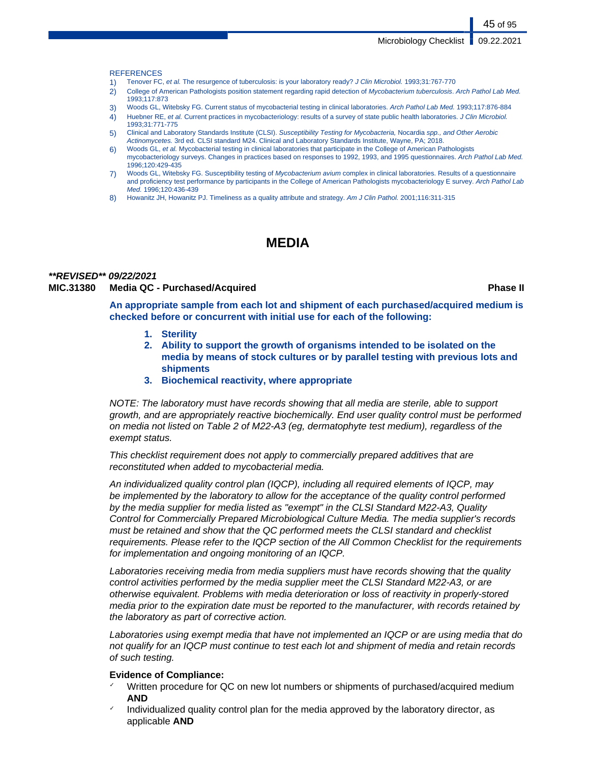45 of 95

### **REFERENCES**

- 1) Tenover FC, et al. The resurgence of tuberculosis: is your laboratory ready? J Clin Microbiol. 1993;31:767-770
- 2) College of American Pathologists position statement regarding rapid detection of Mycobacterium tuberculosis. Arch Pathol Lab Med. 1993;117:873
- 3) Woods GL, Witebsky FG. Current status of mycobacterial testing in clinical laboratories. Arch Pathol Lab Med. 1993;117:876-884
- 4) Huebner RE, et al. Current practices in mycobacteriology: results of a survey of state public health laboratories. J Clin Microbiol. 1993;31:771-775
- 5) Clinical and Laboratory Standards Institute (CLSI). Susceptibility Testing for Mycobacteria, Nocardia spp., and Other Aerobic Actinomycetes. 3rd ed. CLSI standard M24. Clinical and Laboratory Standards Institute, Wayne, PA; 2018.
- 6) Woods GL, et al. Mycobacterial testing in clinical laboratories that participate in the College of American Pathologists mycobacteriology surveys. Changes in practices based on responses to 1992, 1993, and 1995 questionnaires. Arch Pathol Lab Med. 1996;120:429-435
- 7) Woods GL, Witebsky FG. Susceptibility testing of Mycobacterium avium complex in clinical laboratories. Results of a questionnaire and proficiency test performance by participants in the College of American Pathologists mycobacteriology E survey. Arch Pathol Lab Med. 1996;120:436-439
- 8) Howanitz JH, Howanitz PJ. Timeliness as a quality attribute and strategy. Am J Clin Pathol. 2001;116:311-315

# **MEDIA**

### **\*\*REVISED\*\* 09/22/2021 MIC.31380 Media QC - Purchased/Acquired Phase II**

**An appropriate sample from each lot and shipment of each purchased/acquired medium is checked before or concurrent with initial use for each of the following:**

- **1. Sterility**
- **2. Ability to support the growth of organisms intended to be isolated on the media by means of stock cultures or by parallel testing with previous lots and shipments**
- **3. Biochemical reactivity, where appropriate**

NOTE: The laboratory must have records showing that all media are sterile, able to support growth, and are appropriately reactive biochemically. End user quality control must be performed on media not listed on Table 2 of M22-A3 (eg, dermatophyte test medium), regardless of the exempt status.

This checklist requirement does not apply to commercially prepared additives that are reconstituted when added to mycobacterial media.

An individualized quality control plan (IQCP), including all required elements of IQCP, may be implemented by the laboratory to allow for the acceptance of the quality control performed by the media supplier for media listed as "exempt" in the CLSI Standard M22-A3, Quality Control for Commercially Prepared Microbiological Culture Media. The media supplier's records must be retained and show that the QC performed meets the CLSI standard and checklist requirements. Please refer to the IQCP section of the All Common Checklist for the requirements for implementation and ongoing monitoring of an IQCP.

Laboratories receiving media from media suppliers must have records showing that the quality control activities performed by the media supplier meet the CLSI Standard M22-A3, or are otherwise equivalent. Problems with media deterioration or loss of reactivity in properly-stored media prior to the expiration date must be reported to the manufacturer, with records retained by the laboratory as part of corrective action.

Laboratories using exempt media that have not implemented an IQCP or are using media that do not qualify for an IQCP must continue to test each lot and shipment of media and retain records of such testing.

### **Evidence of Compliance:**

- Written procedure for QC on new lot numbers or shipments of purchased/acquired medium **AND**
- Individualized quality control plan for the media approved by the laboratory director, as applicable **AND**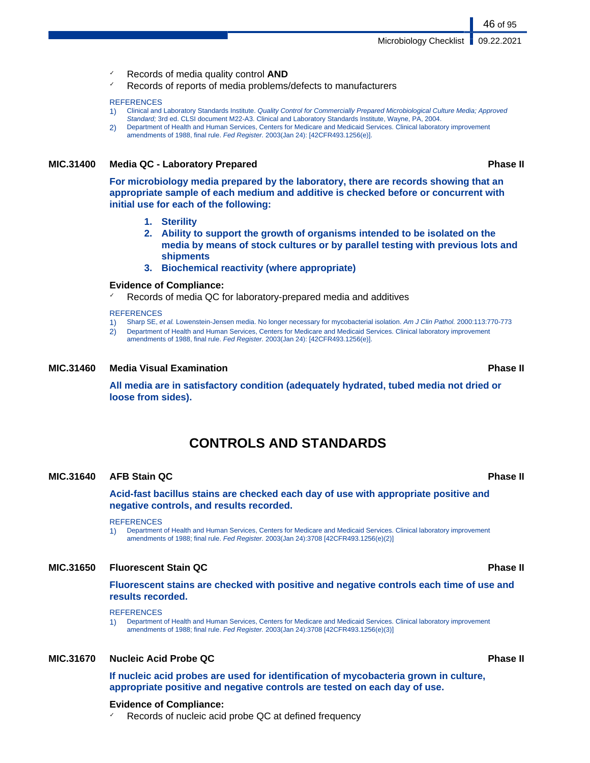- ✓ Records of media quality control **AND**
- Records of reports of media problems/defects to manufacturers

### **REFERENCES**

- 1) Clinical and Laboratory Standards Institute. Quality Control for Commercially Prepared Microbiological Culture Media; Approved Standard; 3rd ed. CLSI document M22-A3. Clinical and Laboratory Standards Institute, Wayne, PA, 2004.
- 2) Department of Health and Human Services, Centers for Medicare and Medicaid Services. Clinical laboratory improvement amendments of 1988, final rule. Fed Register. 2003(Jan 24): [42CFR493.1256(e)].

### **MIC.31400 Media QC - Laboratory Prepared Phase II**

**For microbiology media prepared by the laboratory, there are records showing that an appropriate sample of each medium and additive is checked before or concurrent with initial use for each of the following:**

- **1. Sterility**
- **2. Ability to support the growth of organisms intended to be isolated on the media by means of stock cultures or by parallel testing with previous lots and shipments**
- **3. Biochemical reactivity (where appropriate)**

### **Evidence of Compliance:**

Records of media QC for laboratory-prepared media and additives

### **REFERENCES**

- 1) Sharp SE, et al. Lowenstein-Jensen media. No longer necessary for mycobacterial isolation. Am J Clin Pathol. 2000:113:770-773
- 2) Department of Health and Human Services, Centers for Medicare and Medicaid Services. Clinical laboratory improvement
- amendments of 1988, final rule. Fed Register. 2003(Jan 24): [42CFR493.1256(e)].

### **MIC.31460 Media Visual Examination Phase II**

**All media are in satisfactory condition (adequately hydrated, tubed media not dried or loose from sides).**

# **CONTROLS AND STANDARDS**

### **MIC.31640 AFB Stain QC Phase II**

**Acid-fast bacillus stains are checked each day of use with appropriate positive and negative controls, and results recorded.**

**REFERENCES** 

1) Department of Health and Human Services, Centers for Medicare and Medicaid Services. Clinical laboratory improvement amendments of 1988; final rule. Fed Register. 2003(Jan 24):3708 [42CFR493.1256(e)(2)]

### **MIC.31650 Fluorescent Stain QC Phase II**

**Fluorescent stains are checked with positive and negative controls each time of use and results recorded.**

### **REFERENCES**

1) Department of Health and Human Services, Centers for Medicare and Medicaid Services. Clinical laboratory improvement amendments of 1988; final rule. Fed Register. 2003(Jan 24):3708 [42CFR493.1256(e)(3)]

### **MIC.31670 Nucleic Acid Probe QC Phase II**

**If nucleic acid probes are used for identification of mycobacteria grown in culture, appropriate positive and negative controls are tested on each day of use.**

### **Evidence of Compliance:**

Records of nucleic acid probe QC at defined frequency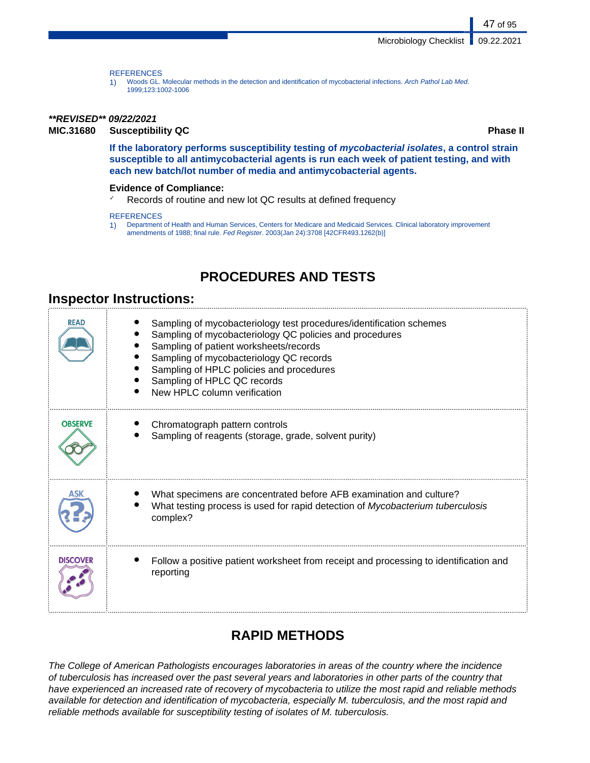### **REFERENCES**

1) Woods GL. Molecular methods in the detection and identification of mycobacterial infections. Arch Pathol Lab Med. 1999;123:1002-1006

### **\*\*REVISED\*\* 09/22/2021**

**MIC.31680 Susceptibility QC Phase II**

47 of 95

**If the laboratory performs susceptibility testing of mycobacterial isolates, a control strain susceptible to all antimycobacterial agents is run each week of patient testing, and with each new batch/lot number of media and antimycobacterial agents.**

### **Evidence of Compliance:**

✓ Records of routine and new lot QC results at defined frequency

**REFERENCES** 

1) Department of Health and Human Services, Centers for Medicare and Medicaid Services. Clinical laboratory improvement amendments of 1988; final rule. Fed Register. 2003(Jan 24):3708 [42CFR493.1262(b)]

# **PROCEDURES AND TESTS**

# **Inspector Instructions:**

| <b>READ</b>     | Sampling of mycobacteriology test procedures/identification schemes<br>Sampling of mycobacteriology QC policies and procedures<br>Sampling of patient worksheets/records<br>Sampling of mycobacteriology QC records<br>Sampling of HPLC policies and procedures<br>Sampling of HPLC QC records<br>New HPLC column verification |
|-----------------|--------------------------------------------------------------------------------------------------------------------------------------------------------------------------------------------------------------------------------------------------------------------------------------------------------------------------------|
| <b>OBSERVE</b>  | Chromatograph pattern controls<br>Sampling of reagents (storage, grade, solvent purity)                                                                                                                                                                                                                                        |
| ΔSΚ             | What specimens are concentrated before AFB examination and culture?<br>What testing process is used for rapid detection of Mycobacterium tuberculosis<br>complex?                                                                                                                                                              |
| <b>DISCOVER</b> | Follow a positive patient worksheet from receipt and processing to identification and<br>reporting                                                                                                                                                                                                                             |

# **RAPID METHODS**

The College of American Pathologists encourages laboratories in areas of the country where the incidence of tuberculosis has increased over the past several years and laboratories in other parts of the country that have experienced an increased rate of recovery of mycobacteria to utilize the most rapid and reliable methods available for detection and identification of mycobacteria, especially M. tuberculosis, and the most rapid and reliable methods available for susceptibility testing of isolates of M. tuberculosis.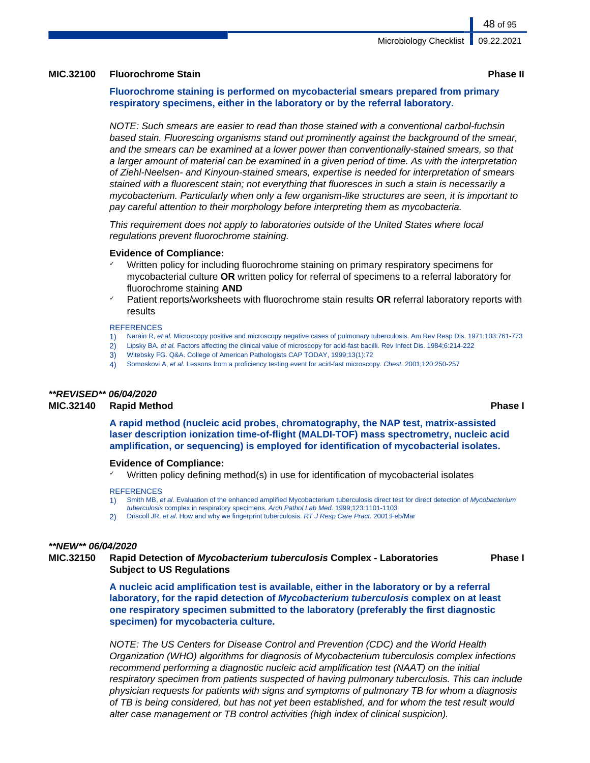### **MIC.32100 Fluorochrome Stain Phase II**

### **Fluorochrome staining is performed on mycobacterial smears prepared from primary respiratory specimens, either in the laboratory or by the referral laboratory.**

NOTE: Such smears are easier to read than those stained with a conventional carbol-fuchsin based stain. Fluorescing organisms stand out prominently against the background of the smear, and the smears can be examined at a lower power than conventionally-stained smears, so that a larger amount of material can be examined in a given period of time. As with the interpretation of Ziehl-Neelsen- and Kinyoun-stained smears, expertise is needed for interpretation of smears stained with a fluorescent stain; not everything that fluoresces in such a stain is necessarily a mycobacterium. Particularly when only a few organism-like structures are seen, it is important to pay careful attention to their morphology before interpreting them as mycobacteria.

This requirement does not apply to laboratories outside of the United States where local regulations prevent fluorochrome staining.

### **Evidence of Compliance:**

- Written policy for including fluorochrome staining on primary respiratory specimens for mycobacterial culture **OR** written policy for referral of specimens to a referral laboratory for fluorochrome staining **AND**
- ✓ Patient reports/worksheets with fluorochrome stain results **OR** referral laboratory reports with results

### **REFERENCES**

- 1) Narain R, et al. Microscopy positive and microscopy negative cases of pulmonary tuberculosis. Am Rev Resp Dis. 1971;103:761-773
- 2) Lipsky BA, et al. Factors affecting the clinical value of microscopy for acid-fast bacilli. Rev Infect Dis. 1984;6:214-222
- 3) Witebsky FG. Q&A. College of American Pathologists CAP TODAY, 1999;13(1):72
- 4) Somoskovi A, et al. Lessons from a proficiency testing event for acid-fast microscopy. Chest. 2001;120:250-257

### **\*\*REVISED\*\* 06/04/2020**

### **MIC.32140 Rapid Method Phase I**

**A rapid method (nucleic acid probes, chromatography, the NAP test, matrix-assisted laser description ionization time-of-flight (MALDI-TOF) mass spectrometry, nucleic acid amplification, or sequencing) is employed for identification of mycobacterial isolates.**

### **Evidence of Compliance:**

Written policy defining method(s) in use for identification of mycobacterial isolates

### **REFERENCES**

- 1) Smith MB, et al. Evaluation of the enhanced amplified Mycobacterium tuberculosis direct test for direct detection of Mycobacterium
- tuberculosis complex in respiratory specimens. Arch Pathol Lab Med. 1999;123:1101-1103 2) Driscoll JR, et al. How and why we fingerprint tuberculosis. RT J Resp Care Pract. 2001:Feb/Mar
- 

### **\*\*NEW\*\* 06/04/2020**

### **MIC.32150 Rapid Detection of Mycobacterium tuberculosis Complex - Laboratories Subject to US Regulations**

**Phase I**

**A nucleic acid amplification test is available, either in the laboratory or by a referral laboratory, for the rapid detection of Mycobacterium tuberculosis complex on at least one respiratory specimen submitted to the laboratory (preferably the first diagnostic specimen) for mycobacteria culture.**

NOTE: The US Centers for Disease Control and Prevention (CDC) and the World Health Organization (WHO) algorithms for diagnosis of Mycobacterium tuberculosis complex infections recommend performing a diagnostic nucleic acid amplification test (NAAT) on the initial respiratory specimen from patients suspected of having pulmonary tuberculosis. This can include physician requests for patients with signs and symptoms of pulmonary TB for whom a diagnosis of TB is being considered, but has not yet been established, and for whom the test result would alter case management or TB control activities (high index of clinical suspicion).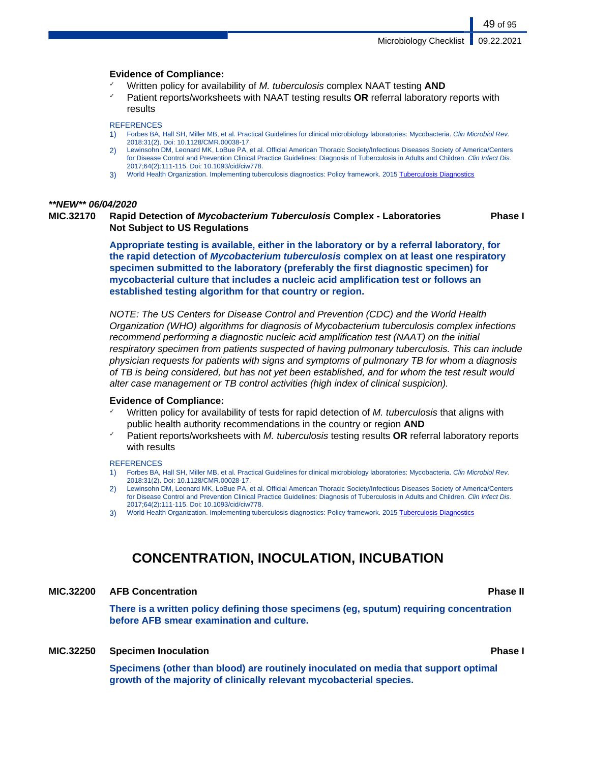### **Evidence of Compliance:**

- Written policy for availability of M. tuberculosis complex NAAT testing **AND**
- Patient reports/worksheets with NAAT testing results **OR** referral laboratory reports with results

### **REFERENCES**

- 1) Forbes BA, Hall SH, Miller MB, et al. Practical Guidelines for clinical microbiology laboratories: Mycobacteria. Clin Microbiol Rev. 2018:31(2). Doi: 10.1128/CMR.00038-17.
- 2) Lewinsohn DM, Leonard MK, LoBue PA, et al. Official American Thoracic Society/Infectious Diseases Society of America/Centers for Disease Control and Prevention Clinical Practice Guidelines: Diagnosis of Tuberculosis in Adults and Children. Clin Infect Dis. 2017;64(2):111-115. Doi: 10.1093/cid/ciw778.
- 3) World Health Organization. Implementing tuberculosis diagnostics: Policy framework. 2015 [Tuberculosis Diagnostics](https://apps.who.int/iris/bitstream/handle/10665/162712/9789241508612_eng.pdf;jsessionid=10EEBD568D0C1CF03288A4D967886B45?sequence=1)

### **\*\*NEW\*\* 06/04/2020**

### **MIC.32170 Rapid Detection of Mycobacterium Tuberculosis Complex - Laboratories Not Subject to US Regulations Phase I**

**Appropriate testing is available, either in the laboratory or by a referral laboratory, for the rapid detection of Mycobacterium tuberculosis complex on at least one respiratory specimen submitted to the laboratory (preferably the first diagnostic specimen) for mycobacterial culture that includes a nucleic acid amplification test or follows an established testing algorithm for that country or region.**

NOTE: The US Centers for Disease Control and Prevention (CDC) and the World Health Organization (WHO) algorithms for diagnosis of Mycobacterium tuberculosis complex infections recommend performing a diagnostic nucleic acid amplification test (NAAT) on the initial respiratory specimen from patients suspected of having pulmonary tuberculosis. This can include physician requests for patients with signs and symptoms of pulmonary TB for whom a diagnosis of TB is being considered, but has not yet been established, and for whom the test result would alter case management or TB control activities (high index of clinical suspicion).

### **Evidence of Compliance:**

- Written policy for availability of tests for rapid detection of M. tuberculosis that aligns with public health authority recommendations in the country or region **AND**
- Patient reports/worksheets with M. tuberculosis testing results **OR** referral laboratory reports with results

### **REFERENCES**

- 1) Forbes BA, Hall SH, Miller MB, et al. Practical Guidelines for clinical microbiology laboratories: Mycobacteria. Clin Microbiol Rev. 2018:31(2). Doi: 10.1128/CMR.00028-17.
- 2) Lewinsohn DM, Leonard MK, LoBue PA, et al. Official American Thoracic Society/Infectious Diseases Society of America/Centers for Disease Control and Prevention Clinical Practice Guidelines: Diagnosis of Tuberculosis in Adults and Children. Clin Infect Dis. 2017;64(2):111-115. Doi: 10.1093/cid/ciw778.
- World Health Organization. Implementing tuberculosis diagnostics: Policy framework. 2015 [Tuberculosis Diagnostics](https://apps.who.int/iris/bitstream/handle/10665/162712/9789241508612_eng.pdf;jsessionid=10EEBD568D0C1CF03288A4D967886B45?sequence=1)

# **CONCENTRATION, INOCULATION, INCUBATION**

### **MIC.32200 AFB Concentration Phase II**

**There is a written policy defining those specimens (eg, sputum) requiring concentration before AFB smear examination and culture.**

### **MIC.32250 Specimen Inoculation Phase I**

**Specimens (other than blood) are routinely inoculated on media that support optimal growth of the majority of clinically relevant mycobacterial species.**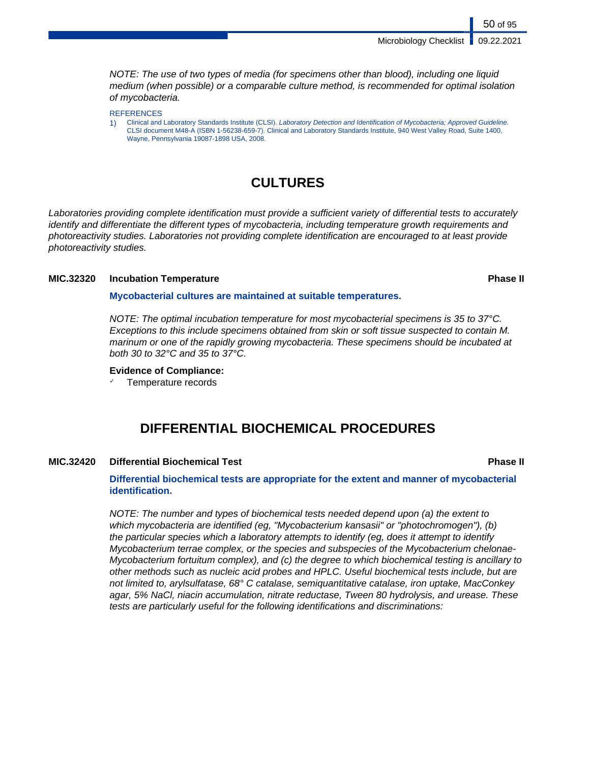Microbiology Checklist | 09.22.2021

NOTE: The use of two types of media (for specimens other than blood), including one liquid medium (when possible) or a comparable culture method, is recommended for optimal isolation of mycobacteria.

**REFERENCES** 

1) Clinical and Laboratory Standards Institute (CLSI). Laboratory Detection and Identification of Mycobacteria; Approved Guideline. CLSI document M48-A (ISBN 1-56238-659-7). Clinical and Laboratory Standards Institute, 940 West Valley Road, Suite 1400, Wayne, Pennsylvania 19087-1898 USA, 2008.

# **CULTURES**

Laboratories providing complete identification must provide a sufficient variety of differential tests to accurately identify and differentiate the different types of mycobacteria, including temperature growth requirements and photoreactivity studies. Laboratories not providing complete identification are encouraged to at least provide photoreactivity studies.

### **MIC.32320 Incubation Temperature Phase II**

**Mycobacterial cultures are maintained at suitable temperatures.**

NOTE: The optimal incubation temperature for most mycobacterial specimens is 35 to 37°C. Exceptions to this include specimens obtained from skin or soft tissue suspected to contain M. marinum or one of the rapidly growing mycobacteria. These specimens should be incubated at both 30 to 32°C and 35 to 37°C.

### **Evidence of Compliance:**

✓ Temperature records

# **DIFFERENTIAL BIOCHEMICAL PROCEDURES**

### **MIC.32420 Differential Biochemical Test Phase II**

### **Differential biochemical tests are appropriate for the extent and manner of mycobacterial identification.**

NOTE: The number and types of biochemical tests needed depend upon (a) the extent to which mycobacteria are identified (eg, "Mycobacterium kansasii" or "photochromogen"), (b) the particular species which a laboratory attempts to identify (eg, does it attempt to identify Mycobacterium terrae complex, or the species and subspecies of the Mycobacterium chelonae-Mycobacterium fortuitum complex), and (c) the degree to which biochemical testing is ancillary to other methods such as nucleic acid probes and HPLC. Useful biochemical tests include, but are not limited to, arylsulfatase, 68° C catalase, semiquantitative catalase, iron uptake, MacConkey agar, 5% NaCl, niacin accumulation, nitrate reductase, Tween 80 hydrolysis, and urease. These tests are particularly useful for the following identifications and discriminations: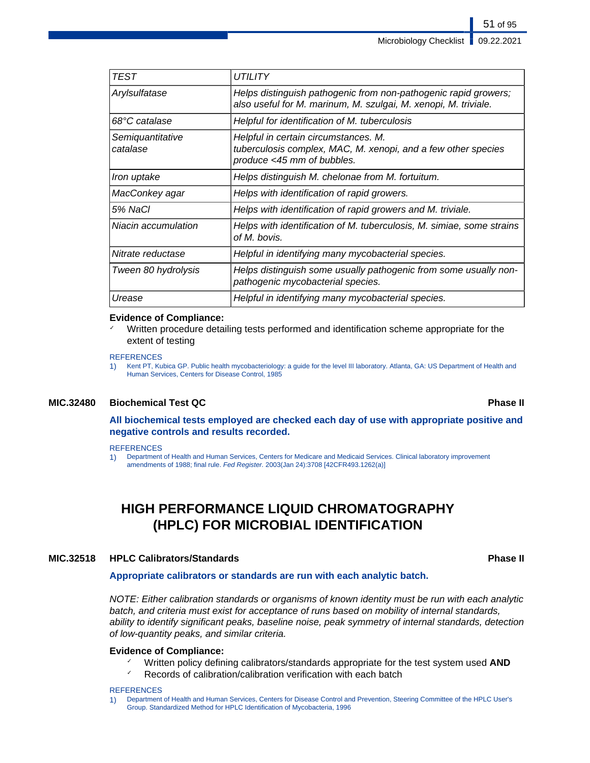| TEST<br><i>UTILITY</i><br>Helps distinguish pathogenic from non-pathogenic rapid growers;<br>Arylsulfatase<br>also useful for M. marinum, M. szulgai, M. xenopi, M. triviale.<br>68°C catalase<br>Helpful for identification of M. tuberculosis<br>Helpful in certain circumstances. M.<br>Semiquantitative<br>tuberculosis complex, MAC, M. xenopi, and a few other species<br>catalase<br>produce <45 mm of bubbles.<br>Helps distinguish M. chelonae from M. fortuitum.<br>Iron uptake<br>Helps with identification of rapid growers.<br>MacConkey agar<br>5% NaCl<br>Helps with identification of rapid growers and M. triviale.<br>Niacin accumulation<br>Helps with identification of M. tuberculosis, M. simiae, some strains<br>of M. bovis.<br>Nitrate reductase<br>Helpful in identifying many mycobacterial species.<br>Helps distinguish some usually pathogenic from some usually non-<br>Tween 80 hydrolysis<br>pathogenic mycobacterial species.<br>Helpful in identifying many mycobacterial species.<br>Urease |  |
|---------------------------------------------------------------------------------------------------------------------------------------------------------------------------------------------------------------------------------------------------------------------------------------------------------------------------------------------------------------------------------------------------------------------------------------------------------------------------------------------------------------------------------------------------------------------------------------------------------------------------------------------------------------------------------------------------------------------------------------------------------------------------------------------------------------------------------------------------------------------------------------------------------------------------------------------------------------------------------------------------------------------------------|--|
|                                                                                                                                                                                                                                                                                                                                                                                                                                                                                                                                                                                                                                                                                                                                                                                                                                                                                                                                                                                                                                 |  |
|                                                                                                                                                                                                                                                                                                                                                                                                                                                                                                                                                                                                                                                                                                                                                                                                                                                                                                                                                                                                                                 |  |
|                                                                                                                                                                                                                                                                                                                                                                                                                                                                                                                                                                                                                                                                                                                                                                                                                                                                                                                                                                                                                                 |  |
|                                                                                                                                                                                                                                                                                                                                                                                                                                                                                                                                                                                                                                                                                                                                                                                                                                                                                                                                                                                                                                 |  |
|                                                                                                                                                                                                                                                                                                                                                                                                                                                                                                                                                                                                                                                                                                                                                                                                                                                                                                                                                                                                                                 |  |
|                                                                                                                                                                                                                                                                                                                                                                                                                                                                                                                                                                                                                                                                                                                                                                                                                                                                                                                                                                                                                                 |  |
|                                                                                                                                                                                                                                                                                                                                                                                                                                                                                                                                                                                                                                                                                                                                                                                                                                                                                                                                                                                                                                 |  |
|                                                                                                                                                                                                                                                                                                                                                                                                                                                                                                                                                                                                                                                                                                                                                                                                                                                                                                                                                                                                                                 |  |
|                                                                                                                                                                                                                                                                                                                                                                                                                                                                                                                                                                                                                                                                                                                                                                                                                                                                                                                                                                                                                                 |  |
|                                                                                                                                                                                                                                                                                                                                                                                                                                                                                                                                                                                                                                                                                                                                                                                                                                                                                                                                                                                                                                 |  |
|                                                                                                                                                                                                                                                                                                                                                                                                                                                                                                                                                                                                                                                                                                                                                                                                                                                                                                                                                                                                                                 |  |

### **Evidence of Compliance:**

Written procedure detailing tests performed and identification scheme appropriate for the extent of testing

### **REFERENCES**

1) Kent PT, Kubica GP. Public health mycobacteriology: a guide for the level III laboratory. Atlanta, GA: US Department of Health and Human Services, Centers for Disease Control, 1985

### **MIC.32480 Biochemical Test QC Phase II**

### **All biochemical tests employed are checked each day of use with appropriate positive and negative controls and results recorded.**

### **REFERENCES**

1) Department of Health and Human Services, Centers for Medicare and Medicaid Services. Clinical laboratory improvement amendments of 1988; final rule. Fed Register. 2003(Jan 24):3708 [42CFR493.1262(a)]

# **HIGH PERFORMANCE LIQUID CHROMATOGRAPHY (HPLC) FOR MICROBIAL IDENTIFICATION**

### **MIC.32518 HPLC Calibrators/Standards Phase II**

### **Appropriate calibrators or standards are run with each analytic batch.**

NOTE: Either calibration standards or organisms of known identity must be run with each analytic batch, and criteria must exist for acceptance of runs based on mobility of internal standards, ability to identify significant peaks, baseline noise, peak symmetry of internal standards, detection of low-quantity peaks, and similar criteria.

### **Evidence of Compliance:**

- ✓ Written policy defining calibrators/standards appropriate for the test system used **AND**
- $\checkmark$  Records of calibration/calibration verification with each batch

### **REFERENCES**

1) Department of Health and Human Services, Centers for Disease Control and Prevention, Steering Committee of the HPLC User's Group. Standardized Method for HPLC Identification of Mycobacteria, 1996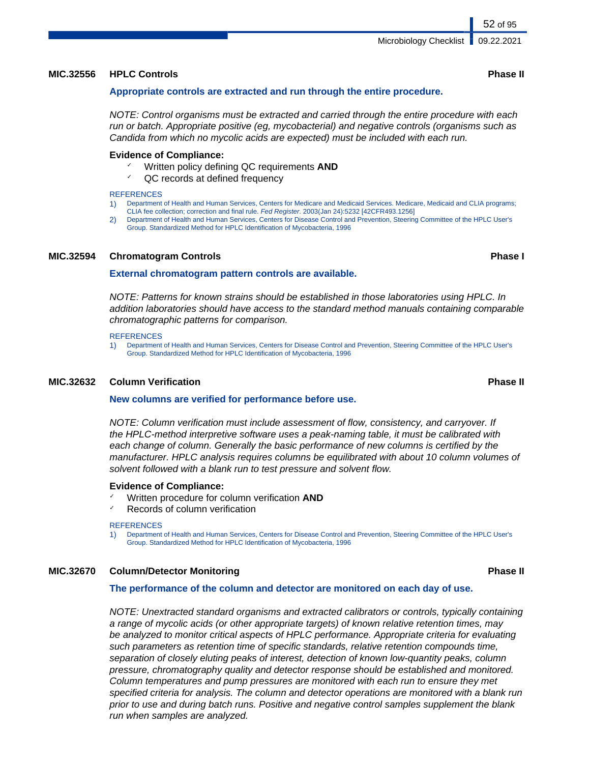### **MIC.32556 HPLC Controls Phase II**

### **Appropriate controls are extracted and run through the entire procedure.**

NOTE: Control organisms must be extracted and carried through the entire procedure with each run or batch. Appropriate positive (eg, mycobacterial) and negative controls (organisms such as Candida from which no mycolic acids are expected) must be included with each run.

### **Evidence of Compliance:**

- Written policy defining QC requirements **AND**
- $\sqrt{Q}$  records at defined frequency

### **REFERENCES**

- 1) Department of Health and Human Services, Centers for Medicare and Medicaid Services. Medicare, Medicaid and CLIA programs;
- CLIA fee collection; correction and final rule. Fed Register. 2003(Jan 24):5232 [42CFR493.1256]
- 2) Department of Health and Human Services, Centers for Disease Control and Prevention, Steering Committee of the HPLC User's Group. Standardized Method for HPLC Identification of Mycobacteria, 1996

### **MIC.32594 Chromatogram Controls Phase I**

### **External chromatogram pattern controls are available.**

NOTE: Patterns for known strains should be established in those laboratories using HPLC. In addition laboratories should have access to the standard method manuals containing comparable chromatographic patterns for comparison.

### **REFERENCES**

1) Department of Health and Human Services, Centers for Disease Control and Prevention, Steering Committee of the HPLC User's Group. Standardized Method for HPLC Identification of Mycobacteria, 1996

### **MIC.32632 Column Verification Phase II**

### **New columns are verified for performance before use.**

NOTE: Column verification must include assessment of flow, consistency, and carryover. If the HPLC-method interpretive software uses a peak-naming table, it must be calibrated with each change of column. Generally the basic performance of new columns is certified by the manufacturer. HPLC analysis requires columns be equilibrated with about 10 column volumes of solvent followed with a blank run to test pressure and solvent flow.

### **Evidence of Compliance:**

- ✓ Written procedure for column verification **AND**
- Records of column verification

### **REFERENCES**

1) Department of Health and Human Services, Centers for Disease Control and Prevention, Steering Committee of the HPLC User's Group. Standardized Method for HPLC Identification of Mycobacteria, 1996

### **MIC.32670 Column/Detector Monitoring Phase II**

### **The performance of the column and detector are monitored on each day of use.**

NOTE: Unextracted standard organisms and extracted calibrators or controls, typically containing a range of mycolic acids (or other appropriate targets) of known relative retention times, may be analyzed to monitor critical aspects of HPLC performance. Appropriate criteria for evaluating such parameters as retention time of specific standards, relative retention compounds time, separation of closely eluting peaks of interest, detection of known low-quantity peaks, column pressure, chromatography quality and detector response should be established and monitored. Column temperatures and pump pressures are monitored with each run to ensure they met specified criteria for analysis. The column and detector operations are monitored with a blank run prior to use and during batch runs. Positive and negative control samples supplement the blank run when samples are analyzed.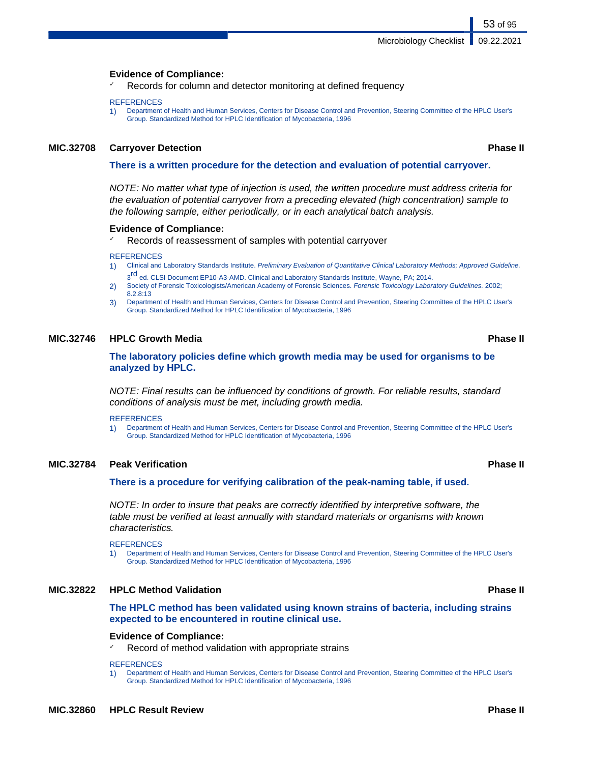### **Evidence of Compliance:**

Records for column and detector monitoring at defined frequency

### **REFERENCES**

1) Department of Health and Human Services, Centers for Disease Control and Prevention, Steering Committee of the HPLC User's Group. Standardized Method for HPLC Identification of Mycobacteria, 1996

### **MIC.32708 Carryover Detection Phase II**

53 of 95

### **There is a written procedure for the detection and evaluation of potential carryover.**

NOTE: No matter what type of injection is used, the written procedure must address criteria for the evaluation of potential carryover from a preceding elevated (high concentration) sample to the following sample, either periodically, or in each analytical batch analysis.

### **Evidence of Compliance:**

Records of reassessment of samples with potential carryover

### **REFERENCES**

- 1) Clinical and Laboratory Standards Institute. Preliminary Evaluation of Quantitative Clinical Laboratory Methods; Approved Guideline. 3<sup>rd</sup> ed. CLSI Document EP10-A3-AMD. Clinical and Laboratory Standards Institute, Wayne, PA; 2014.
- 2) Society of Forensic Toxicologists/American Academy of Forensic Sciences. Forensic Toxicology Laboratory Guidelines. 2002; 8.2.8:13
- 3) Department of Health and Human Services, Centers for Disease Control and Prevention, Steering Committee of the HPLC User's Group. Standardized Method for HPLC Identification of Mycobacteria, 1996

### **MIC.32746 HPLC Growth Media Phase II**

**The laboratory policies define which growth media may be used for organisms to be analyzed by HPLC.**

NOTE: Final results can be influenced by conditions of growth. For reliable results, standard conditions of analysis must be met, including growth media.

### **REFERENCES**

1) Department of Health and Human Services, Centers for Disease Control and Prevention, Steering Committee of the HPLC User's Group. Standardized Method for HPLC Identification of Mycobacteria, 1996

### **MIC.32784 Peak Verification Phase II**

**There is a procedure for verifying calibration of the peak-naming table, if used.**

NOTE: In order to insure that peaks are correctly identified by interpretive software, the table must be verified at least annually with standard materials or organisms with known characteristics.

**REFERENCES** 

1) Department of Health and Human Services, Centers for Disease Control and Prevention, Steering Committee of the HPLC User's Group. Standardized Method for HPLC Identification of Mycobacteria, 1996

### **MIC.32822 HPLC Method Validation Phase II**

**The HPLC method has been validated using known strains of bacteria, including strains expected to be encountered in routine clinical use.**

### **Evidence of Compliance:**

Record of method validation with appropriate strains

### **REFERENCES**

1) Department of Health and Human Services, Centers for Disease Control and Prevention, Steering Committee of the HPLC User's Group. Standardized Method for HPLC Identification of Mycobacteria, 1996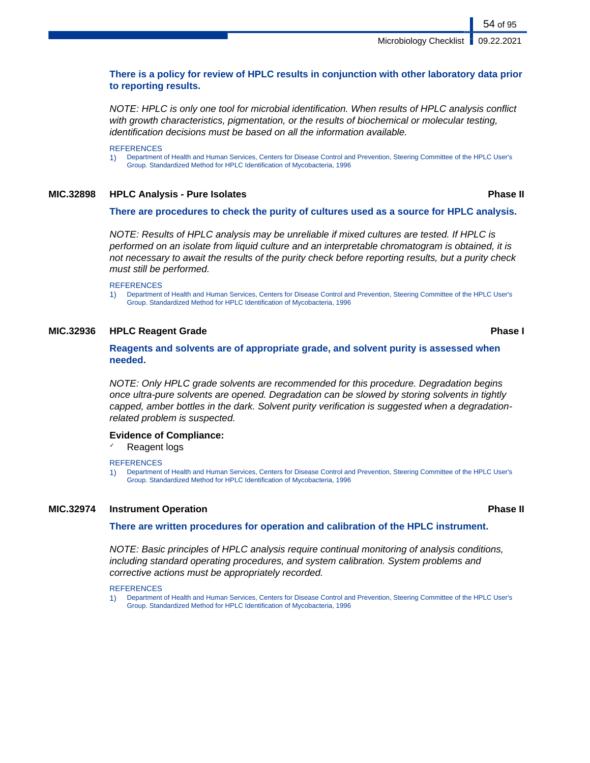Microbiology Checklist | 09.22.2021

54 of 95

### **There is a policy for review of HPLC results in conjunction with other laboratory data prior to reporting results.**

NOTE: HPLC is only one tool for microbial identification. When results of HPLC analysis conflict with growth characteristics, pigmentation, or the results of biochemical or molecular testing, identification decisions must be based on all the information available.

**REFERENCES** 

1) Department of Health and Human Services, Centers for Disease Control and Prevention, Steering Committee of the HPLC User's Group. Standardized Method for HPLC Identification of Mycobacteria, 1996

### **MIC.32898 HPLC Analysis - Pure Isolates Phase II**

### **There are procedures to check the purity of cultures used as a source for HPLC analysis.**

NOTE: Results of HPLC analysis may be unreliable if mixed cultures are tested. If HPLC is performed on an isolate from liquid culture and an interpretable chromatogram is obtained, it is not necessary to await the results of the purity check before reporting results, but a purity check must still be performed.

**REFERENCES** 

1) Department of Health and Human Services, Centers for Disease Control and Prevention, Steering Committee of the HPLC User's Group. Standardized Method for HPLC Identification of Mycobacteria, 1996

### **MIC.32936 HPLC Reagent Grade Phase I**

### **Reagents and solvents are of appropriate grade, and solvent purity is assessed when needed.**

NOTE: Only HPLC grade solvents are recommended for this procedure. Degradation begins once ultra-pure solvents are opened. Degradation can be slowed by storing solvents in tightly capped, amber bottles in the dark. Solvent purity verification is suggested when a degradationrelated problem is suspected.

### **Evidence of Compliance:**

Reagent logs

### **REFERENCES**

1) Department of Health and Human Services, Centers for Disease Control and Prevention, Steering Committee of the HPLC User's Group. Standardized Method for HPLC Identification of Mycobacteria, 1996

### **MIC.32974 Instrument Operation Phase II**

### **There are written procedures for operation and calibration of the HPLC instrument.**

NOTE: Basic principles of HPLC analysis require continual monitoring of analysis conditions, including standard operating procedures, and system calibration. System problems and corrective actions must be appropriately recorded.

**REFERENCES** 

1) Department of Health and Human Services, Centers for Disease Control and Prevention, Steering Committee of the HPLC User's Group. Standardized Method for HPLC Identification of Mycobacteria, 1996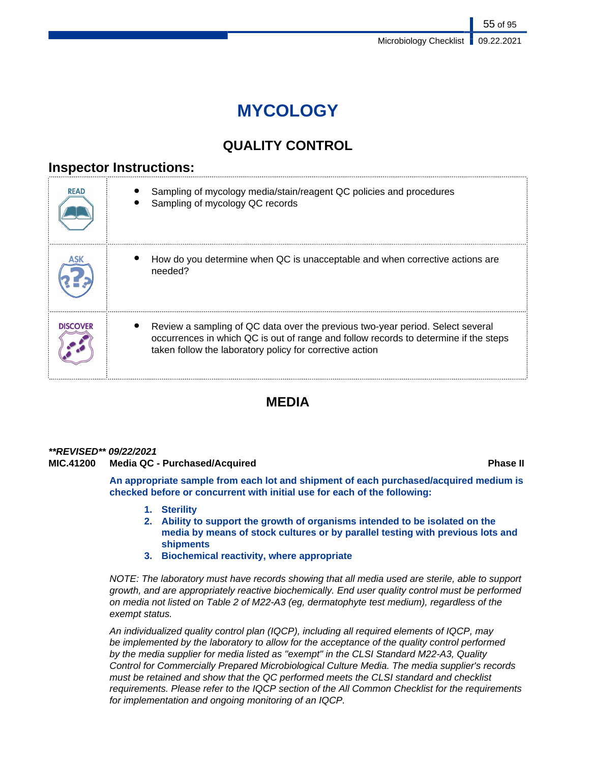# **MYCOLOGY**

# **QUALITY CONTROL**

# **Inspector Instructions:**

| <b>READ</b>     | Sampling of mycology media/stain/reagent QC policies and procedures<br>Sampling of mycology QC records                                                                                                                             |
|-----------------|------------------------------------------------------------------------------------------------------------------------------------------------------------------------------------------------------------------------------------|
|                 | How do you determine when QC is unacceptable and when corrective actions are<br>needed?                                                                                                                                            |
| <b>DISCOVER</b> | Review a sampling of QC data over the previous two-year period. Select several<br>occurrences in which QC is out of range and follow records to determine if the steps<br>taken follow the laboratory policy for corrective action |

# **MEDIA**

### **\*\*REVISED\*\* 09/22/2021**

### **MIC.41200 Media QC - Purchased/Acquired Phase II**

**An appropriate sample from each lot and shipment of each purchased/acquired medium is checked before or concurrent with initial use for each of the following:**

- **1. Sterility**
- **2. Ability to support the growth of organisms intended to be isolated on the media by means of stock cultures or by parallel testing with previous lots and shipments**
- **3. Biochemical reactivity, where appropriate**

NOTE: The laboratory must have records showing that all media used are sterile, able to support growth, and are appropriately reactive biochemically. End user quality control must be performed on media not listed on Table 2 of M22-A3 (eg, dermatophyte test medium), regardless of the exempt status.

An individualized quality control plan (IQCP), including all required elements of IQCP, may be implemented by the laboratory to allow for the acceptance of the quality control performed by the media supplier for media listed as "exempt" in the CLSI Standard M22-A3, Quality Control for Commercially Prepared Microbiological Culture Media. The media supplier's records must be retained and show that the QC performed meets the CLSI standard and checklist requirements. Please refer to the IQCP section of the All Common Checklist for the requirements for implementation and ongoing monitoring of an IQCP.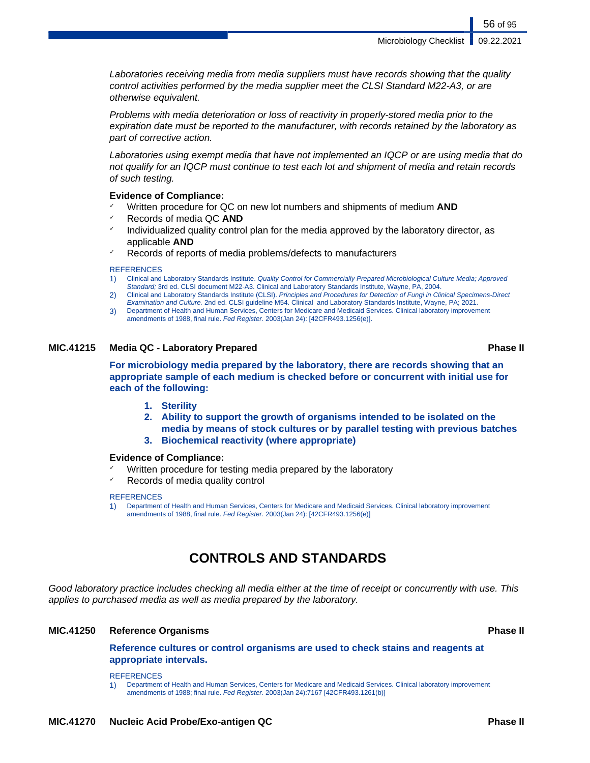Microbiology Checklist | 09.22.2021

56 of 95

Laboratories receiving media from media suppliers must have records showing that the quality control activities performed by the media supplier meet the CLSI Standard M22-A3, or are otherwise equivalent.

Problems with media deterioration or loss of reactivity in properly-stored media prior to the expiration date must be reported to the manufacturer, with records retained by the laboratory as part of corrective action.

Laboratories using exempt media that have not implemented an IQCP or are using media that do not qualify for an IQCP must continue to test each lot and shipment of media and retain records of such testing.

### **Evidence of Compliance:**

- Written procedure for QC on new lot numbers and shipments of medium **AND**
- ✓ Records of media QC **AND**
- Individualized quality control plan for the media approved by the laboratory director, as applicable **AND**
- Records of reports of media problems/defects to manufacturers

### **REFERENCES**

- 1) Clinical and Laboratory Standards Institute. Quality Control for Commercially Prepared Microbiological Culture Media; Approved Standard; 3rd ed. CLSI document M22-A3. Clinical and Laboratory Standards Institute, Wayne, PA, 2004.
- 2) Clinical and Laboratory Standards Institute (CLSI). Principles and Procedures for Detection of Fungi in Clinical Specimens-Direct Examination and Culture. 2nd ed. CLSI guideline M54. Clinical and Laboratory Standards Institute, Wayne, PA; 2021.
- 3) Department of Health and Human Services, Centers for Medicare and Medicaid Services. Clinical laboratory improvement amendments of 1988, final rule. Fed Register. 2003(Jan 24): [42CFR493.1256(e)].

### **MIC.41215 Media QC - Laboratory Prepared Phase II**

**For microbiology media prepared by the laboratory, there are records showing that an appropriate sample of each medium is checked before or concurrent with initial use for each of the following:**

- **1. Sterility**
- **2. Ability to support the growth of organisms intended to be isolated on the media by means of stock cultures or by parallel testing with previous batches**
- **3. Biochemical reactivity (where appropriate)**

### **Evidence of Compliance:**

- Written procedure for testing media prepared by the laboratory
- Records of media quality control

### **REFERENCES**

1) Department of Health and Human Services, Centers for Medicare and Medicaid Services. Clinical laboratory improvement amendments of 1988, final rule. Fed Register. 2003(Jan 24): [42CFR493.1256(e)]

# **CONTROLS AND STANDARDS**

Good laboratory practice includes checking all media either at the time of receipt or concurrently with use. This applies to purchased media as well as media prepared by the laboratory.

### **MIC.41250 Reference Organisms Phase II**

**Reference cultures or control organisms are used to check stains and reagents at appropriate intervals.**

**REFERENCES** 

1) Department of Health and Human Services, Centers for Medicare and Medicaid Services. Clinical laboratory improvement amendments of 1988; final rule. Fed Register. 2003(Jan 24):7167 [42CFR493.1261(b)]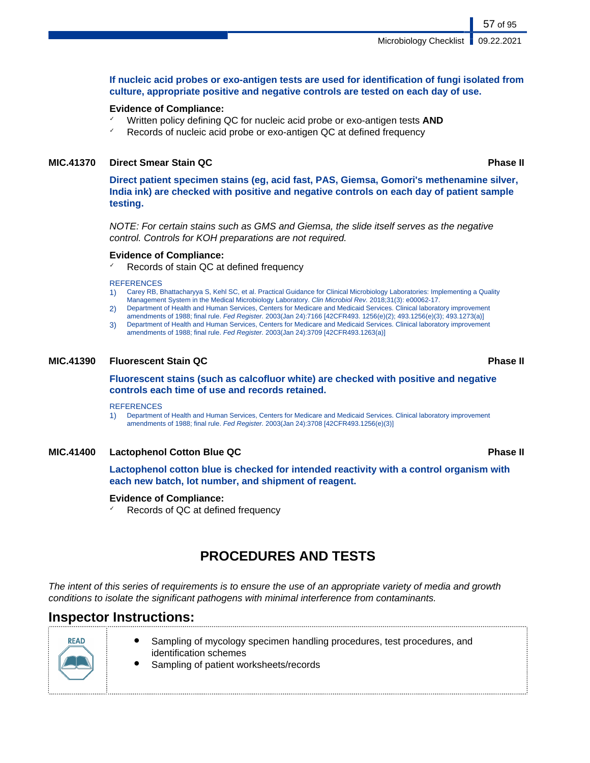### **If nucleic acid probes or exo-antigen tests are used for identification of fungi isolated from culture, appropriate positive and negative controls are tested on each day of use.**

### **Evidence of Compliance:**

- Written policy defining QC for nucleic acid probe or exo-antigen tests **AND**
- Records of nucleic acid probe or exo-antigen QC at defined frequency

### **MIC.41370 Direct Smear Stain QC Phase II**

**Direct patient specimen stains (eg, acid fast, PAS, Giemsa, Gomori's methenamine silver, India ink) are checked with positive and negative controls on each day of patient sample testing.**

NOTE: For certain stains such as GMS and Giemsa, the slide itself serves as the negative control. Controls for KOH preparations are not required.

### **Evidence of Compliance:**

Records of stain QC at defined frequency

### **REFERENCES**

- 1) Carey RB, Bhattacharyya S, Kehl SC, et al. Practical Guidance for Clinical Microbiology Laboratories: Implementing a Quality Management System in the Medical Microbiology Laboratory. Clin Microbiol Rev. 2018;31(3): e00062-17.
- 2) Department of Health and Human Services, Centers for Medicare and Medicaid Services. Clinical laboratory improvement
- amendments of 1988; final rule. Fed Register. 2003(Jan 24):7166 [42CFR493. 1256(e)(2); 493.1256(e)(3); 493.1273(a)] 3) Department of Health and Human Services, Centers for Medicare and Medicaid Services. Clinical laboratory improvement amendments of 1988; final rule. Fed Register. 2003(Jan 24):3709 [42CFR493.1263(a)]

### **MIC.41390 Fluorescent Stain QC Phase II**

### **Fluorescent stains (such as calcofluor white) are checked with positive and negative controls each time of use and records retained.**

### **REFERENCES**

1) Department of Health and Human Services, Centers for Medicare and Medicaid Services. Clinical laboratory improvement amendments of 1988; final rule. Fed Register. 2003(Jan 24):3708 [42CFR493.1256(e)(3)]

### **MIC.41400 Lactophenol Cotton Blue QC Phase II**

**Lactophenol cotton blue is checked for intended reactivity with a control organism with each new batch, lot number, and shipment of reagent.**

### **Evidence of Compliance:**

Records of QC at defined frequency

# **PROCEDURES AND TESTS**

The intent of this series of requirements is to ensure the use of an appropriate variety of media and growth conditions to isolate the significant pathogens with minimal interference from contaminants.

# **Inspector Instructions:**



- Sampling of mycology specimen handling procedures, test procedures, and identification schemes
	- Sampling of patient worksheets/records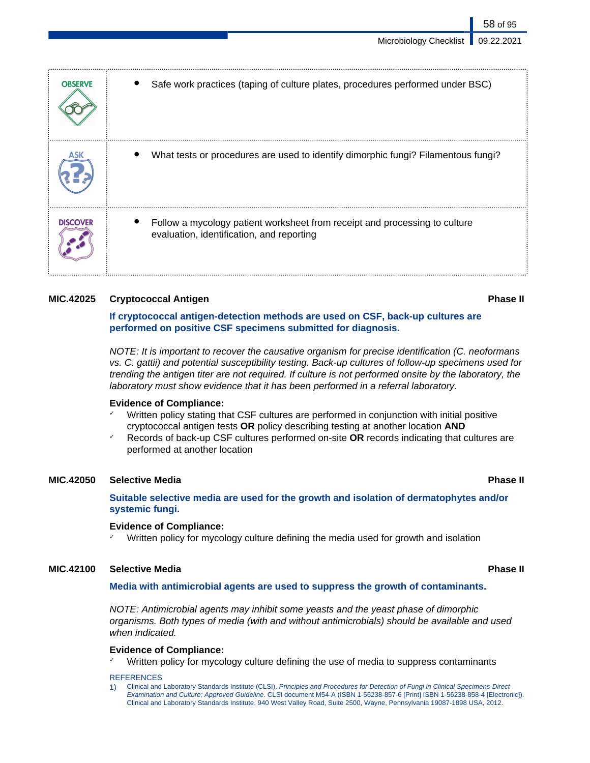| <b>OBSERVE</b>  | Safe work practices (taping of culture plates, procedures performed under BSC)                                          |
|-----------------|-------------------------------------------------------------------------------------------------------------------------|
|                 | What tests or procedures are used to identify dimorphic fungi? Filamentous fungi?                                       |
| <b>DISCOVER</b> | Follow a mycology patient worksheet from receipt and processing to culture<br>evaluation, identification, and reporting |

### **MIC.42025 Cryptococcal Antigen Phase II**

### **If cryptococcal antigen-detection methods are used on CSF, back-up cultures are performed on positive CSF specimens submitted for diagnosis.**

NOTE: It is important to recover the causative organism for precise identification (C. neoformans vs. C. gattii) and potential susceptibility testing. Back-up cultures of follow-up specimens used for trending the antigen titer are not required. If culture is not performed onsite by the laboratory, the laboratory must show evidence that it has been performed in a referral laboratory.

### **Evidence of Compliance:**

- Written policy stating that CSF cultures are performed in conjunction with initial positive cryptococcal antigen tests **OR** policy describing testing at another location **AND**
- Records of back-up CSF cultures performed on-site OR records indicating that cultures are performed at another location

### **MIC.42050 Selective Media Phase II**

**Suitable selective media are used for the growth and isolation of dermatophytes and/or systemic fungi.**

### **Evidence of Compliance:**

Written policy for mycology culture defining the media used for growth and isolation

### **MIC.42100 Selective Media Phase II**

### **Media with antimicrobial agents are used to suppress the growth of contaminants.**

NOTE: Antimicrobial agents may inhibit some yeasts and the yeast phase of dimorphic organisms. Both types of media (with and without antimicrobials) should be available and used when indicated.

### **Evidence of Compliance:**

Written policy for mycology culture defining the use of media to suppress contaminants

### **REFERENCES**

1) Clinical and Laboratory Standards Institute (CLSI). Principles and Procedures for Detection of Fungi in Clinical Specimens-Direct Examination and Culture; Approved Guideline. CLSI document M54-A (ISBN 1-56238-857-6 [Print] ISBN 1-56238-858-4 [Electronic]). Clinical and Laboratory Standards Institute, 940 West Valley Road, Suite 2500, Wayne, Pennsylvania 19087-1898 USA, 2012.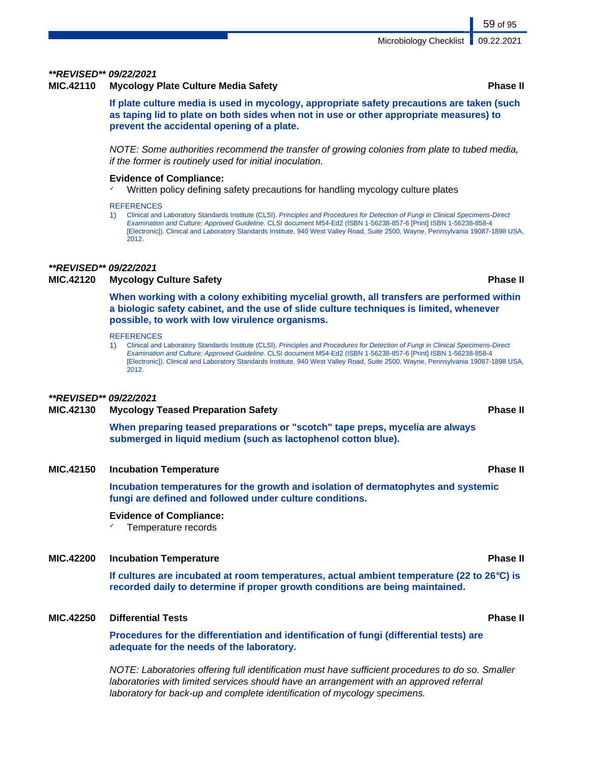### **\*\*REVISED\*\* 09/22/2021**

### **MIC.42110 Mycology Plate Culture Media Safety Phase II**

**If plate culture media is used in mycology, appropriate safety precautions are taken (such as taping lid to plate on both sides when not in use or other appropriate measures) to prevent the accidental opening of a plate.**

NOTE: Some authorities recommend the transfer of growing colonies from plate to tubed media, if the former is routinely used for initial inoculation.

### **Evidence of Compliance:**

✓ Written policy defining safety precautions for handling mycology culture plates

### **REFERENCES**

1) Clinical and Laboratory Standards Institute (CLSI). Principles and Procedures for Detection of Fungi in Clinical Specimens-Direct Examination and Culture; Approved Guideline. CLSI document M54-Ed2 (ISBN 1-56238-857-6 [Print] ISBN 1-56238-858-4 [Electronic]). Clinical and Laboratory Standards Institute, 940 West Valley Road, Suite 2500, Wayne, Pennsylvania 19087-1898 USA, 2012.

### **\*\*REVISED\*\* 09/22/2021**

### **MIC.42120 Mycology Culture Safety Phase II**

**When working with a colony exhibiting mycelial growth, all transfers are performed within a biologic safety cabinet, and the use of slide culture techniques is limited, whenever possible, to work with low virulence organisms.**

**REFERENCES** 

1) Clinical and Laboratory Standards Institute (CLSI). Principles and Procedures for Detection of Fungi in Clinical Specimens-Direct Examination and Culture; Approved Guideline. CLSI document M54-Ed2 (ISBN 1-56238-857-6 [Print] ISBN 1-56238-858-4 [Electronic]). Clinical and Laboratory Standards Institute, 940 West Valley Road, Suite 2500, Wayne, Pennsylvania 19087-1898 USA, 2012.

### **\*\*REVISED\*\* 09/22/2021**

### **MIC.42130 Mycology Teased Preparation Safety Phase II**

**When preparing teased preparations or "scotch" tape preps, mycelia are always submerged in liquid medium (such as lactophenol cotton blue).**

### **MIC.42150 Incubation Temperature Phase II**

**Incubation temperatures for the growth and isolation of dermatophytes and systemic fungi are defined and followed under culture conditions.**

### **Evidence of Compliance:**

Temperature records

### **MIC.42200 Incubation Temperature Phase II**

**If cultures are incubated at room temperatures, actual ambient temperature (22 to 26°C) is recorded daily to determine if proper growth conditions are being maintained.**

### **MIC.42250 Differential Tests Phase II**

**Procedures for the differentiation and identification of fungi (differential tests) are adequate for the needs of the laboratory.**

NOTE: Laboratories offering full identification must have sufficient procedures to do so. Smaller laboratories with limited services should have an arrangement with an approved referral laboratory for back-up and complete identification of mycology specimens.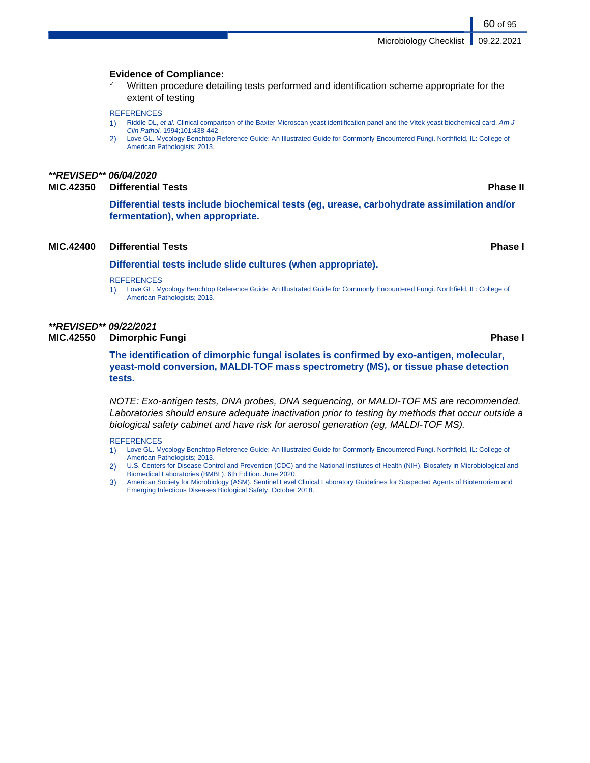### **Evidence of Compliance:**

✓ Written procedure detailing tests performed and identification scheme appropriate for the extent of testing

### **REFERENCES**

- 1) Riddle DL, et al. Clinical comparison of the Baxter Microscan yeast identification panel and the Vitek yeast biochemical card. Am J Clin Pathol. 1994;101:438-442
- 2) Love GL. Mycology Benchtop Reference Guide: An Illustrated Guide for Commonly Encountered Fungi. Northfield, IL: College of American Pathologists; 2013.

### **\*\*REVISED\*\* 06/04/2020**

### **MIC.42350 Differential Tests Phase II**

**Differential tests include biochemical tests (eg, urease, carbohydrate assimilation and/or fermentation), when appropriate.**

### **MIC.42400 Differential Tests Phase I**

### **Differential tests include slide cultures (when appropriate).**

### **REFERENCES**

1) Love GL. Mycology Benchtop Reference Guide: An Illustrated Guide for Commonly Encountered Fungi. Northfield, IL: College of American Pathologists; 2013.

### **\*\*REVISED\*\* 09/22/2021**

**MIC.42550 Dimorphic Fungi Phase I**

**The identification of dimorphic fungal isolates is confirmed by exo-antigen, molecular, yeast-mold conversion, MALDI-TOF mass spectrometry (MS), or tissue phase detection tests.**

NOTE: Exo-antigen tests, DNA probes, DNA sequencing, or MALDI-TOF MS are recommended. Laboratories should ensure adequate inactivation prior to testing by methods that occur outside a biological safety cabinet and have risk for aerosol generation (eg, MALDI-TOF MS).

- 1) Love GL. Mycology Benchtop Reference Guide: An Illustrated Guide for Commonly Encountered Fungi. Northfield, IL: College of American Pathologists; 2013.
- 2) U.S. Centers for Disease Control and Prevention (CDC) and the National Institutes of Health (NIH). Biosafety in Microbiological and Biomedical Laboratories (BMBL). 6th Edition. June 2020.
- 3) American Society for Microbiology (ASM). Sentinel Level Clinical Laboratory Guidelines for Suspected Agents of Bioterrorism and Emerging Infectious Diseases Biological Safety, October 2018.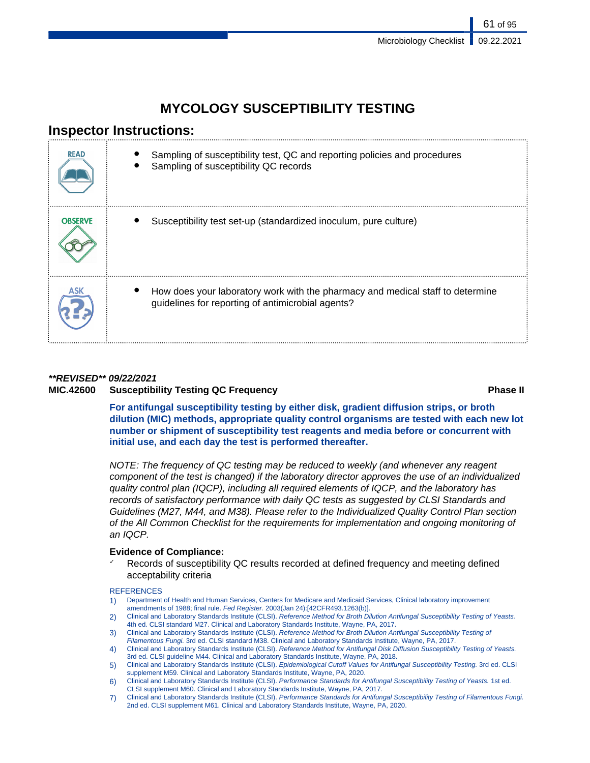# **MYCOLOGY SUSCEPTIBILITY TESTING**

# **Inspector Instructions:**

| <b>READ</b>    | Sampling of susceptibility test, QC and reporting policies and procedures<br>Sampling of susceptibility QC records                  |
|----------------|-------------------------------------------------------------------------------------------------------------------------------------|
| <b>OBSERVE</b> | Susceptibility test set-up (standardized inoculum, pure culture)                                                                    |
|                | How does your laboratory work with the pharmacy and medical staff to determine<br>guidelines for reporting of antimicrobial agents? |

### **\*\*REVISED\*\* 09/22/2021**

## **MIC.42600 Susceptibility Testing QC Frequency Phase II**

**For antifungal susceptibility testing by either disk, gradient diffusion strips, or broth dilution (MIC) methods, appropriate quality control organisms are tested with each new lot number or shipment of susceptibility test reagents and media before or concurrent with initial use, and each day the test is performed thereafter.**

NOTE: The frequency of QC testing may be reduced to weekly (and whenever any reagent component of the test is changed) if the laboratory director approves the use of an individualized quality control plan (IQCP), including all required elements of IQCP, and the laboratory has records of satisfactory performance with daily QC tests as suggested by CLSI Standards and Guidelines (M27, M44, and M38). Please refer to the Individualized Quality Control Plan section of the All Common Checklist for the requirements for implementation and ongoing monitoring of an IQCP.

### **Evidence of Compliance:**

Records of susceptibility QC results recorded at defined frequency and meeting defined acceptability criteria

- 1) Department of Health and Human Services, Centers for Medicare and Medicaid Services, Clinical laboratory improvement amendments of 1988; final rule. Fed Register. 2003(Jan 24):[42CFR493.1263(b)].
- 2) Clinical and Laboratory Standards Institute (CLSI). Reference Method for Broth Dilution Antifungal Susceptibility Testing of Yeasts. 4th ed. CLSI standard M27. Clinical and Laboratory Standards Institute, Wayne, PA, 2017.
- 3) Clinical and Laboratory Standards Institute (CLSI). Reference Method for Broth Dilution Antifungal Susceptibility Testing of
- Filamentous Fungi. 3rd ed. CLSI standard M38. Clinical and Laboratory Standards Institute, Wayne, PA, 2017
- 4) Clinical and Laboratory Standards Institute (CLSI). Reference Method for Antifungal Disk Diffusion Susceptibility Testing of Yeasts. 3rd ed. CLSI guideline M44. Clinical and Laboratory Standards Institute, Wayne, PA, 2018.
- 5) Clinical and Laboratory Standards Institute (CLSI). Epidemiological Cutoff Values for Antifungal Susceptibility Testing. 3rd ed. CLSI supplement M59. Clinical and Laboratory Standards Institute, Wayne, PA, 2020.
- 6) Clinical and Laboratory Standards Institute (CLSI). Performance Standards for Antifungal Susceptibility Testing of Yeasts. 1st ed. CLSI supplement M60. Clinical and Laboratory Standards Institute, Wayne, PA, 2017.
- 7) Clinical and Laboratory Standards Institute (CLSI). Performance Standards for Antifungal Susceptibility Testing of Filamentous Fungi. 2nd ed. CLSI supplement M61. Clinical and Laboratory Standards Institute, Wayne, PA, 2020.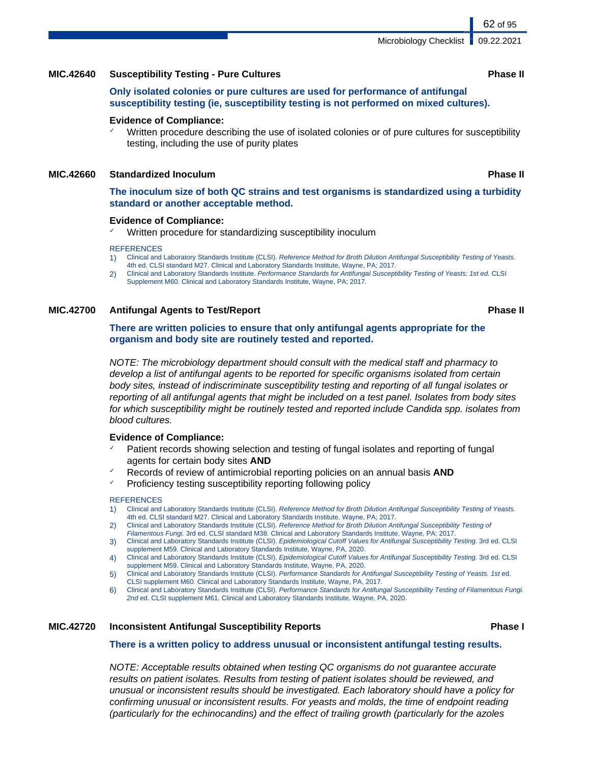### **MIC.42640 Susceptibility Testing - Pure Cultures Phase II**

**Only isolated colonies or pure cultures are used for performance of antifungal susceptibility testing (ie, susceptibility testing is not performed on mixed cultures).**

### **Evidence of Compliance:**

Written procedure describing the use of isolated colonies or of pure cultures for susceptibility testing, including the use of purity plates

### **MIC.42660 Standardized Inoculum Phase II**

**The inoculum size of both QC strains and test organisms is standardized using a turbidity standard or another acceptable method.**

### **Evidence of Compliance:**

Written procedure for standardizing susceptibility inoculum

### **REFERENCES**

- 1) Clinical and Laboratory Standards Institute (CLSI). Reference Method for Broth Dilution Antifungal Susceptibility Testing of Yeasts. 4th ed. CLSI standard M27. Clinical and Laboratory Standards Institute, Wayne, PA; 2017.
- 2) Clinical and Laboratory Standards Institute. Performance Standards for Antifungal Susceptibility Testing of Yeasts; 1st ed. CLSI Supplement M60. Clinical and Laboratory Standards Institute, Wayne, PA; 2017.

### **MIC.42700 Antifungal Agents to Test/Report Phase II**

### **There are written policies to ensure that only antifungal agents appropriate for the organism and body site are routinely tested and reported.**

NOTE: The microbiology department should consult with the medical staff and pharmacy to develop a list of antifungal agents to be reported for specific organisms isolated from certain body sites, instead of indiscriminate susceptibility testing and reporting of all fungal isolates or reporting of all antifungal agents that might be included on a test panel. Isolates from body sites for which susceptibility might be routinely tested and reported include Candida spp. isolates from blood cultures.

### **Evidence of Compliance:**

- Patient records showing selection and testing of fungal isolates and reporting of fungal agents for certain body sites **AND**
- Records of review of antimicrobial reporting policies on an annual basis **AND**
- Proficiency testing susceptibility reporting following policy

### **REFERENCES**

- 1) Clinical and Laboratory Standards Institute (CLSI). Reference Method for Broth Dilution Antifungal Susceptibility Testing of Yeasts. 4th ed. CLSI standard M27. Clinical and Laboratory Standards Institute, Wayne, PA; 2017.
- 2) Clinical and Laboratory Standards Institute (CLSI). Reference Method for Broth Dilution Antifungal Susceptibility Testing of
- Filamentous Fungi. 3rd ed. CLSI standard M38. Clinical and Laboratory Standards Institute, Wayne, PA; 2017. 3) Clinical and Laboratory Standards Institute (CLSI). Epidemiological Cutoff Values for Antifungal Susceptibility Testing. 3rd ed. CLSI
- supplement M59. Clinical and Laboratory Standards Institute, Wayne, PA, 2020. 4) Clinical and Laboratory Standards Institute (CLSI). Epidemiological Cutoff Values for Antifungal Susceptibility Testing. 3rd ed. CLSI
- supplement M59. Clinical and Laboratory Standards Institute, Wayne, PA, 2020.
- 5) Clinical and Laboratory Standards Institute (CLSI). Performance Standards for Antifungal Susceptibility Testing of Yeasts. 1st ed. CLSI supplement M60. Clinical and Laboratory Standards Institute, Wayne, PA, 2017.
- 6) Clinical and Laboratory Standards Institute (CLSI). Performance Standards for Antifungal Susceptibility Testing of Filamentous Fungi. 2nd ed. CLSI supplement M61. Clinical and Laboratory Standards Institute, Wayne, PA, 2020.

### **MIC.42720 Inconsistent Antifungal Susceptibility Reports Phase I**

### **There is a written policy to address unusual or inconsistent antifungal testing results.**

NOTE: Acceptable results obtained when testing QC organisms do not guarantee accurate results on patient isolates. Results from testing of patient isolates should be reviewed, and unusual or inconsistent results should be investigated. Each laboratory should have a policy for confirming unusual or inconsistent results. For yeasts and molds, the time of endpoint reading (particularly for the echinocandins) and the effect of trailing growth (particularly for the azoles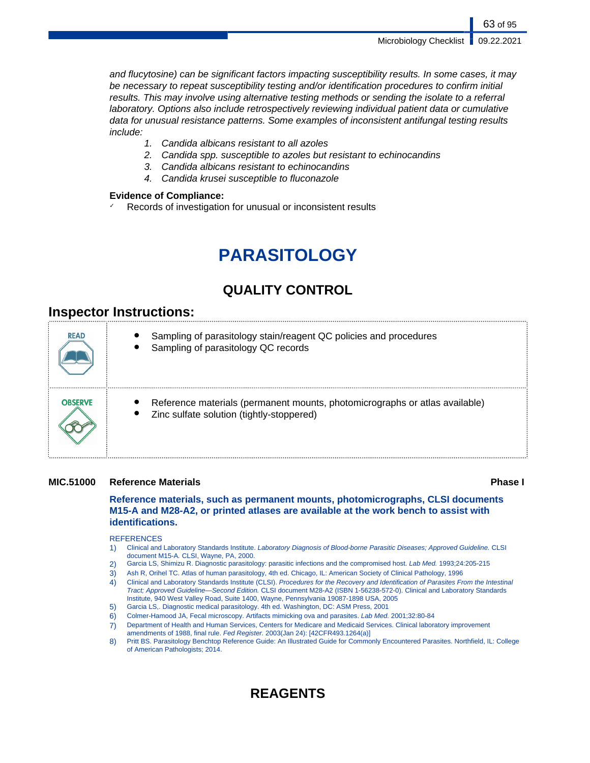Microbiology Checklist | 09.22.2021

and flucytosine) can be significant factors impacting susceptibility results. In some cases, it may be necessary to repeat susceptibility testing and/or identification procedures to confirm initial results. This may involve using alternative testing methods or sending the isolate to a referral laboratory. Options also include retrospectively reviewing individual patient data or cumulative data for unusual resistance patterns. Some examples of inconsistent antifungal testing results include:

- 1. Candida albicans resistant to all azoles
- 2. Candida spp. susceptible to azoles but resistant to echinocandins
- 3. Candida albicans resistant to echinocandins
- 4. Candida krusei susceptible to fluconazole

### **Evidence of Compliance:**

Records of investigation for unusual or inconsistent results

# **PARASITOLOGY**

# **QUALITY CONTROL**

# **Inspector Instructions:**

| <b>READ</b>    | Sampling of parasitology stain/reagent QC policies and procedures<br>Sampling of parasitology QC records                 |
|----------------|--------------------------------------------------------------------------------------------------------------------------|
| <b>OBSERVE</b> | Reference materials (permanent mounts, photomicrographs or atlas available)<br>Zinc sulfate solution (tightly-stoppered) |

### **MIC.51000 Reference Materials Phase I**

**Reference materials, such as permanent mounts, photomicrographs, CLSI documents M15-A and M28-A2, or printed atlases are available at the work bench to assist with identifications.**

### **REFERENCES**

- 1) Clinical and Laboratory Standards Institute. Laboratory Diagnosis of Blood-borne Parasitic Diseases; Approved Guideline. CLSI document M15-A. CLSI, Wayne, PA, 2000.
- 2) Garcia LS, Shimizu R. Diagnostic parasitology: parasitic infections and the compromised host. Lab Med. 1993;24:205-215
- 3) Ash R, Orihel TC. Atlas of human parasitology, 4th ed. Chicago, IL: American Society of Clinical Pathology, 1996
- 4) Clinical and Laboratory Standards Institute (CLSI). Procedures for the Recovery and Identification of Parasites From the Intestinal Tract; Approved Guideline—Second Edition. CLSI document M28-A2 (ISBN 1-56238-572-0). Clinical and Laboratory Standards Institute, 940 West Valley Road, Suite 1400, Wayne, Pennsylvania 19087-1898 USA, 2005
- 5) Garcia LS,. Diagnostic medical parasitology. 4th ed. Washington, DC: ASM Press, 2001
- 6) Colmer-Hamood JA, Fecal microscopy. Artifacts mimicking ova and parasites. Lab Med. 2001;32:80-84
- 7) Department of Health and Human Services, Centers for Medicare and Medicaid Services. Clinical laboratory improvement amendments of 1988, final rule. Fed Register. 2003(Jan 24): [42CFR493.1264(a)]
- 8) Pritt BS. Parasitology Benchtop Reference Guide: An Illustrated Guide for Commonly Encountered Parasites. Northfield, IL: College of American Pathologists; 2014.

# **REAGENTS**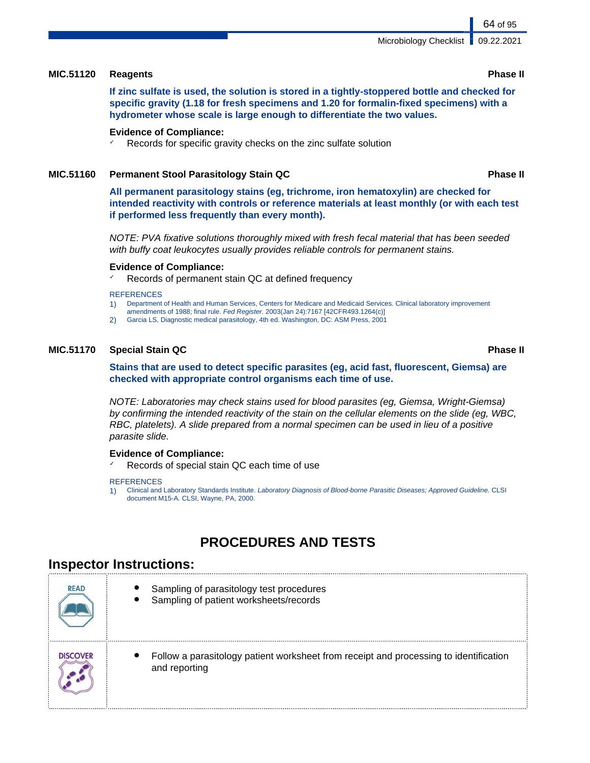### **MIC.51120 Reagents Phase II**

**If zinc sulfate is used, the solution is stored in a tightly-stoppered bottle and checked for specific gravity (1.18 for fresh specimens and 1.20 for formalin-fixed specimens) with a hydrometer whose scale is large enough to differentiate the two values.**

### **Evidence of Compliance:**

Records for specific gravity checks on the zinc sulfate solution

### **MIC.51160 Permanent Stool Parasitology Stain QC Phase II**

**All permanent parasitology stains (eg, trichrome, iron hematoxylin) are checked for intended reactivity with controls or reference materials at least monthly (or with each test if performed less frequently than every month).**

NOTE: PVA fixative solutions thoroughly mixed with fresh fecal material that has been seeded with buffy coat leukocytes usually provides reliable controls for permanent stains.

### **Evidence of Compliance:**

Records of permanent stain QC at defined frequency

### **REFERENCES**

- 1) Department of Health and Human Services, Centers for Medicare and Medicaid Services. Clinical laboratory improvement
- amendments of 1988; final rule. Fed Register. 2003(Jan 24):7167 [42CFR493.1264(c)] 2) Garcia LS, Diagnostic medical parasitology, 4th ed. Washington, DC: ASM Press, 2001

### **MIC.51170 Special Stain QC Phase II**

**Stains that are used to detect specific parasites (eg, acid fast, fluorescent, Giemsa) are checked with appropriate control organisms each time of use.**

NOTE: Laboratories may check stains used for blood parasites (eg, Giemsa, Wright-Giemsa) by confirming the intended reactivity of the stain on the cellular elements on the slide (eg, WBC, RBC, platelets). A slide prepared from a normal specimen can be used in lieu of a positive parasite slide.

### **Evidence of Compliance:**

Records of special stain QC each time of use

### **REFERENCES**

1) Clinical and Laboratory Standards Institute. Laboratory Diagnosis of Blood-borne Parasitic Diseases; Approved Guideline. CLSI document M15-A. CLSI, Wayne, PA, 2000.

# **PROCEDURES AND TESTS**

## **Inspector Instructions:**

| <b>READ</b>     | Sampling of parasitology test procedures<br>Sampling of patient worksheets/records                     |
|-----------------|--------------------------------------------------------------------------------------------------------|
| <b>DISCOVER</b> | Follow a parasitology patient worksheet from receipt and processing to identification<br>and reporting |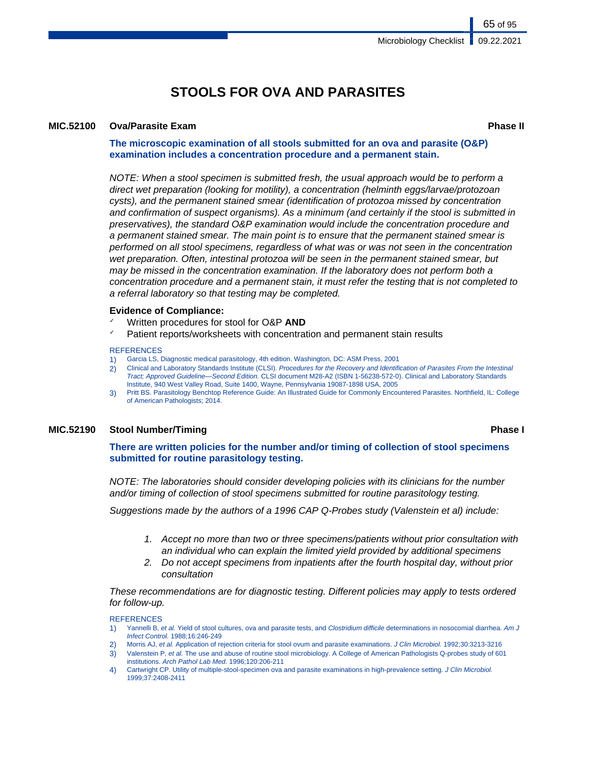# **STOOLS FOR OVA AND PARASITES**

### **MIC.52100 Ova/Parasite Exam Phase II**

65 of 95

**The microscopic examination of all stools submitted for an ova and parasite (O&P) examination includes a concentration procedure and a permanent stain.**

NOTE: When a stool specimen is submitted fresh, the usual approach would be to perform a direct wet preparation (looking for motility), a concentration (helminth eggs/larvae/protozoan cysts), and the permanent stained smear (identification of protozoa missed by concentration and confirmation of suspect organisms). As a minimum (and certainly if the stool is submitted in preservatives), the standard O&P examination would include the concentration procedure and a permanent stained smear. The main point is to ensure that the permanent stained smear is performed on all stool specimens, regardless of what was or was not seen in the concentration wet preparation. Often, intestinal protozoa will be seen in the permanent stained smear, but may be missed in the concentration examination. If the laboratory does not perform both a concentration procedure and a permanent stain, it must refer the testing that is not completed to a referral laboratory so that testing may be completed.

### **Evidence of Compliance:**

- Written procedures for stool for O&P AND
- Patient reports/worksheets with concentration and permanent stain results

### **REFERENCES**

- 1) Garcia LS, Diagnostic medical parasitology, 4th edition. Washington, DC: ASM Press, 2001
- 2) Clinical and Laboratory Standards Institute (CLSI). Procedures for the Recovery and Identification of Parasites From the Intestinal Tract; Approved Guideline—Second Edition. CLSI document M28-A2 (ISBN 1-56238-572-0). Clinical and Laboratory Standards Institute, 940 West Valley Road, Suite 1400, Wayne, Pennsylvania 19087-1898 USA, 2005
- 3) Pritt BS. Parasitology Benchtop Reference Guide: An Illustrated Guide for Commonly Encountered Parasites. Northfield, IL: College of American Pathologists; 2014.

### **MIC.52190 Stool Number/Timing Phase I**

**There are written policies for the number and/or timing of collection of stool specimens submitted for routine parasitology testing.**

NOTE: The laboratories should consider developing policies with its clinicians for the number and/or timing of collection of stool specimens submitted for routine parasitology testing.

Suggestions made by the authors of a 1996 CAP Q-Probes study (Valenstein et al) include:

- 1. Accept no more than two or three specimens/patients without prior consultation with an individual who can explain the limited yield provided by additional specimens
- 2. Do not accept specimens from inpatients after the fourth hospital day, without prior consultation

These recommendations are for diagnostic testing. Different policies may apply to tests ordered for follow-up.

- 1) Yannelli B, et al. Yield of stool cultures, ova and parasite tests, and Clostridium difficile determinations in nosocomial diarrhea. Am J Infect Control. 1988;16:246-249
- 2) Morris AJ, et al. Application of rejection criteria for stool ovum and parasite examinations. J Clin Microbiol. 1992;30:3213-3216
- 3) Valenstein P, et al. The use and abuse of routine stool microbiology. A College of American Pathologists Q-probes study of 601 institutions. Arch Pathol Lab Med. 1996;120:206-211
- 4) Cartwright CP. Utility of multiple-stool-specimen ova and parasite examinations in high-prevalence setting. J Clin Microbiol. 1999;37:2408-2411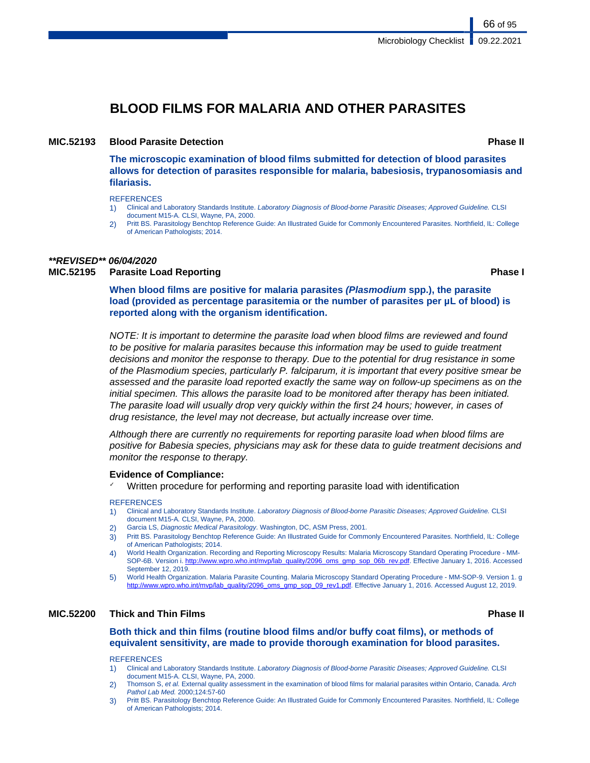66 of 95

# **BLOOD FILMS FOR MALARIA AND OTHER PARASITES**

### **MIC.52193 Blood Parasite Detection Phase II**

**The microscopic examination of blood films submitted for detection of blood parasites allows for detection of parasites responsible for malaria, babesiosis, trypanosomiasis and filariasis.**

**REFERENCES** 

- 1) Clinical and Laboratory Standards Institute. Laboratory Diagnosis of Blood-borne Parasitic Diseases; Approved Guideline. CLSI document M15-A. CLSI, Wayne, PA, 2000.
- 2) Pritt BS. Parasitology Benchtop Reference Guide: An Illustrated Guide for Commonly Encountered Parasites. Northfield, IL: College of American Pathologists; 2014.

# **\*\*REVISED\*\* 06/04/2020**

## **MIC.52195 Parasite Load Reporting Phase I**

**When blood films are positive for malaria parasites (Plasmodium spp.), the parasite load (provided as percentage parasitemia or the number of parasites per µL of blood) is reported along with the organism identification.**

NOTE: It is important to determine the parasite load when blood films are reviewed and found to be positive for malaria parasites because this information may be used to guide treatment decisions and monitor the response to therapy. Due to the potential for drug resistance in some of the Plasmodium species, particularly P. falciparum, it is important that every positive smear be assessed and the parasite load reported exactly the same way on follow-up specimens as on the initial specimen. This allows the parasite load to be monitored after therapy has been initiated. The parasite load will usually drop very quickly within the first 24 hours; however, in cases of drug resistance, the level may not decrease, but actually increase over time.

Although there are currently no requirements for reporting parasite load when blood films are positive for Babesia species, physicians may ask for these data to guide treatment decisions and monitor the response to therapy.

### **Evidence of Compliance:**

Written procedure for performing and reporting parasite load with identification

### **REFERENCES**

- 1) Clinical and Laboratory Standards Institute. Laboratory Diagnosis of Blood-borne Parasitic Diseases; Approved Guideline. CLSI document M15-A. CLSI, Wayne, PA, 2000.
- Garcia LS, Diagnostic Medical Parasitology. Washington, DC, ASM Press, 2001.
- 3) Pritt BS. Parasitology Benchtop Reference Guide: An Illustrated Guide for Commonly Encountered Parasites. Northfield, IL: College of American Pathologists; 2014.
- 4) World Health Organization. Recording and Reporting Microscopy Results: Malaria Microscopy Standard Operating Procedure MMSOP-6B. Version i. [http://www.wpro.who.int/mvp/lab\\_quality/2096\\_oms\\_gmp\\_sop\\_06b\\_rev.pdf](http://www.wpro.who.int/mvp/lab_quality/2096_oms_gmp_sop_06b_rev.pdf). Effective January 1, 2016. Accessed September 12, 2019.
- 5) World Health Organization. Malaria Parasite Counting. Malaria Microscopy Standard Operating Procedure MM-SOP-9. Version 1. g [http://www.wpro.who.int/mvp/lab\\_quality/2096\\_oms\\_gmp\\_sop\\_09\\_rev1.pdf](http://www.wpro.who.int/mvp/lab_quality/2096_oms_gmp_sop_09_rev1.pdf). Effective January 1, 2016. Accessed August 12, 2019.

### **MIC.52200 Thick and Thin Films Phase II**

### **Both thick and thin films (routine blood films and/or buffy coat films), or methods of equivalent sensitivity, are made to provide thorough examination for blood parasites.**

- 1) Clinical and Laboratory Standards Institute. Laboratory Diagnosis of Blood-borne Parasitic Diseases; Approved Guideline. CLSI document M15-A. CLSI, Wayne, PA, 2000.
- 2) Thomson S, et al. External quality assessment in the examination of blood films for malarial parasites within Ontario, Canada. Arch Pathol Lab Med. 2000;124:57-60
- 3) Pritt BS. Parasitology Benchtop Reference Guide: An Illustrated Guide for Commonly Encountered Parasites. Northfield, IL: College of American Pathologists; 2014.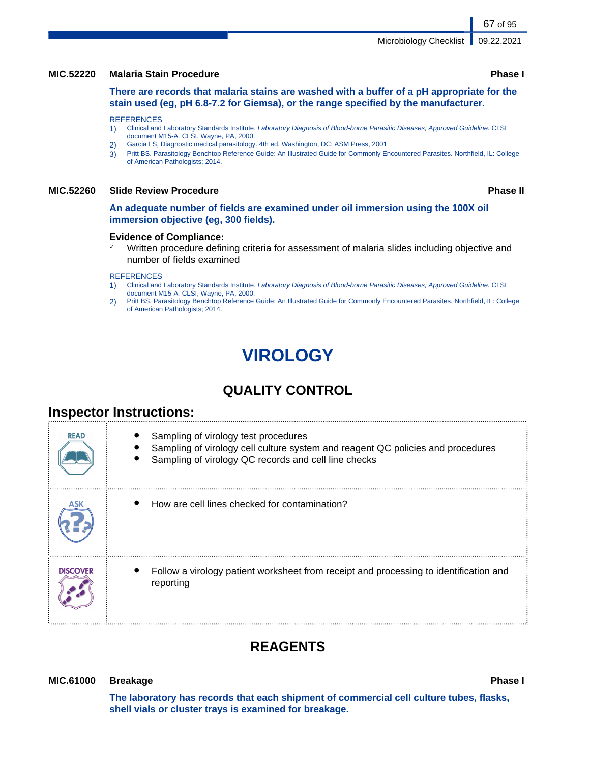### **MIC.52220 Malaria Stain Procedure Phase I**

**There are records that malaria stains are washed with a buffer of a pH appropriate for the stain used (eg, pH 6.8-7.2 for Giemsa), or the range specified by the manufacturer.**

### **REFERENCES**

- 1) Clinical and Laboratory Standards Institute. Laboratory Diagnosis of Blood-borne Parasitic Diseases; Approved Guideline. CLSI document M15-A. CLSI, Wayne, PA, 2000.
- 2) Garcia LS, Diagnostic medical parasitology. 4th ed. Washington, DC: ASM Press, 2001
- 3) Pritt BS. Parasitology Benchtop Reference Guide: An Illustrated Guide for Commonly Encountered Parasites. Northfield, IL: College of American Pathologists; 2014.

### **MIC.52260 Slide Review Procedure Phase II**

**An adequate number of fields are examined under oil immersion using the 100X oil immersion objective (eg, 300 fields).**

### **Evidence of Compliance:**

✓ Written procedure defining criteria for assessment of malaria slides including objective and number of fields examined

### **REFERENCES**

- 1) Clinical and Laboratory Standards Institute. Laboratory Diagnosis of Blood-borne Parasitic Diseases; Approved Guideline. CLSI document M15-A. CLSI, Wayne, PA, 2000.
- 2) Pritt BS. Parasitology Benchtop Reference Guide: An Illustrated Guide for Commonly Encountered Parasites. Northfield, IL: College of American Pathologists; 2014.

# **VIROLOGY**

# **QUALITY CONTROL**

# **Inspector Instructions:**

| <b>READ</b>     | Sampling of virology test procedures<br>Sampling of virology cell culture system and reagent QC policies and procedures<br>Sampling of virology QC records and cell line checks |
|-----------------|---------------------------------------------------------------------------------------------------------------------------------------------------------------------------------|
|                 | How are cell lines checked for contamination?                                                                                                                                   |
| <b>DISCOVER</b> | Follow a virology patient worksheet from receipt and processing to identification and<br>reporting                                                                              |

# **REAGENTS**

### **MIC.61000 Breakage Phase I**

**The laboratory has records that each shipment of commercial cell culture tubes, flasks, shell vials or cluster trays is examined for breakage.**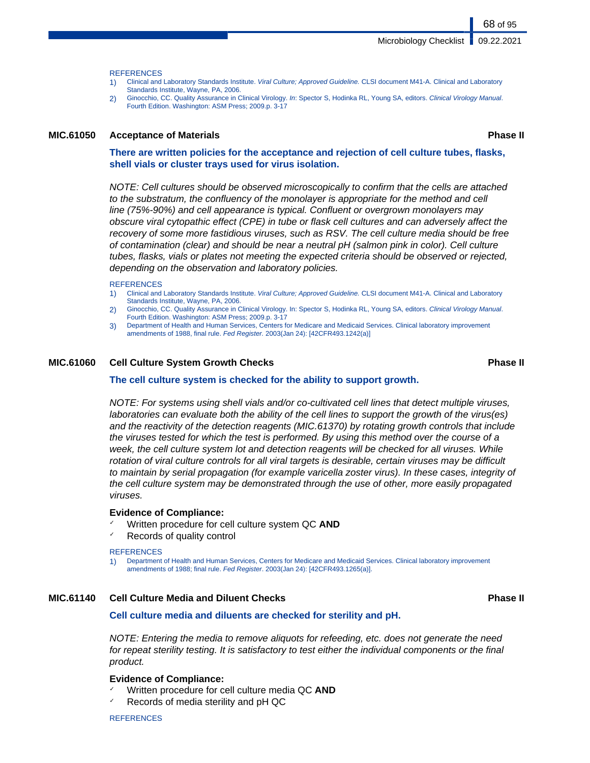**REFERENCES** 

- 1) Clinical and Laboratory Standards Institute. Viral Culture; Approved Guideline. CLSI document M41-A. Clinical and Laboratory Standards Institute, Wayne, PA, 2006.
- 2) Ginocchio, CC. Quality Assurance in Clinical Virology. In: Spector S, Hodinka RL, Young SA, editors. Clinical Virology Manual. Fourth Edition. Washington: ASM Press; 2009.p. 3-17

### **MIC.61050 Acceptance of Materials Phase II**

68 of 95

**There are written policies for the acceptance and rejection of cell culture tubes, flasks, shell vials or cluster trays used for virus isolation.**

NOTE: Cell cultures should be observed microscopically to confirm that the cells are attached to the substratum, the confluency of the monolayer is appropriate for the method and cell line (75%-90%) and cell appearance is typical. Confluent or overgrown monolayers may obscure viral cytopathic effect (CPE) in tube or flask cell cultures and can adversely affect the recovery of some more fastidious viruses, such as RSV. The cell culture media should be free of contamination (clear) and should be near a neutral pH (salmon pink in color). Cell culture tubes, flasks, vials or plates not meeting the expected criteria should be observed or rejected, depending on the observation and laboratory policies.

### **REFERENCES**

- 1) Clinical and Laboratory Standards Institute. Viral Culture; Approved Guideline. CLSI document M41-A. Clinical and Laboratory Standards Institute, Wayne, PA, 2006.
- 2) Ginocchio, CC. Quality Assurance in Clinical Virology. In: Spector S, Hodinka RL, Young SA, editors. Clinical Virology Manual. Fourth Edition. Washington: ASM Press; 2009.p. 3-17
- 3) Department of Health and Human Services, Centers for Medicare and Medicaid Services. Clinical laboratory improvement amendments of 1988, final rule. Fed Register. 2003(Jan 24): [42CFR493.1242(a)]

### **MIC.61060 Cell Culture System Growth Checks Phase II**

### **The cell culture system is checked for the ability to support growth.**

NOTE: For systems using shell vials and/or co-cultivated cell lines that detect multiple viruses, laboratories can evaluate both the ability of the cell lines to support the growth of the virus(es) and the reactivity of the detection reagents (MIC.61370) by rotating growth controls that include the viruses tested for which the test is performed. By using this method over the course of a week, the cell culture system lot and detection reagents will be checked for all viruses. While rotation of viral culture controls for all viral targets is desirable, certain viruses may be difficult to maintain by serial propagation (for example varicella zoster virus). In these cases, integrity of the cell culture system may be demonstrated through the use of other, more easily propagated viruses.

### **Evidence of Compliance:**

- ✓ Written procedure for cell culture system QC **AND**
- Records of quality control

### **REFERENCES**

1) Department of Health and Human Services, Centers for Medicare and Medicaid Services. Clinical laboratory improvement amendments of 1988; final rule. Fed Register. 2003(Jan 24): [42CFR493.1265(a)].

### **MIC.61140 Cell Culture Media and Diluent Checks Phase II**

### **Cell culture media and diluents are checked for sterility and pH.**

NOTE: Entering the media to remove aliquots for refeeding, etc. does not generate the need for repeat sterility testing. It is satisfactory to test either the individual components or the final product.

### **Evidence of Compliance:**

- Written procedure for cell culture media QC **AND**
- Records of media sterility and pH QC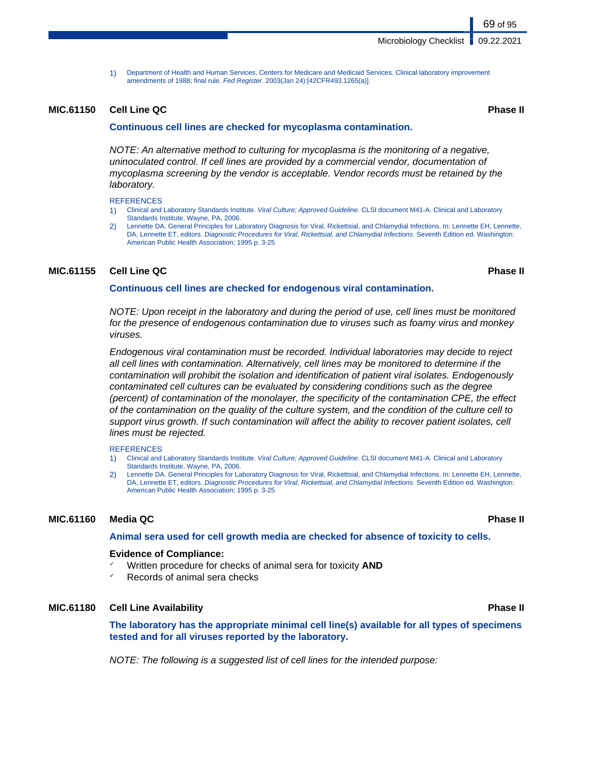1) Department of Health and Human Services, Centers for Medicare and Medicaid Services. Clinical laboratory improvement amendments of 1988; final rule. Fed Register. 2003(Jan 24):[42CFR493.1265(a)].

### **MIC.61150 Cell Line QC Phase II**

### **Continuous cell lines are checked for mycoplasma contamination.**

NOTE: An alternative method to culturing for mycoplasma is the monitoring of a negative, uninoculated control. If cell lines are provided by a commercial vendor, documentation of mycoplasma screening by the vendor is acceptable. Vendor records must be retained by the laboratory.

**REFERENCES** 

- 1) Clinical and Laboratory Standards Institute. Viral Culture; Approved Guideline. CLSI document M41-A. Clinical and Laboratory Standards Institute, Wayne, PA, 2006.
- 2) Lennette DA. General Principles for Laboratory Diagnosis for Viral, Rickettsial, and Chlamydial Infections. In: Lennette EH, Lennette, DA, Lennette ET, editors. Diagnostic Procedures for Viral, Rickettsial, and Chlamydial Infections. Seventh Edition ed. Washington: American Public Health Association; 1995 p. 3-25

### **MIC.61155 Cell Line QC Phase II**

### **Continuous cell lines are checked for endogenous viral contamination.**

NOTE: Upon receipt in the laboratory and during the period of use, cell lines must be monitored for the presence of endogenous contamination due to viruses such as foamy virus and monkey viruses.

Endogenous viral contamination must be recorded. Individual laboratories may decide to reject all cell lines with contamination. Alternatively, cell lines may be monitored to determine if the contamination will prohibit the isolation and identification of patient viral isolates. Endogenously contaminated cell cultures can be evaluated by considering conditions such as the degree (percent) of contamination of the monolayer, the specificity of the contamination CPE, the effect of the contamination on the quality of the culture system, and the condition of the culture cell to support virus growth. If such contamination will affect the ability to recover patient isolates, cell lines must be rejected.

### **REFERENCES**

- 1) Clinical and Laboratory Standards Institute. Viral Culture; Approved Guideline. CLSI document M41-A. Clinical and Laboratory Standards Institute, Wayne, PA, 2006.
- Lennette DA. General Principles for Laboratory Diagnosis for Viral, Rickettsial, and Chlamydial Infections. In: Lennette EH, Lennette, DA, Lennette ET, editors. Diagnostic Procedures for Viral, Rickettsial, and Chlamydial Infections. Seventh Edition ed. Washington: American Public Health Association; 1995 p. 3-25

### **MIC.61160 Media QC Phase II**

**Animal sera used for cell growth media are checked for absence of toxicity to cells.**

### **Evidence of Compliance:**

- Written procedure for checks of animal sera for toxicity **AND**
- Records of animal sera checks

### **MIC.61180 Cell Line Availability Phase II**

**The laboratory has the appropriate minimal cell line(s) available for all types of specimens tested and for all viruses reported by the laboratory.**

NOTE: The following is a suggested list of cell lines for the intended purpose: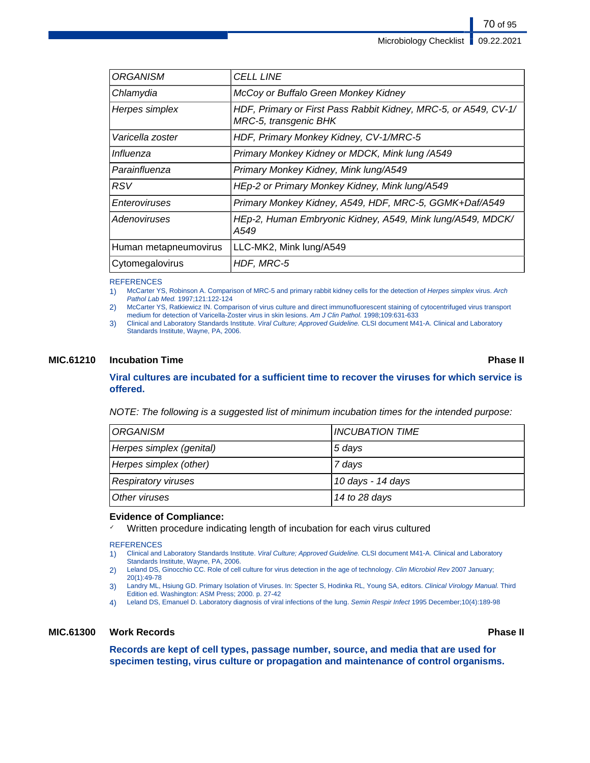| <b>ORGANISM</b>       | <b>CELL LINE</b>                                                                         |
|-----------------------|------------------------------------------------------------------------------------------|
| Chlamydia             | McCoy or Buffalo Green Monkey Kidney                                                     |
| Herpes simplex        | HDF, Primary or First Pass Rabbit Kidney, MRC-5, or A549, CV-1/<br>MRC-5, transgenic BHK |
| Varicella zoster      | HDF, Primary Monkey Kidney, CV-1/MRC-5                                                   |
| Influenza             | Primary Monkey Kidney or MDCK, Mink lung /A549                                           |
| Parainfluenza         | Primary Monkey Kidney, Mink lung/A549                                                    |
| <b>RSV</b>            | HEp-2 or Primary Monkey Kidney, Mink lung/A549                                           |
| Enteroviruses         | Primary Monkey Kidney, A549, HDF, MRC-5, GGMK+Daf/A549                                   |
| Adenoviruses          | HEp-2, Human Embryonic Kidney, A549, Mink lung/A549, MDCK/<br>A549                       |
| Human metapneumovirus | LLC-MK2, Mink lung/A549                                                                  |
| Cytomegalovirus       | HDF, MRC-5                                                                               |

### **REFERENCES**

1) McCarter YS, Robinson A. Comparison of MRC-5 and primary rabbit kidney cells for the detection of Herpes simplex virus. Arch Pathol Lab Med. 1997;121:122-124

2) McCarter YS, Ratkiewicz IN. Comparison of virus culture and direct immunofluorescent staining of cytocentrifuged virus transport medium for detection of Varicella-Zoster virus in skin lesions. Am J Clin Pathol. 1998;109:631-633

3) Clinical and Laboratory Standards Institute. Viral Culture; Approved Guideline. CLSI document M41-A. Clinical and Laboratory Standards Institute, Wayne, PA, 2006.

### **MIC.61210 Incubation Time Phase II**

### **Viral cultures are incubated for a sufficient time to recover the viruses for which service is offered.**

NOTE: The following is a suggested list of minimum incubation times for the intended purpose:

| <i><b>ORGANISM</b></i>     | <b>INCUBATION TIME</b> |
|----------------------------|------------------------|
| Herpes simplex (genital)   | 5 days                 |
| Herpes simplex (other)     | 7 days                 |
| <b>Respiratory viruses</b> | 10 days - 14 days      |
| Other viruses              | 14 to 28 days          |

### **Evidence of Compliance:**

Written procedure indicating length of incubation for each virus cultured

### **REFERENCES**

- 1) Clinical and Laboratory Standards Institute. Viral Culture; Approved Guideline. CLSI document M41-A. Clinical and Laboratory Standards Institute, Wayne, PA, 2006.
- 2) Leland DS, Ginocchio CC. Role of cell culture for virus detection in the age of technology. Clin Microbiol Rev 2007 January; 20(1):49-78
- 3) Landry ML, Hsiung GD. Primary Isolation of Viruses. In: Specter S, Hodinka RL, Young SA, editors. Clinical Virology Manual. Third Edition ed. Washington: ASM Press; 2000. p. 27-42
- 4) Leland DS, Emanuel D. Laboratory diagnosis of viral infections of the lung. Semin Respir Infect 1995 December;10(4):189-98

### **MIC.61300 Work Records Phase II**

**Records are kept of cell types, passage number, source, and media that are used for specimen testing, virus culture or propagation and maintenance of control organisms.**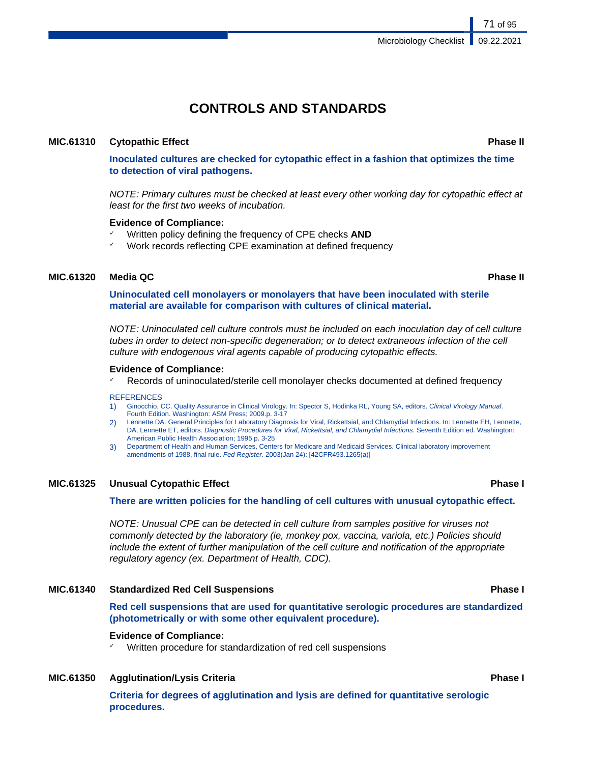71 of 95

# **CONTROLS AND STANDARDS**

### **MIC.61310 Cytopathic Effect Phase II**

**Inoculated cultures are checked for cytopathic effect in a fashion that optimizes the time to detection of viral pathogens.**

NOTE: Primary cultures must be checked at least every other working day for cytopathic effect at least for the first two weeks of incubation.

### **Evidence of Compliance:**

- ✓ Written policy defining the frequency of CPE checks **AND**
- Work records reflecting CPE examination at defined frequency

### **MIC.61320 Media QC Phase II**

**Uninoculated cell monolayers or monolayers that have been inoculated with sterile material are available for comparison with cultures of clinical material.**

NOTE: Uninoculated cell culture controls must be included on each inoculation day of cell culture tubes in order to detect non-specific degeneration; or to detect extraneous infection of the cell culture with endogenous viral agents capable of producing cytopathic effects.

### **Evidence of Compliance:**

Records of uninoculated/sterile cell monolayer checks documented at defined frequency

### **REFERENCES**

- 1) Ginocchio, CC. Quality Assurance in Clinical Virology. In: Spector S, Hodinka RL, Young SA, editors. Clinical Virology Manual. Fourth Edition. Washington: ASM Press; 2009.p. 3-17
- 2) Lennette DA. General Principles for Laboratory Diagnosis for Viral, Rickettsial, and Chlamydial Infections. In: Lennette EH, Lennette, DA, Lennette ET, editors. Diagnostic Procedures for Viral, Rickettsial, and Chlamydial Infections. Seventh Edition ed. Washington: American Public Health Association; 1995 p. 3-25
- 3) Department of Health and Human Services, Centers for Medicare and Medicaid Services. Clinical laboratory improvement amendments of 1988, final rule. Fed Register. 2003(Jan 24): [42CFR493.1265(a)]

### **MIC.61325 Unusual Cytopathic Effect Phase I**

### **There are written policies for the handling of cell cultures with unusual cytopathic effect.**

NOTE: Unusual CPE can be detected in cell culture from samples positive for viruses not commonly detected by the laboratory (ie, monkey pox, vaccina, variola, etc.) Policies should include the extent of further manipulation of the cell culture and notification of the appropriate regulatory agency (ex. Department of Health, CDC).

### **MIC.61340 Standardized Red Cell Suspensions Phase I**

**Red cell suspensions that are used for quantitative serologic procedures are standardized (photometrically or with some other equivalent procedure).**

### **Evidence of Compliance:**

Written procedure for standardization of red cell suspensions

### **MIC.61350 Agglutination/Lysis Criteria Phase I**

**Criteria for degrees of agglutination and lysis are defined for quantitative serologic procedures.**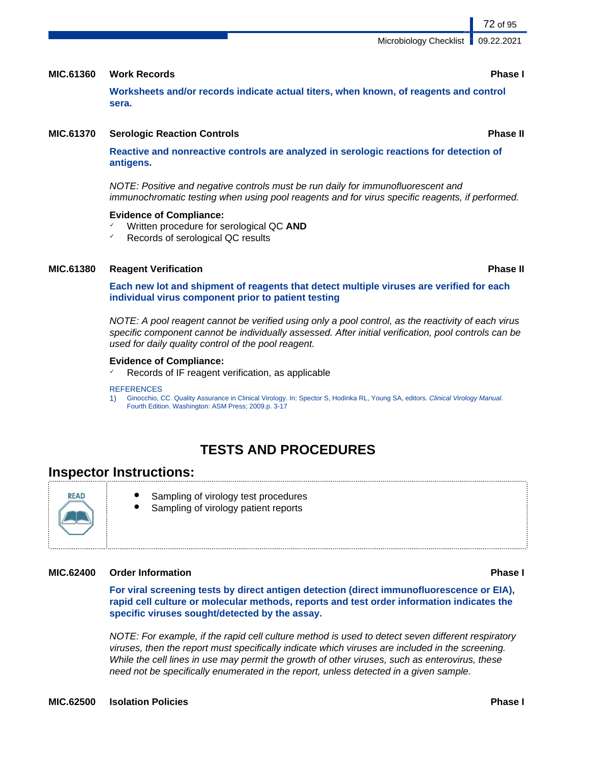### **MIC.61360 Work Records Phase I**

**Worksheets and/or records indicate actual titers, when known, of reagents and control sera.**

### **MIC.61370 Serologic Reaction Controls Phase II**

**Reactive and nonreactive controls are analyzed in serologic reactions for detection of antigens.**

NOTE: Positive and negative controls must be run daily for immunofluorescent and immunochromatic testing when using pool reagents and for virus specific reagents, if performed.

### **Evidence of Compliance:**

- ✓ Written procedure for serological QC **AND**
- Records of serological QC results

### **MIC.61380 Reagent Verification Phase II**

**Each new lot and shipment of reagents that detect multiple viruses are verified for each individual virus component prior to patient testing**

NOTE: A pool reagent cannot be verified using only a pool control, as the reactivity of each virus specific component cannot be individually assessed. After initial verification, pool controls can be used for daily quality control of the pool reagent.

### **Evidence of Compliance:**

 $\chi$  Records of IF reagent verification, as applicable

### **REFERENCES**

1) Ginocchio, CC. Quality Assurance in Clinical Virology. In: Spector S, Hodinka RL, Young SA, editors. Clinical Virology Manual. Fourth Edition. Washington: ASM Press; 2009.p. 3-17

# **TESTS AND PROCEDURES**

# **Inspector Instructions:**

**READ** 

- Sampling of virology test procedures
- Sampling of virology patient reports

### **MIC.62400 Order Information Phase I**

**For viral screening tests by direct antigen detection (direct immunofluorescence or EIA), rapid cell culture or molecular methods, reports and test order information indicates the specific viruses sought/detected by the assay.**

NOTE: For example, if the rapid cell culture method is used to detect seven different respiratory viruses, then the report must specifically indicate which viruses are included in the screening. While the cell lines in use may permit the growth of other viruses, such as enterovirus, these need not be specifically enumerated in the report, unless detected in a given sample.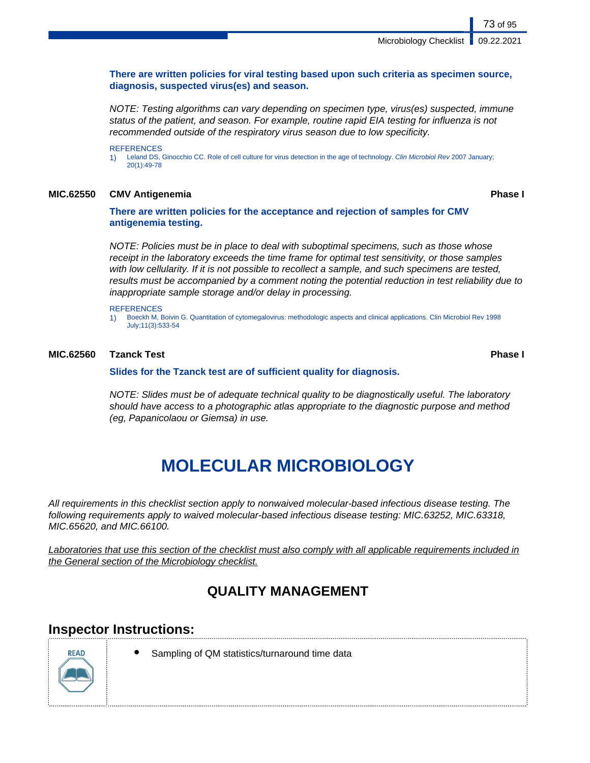# **There are written policies for viral testing based upon such criteria as specimen source, diagnosis, suspected virus(es) and season.**

NOTE: Testing algorithms can vary depending on specimen type, virus(es) suspected, immune status of the patient, and season. For example, routine rapid EIA testing for influenza is not recommended outside of the respiratory virus season due to low specificity.

**REFERENCES** 

1) Leland DS, Ginocchio CC. Role of cell culture for virus detection in the age of technology. Clin Microbiol Rev 2007 January; 20(1):49-78

# **MIC.62550 CMV Antigenemia Phase I**

# **There are written policies for the acceptance and rejection of samples for CMV antigenemia testing.**

NOTE: Policies must be in place to deal with suboptimal specimens, such as those whose receipt in the laboratory exceeds the time frame for optimal test sensitivity, or those samples with low cellularity. If it is not possible to recollect a sample, and such specimens are tested, results must be accompanied by a comment noting the potential reduction in test reliability due to inappropriate sample storage and/or delay in processing.

### **REFERENCES**

1) Boeckh M, Boivin G. Quantitation of cytomegalovirus: methodologic aspects and clinical applications. Clin Microbiol Rev 1998 July;11(3):533-54

# **MIC.62560 Tzanck Test Phase I**

**Slides for the Tzanck test are of sufficient quality for diagnosis.**

NOTE: Slides must be of adequate technical quality to be diagnostically useful. The laboratory should have access to a photographic atlas appropriate to the diagnostic purpose and method (eg, Papanicolaou or Giemsa) in use.

# **MOLECULAR MICROBIOLOGY**

All requirements in this checklist section apply to nonwaived molecular-based infectious disease testing. The following requirements apply to waived molecular-based infectious disease testing: MIC.63252, MIC.63318, MIC.65620, and MIC.66100.

Laboratories that use this section of the checklist must also comply with all applicable requirements included in the General section of the Microbiology checklist.

# **QUALITY MANAGEMENT**

# **Inspector Instructions:**



Sampling of QM statistics/turnaround time data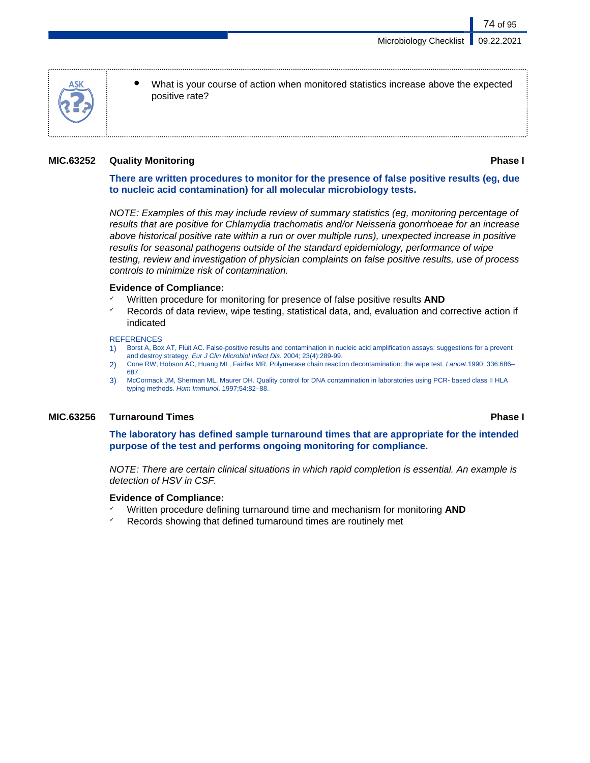- 
- What is your course of action when monitored statistics increase above the expected positive rate?

# **MIC.63252 Quality Monitoring Phase I**

74 of 95

# **There are written procedures to monitor for the presence of false positive results (eg, due to nucleic acid contamination) for all molecular microbiology tests.**

NOTE: Examples of this may include review of summary statistics (eg, monitoring percentage of results that are positive for Chlamydia trachomatis and/or Neisseria gonorrhoeae for an increase above historical positive rate within a run or over multiple runs), unexpected increase in positive results for seasonal pathogens outside of the standard epidemiology, performance of wipe testing, review and investigation of physician complaints on false positive results, use of process controls to minimize risk of contamination.

## **Evidence of Compliance:**

- ✓ Written procedure for monitoring for presence of false positive results **AND**
- Records of data review, wipe testing, statistical data, and, evaluation and corrective action if indicated

### **REFERENCES**

- 1) Borst A, Box AT, Fluit AC. False-positive results and contamination in nucleic acid amplification assays: suggestions for a prevent and destroy strategy. Eur J Clin Microbiol Infect Dis. 2004; 23(4):289-99.
- 2) Cone RW, Hobson AC, Huang ML, Fairfax MR. Polymerase chain reaction decontamination: the wipe test. Lancet.1990; 336:686– 687.
- 3) McCormack JM, Sherman ML, Maurer DH. Quality control for DNA contamination in laboratories using PCR- based class II HLA typing methods. Hum Immunol. 1997;54:82–88.

# **MIC.63256 Turnaround Times Phase I**

**The laboratory has defined sample turnaround times that are appropriate for the intended purpose of the test and performs ongoing monitoring for compliance.**

NOTE: There are certain clinical situations in which rapid completion is essential. An example is detection of HSV in CSF.

# **Evidence of Compliance:**

- ✓ Written procedure defining turnaround time and mechanism for monitoring **AND**
- $\sqrt{ }$  Records showing that defined turnaround times are routinely met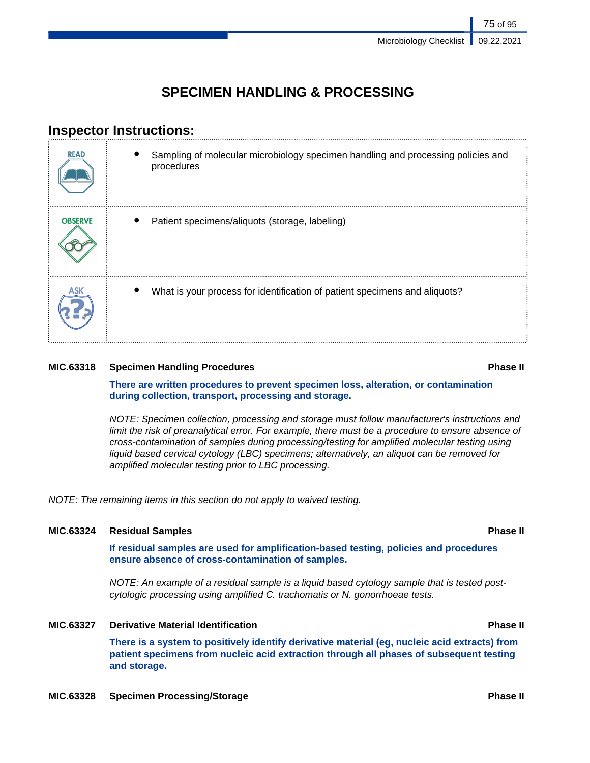# **SPECIMEN HANDLING & PROCESSING**

# **Inspector Instructions:**

| <b>READ</b>    | Sampling of molecular microbiology specimen handling and processing policies and<br>procedures |
|----------------|------------------------------------------------------------------------------------------------|
| <b>OBSERVE</b> | Patient specimens/aliquots (storage, labeling)                                                 |
|                | What is your process for identification of patient specimens and aliquots?                     |

# **MIC.63318 Specimen Handling Procedures Phase II**

**There are written procedures to prevent specimen loss, alteration, or contamination during collection, transport, processing and storage.**

NOTE: Specimen collection, processing and storage must follow manufacturer's instructions and limit the risk of preanalytical error. For example, there must be a procedure to ensure absence of cross-contamination of samples during processing/testing for amplified molecular testing using liquid based cervical cytology (LBC) specimens; alternatively, an aliquot can be removed for amplified molecular testing prior to LBC processing.

NOTE: The remaining items in this section do not apply to waived testing.

# **MIC.63324 Residual Samples Phase II**

**If residual samples are used for amplification-based testing, policies and procedures ensure absence of cross-contamination of samples.**

NOTE: An example of a residual sample is a liquid based cytology sample that is tested postcytologic processing using amplified C. trachomatis or N. gonorrhoeae tests.

# **MIC.63327 Derivative Material Identification Phase II**

**There is a system to positively identify derivative material (eg, nucleic acid extracts) from patient specimens from nucleic acid extraction through all phases of subsequent testing and storage.**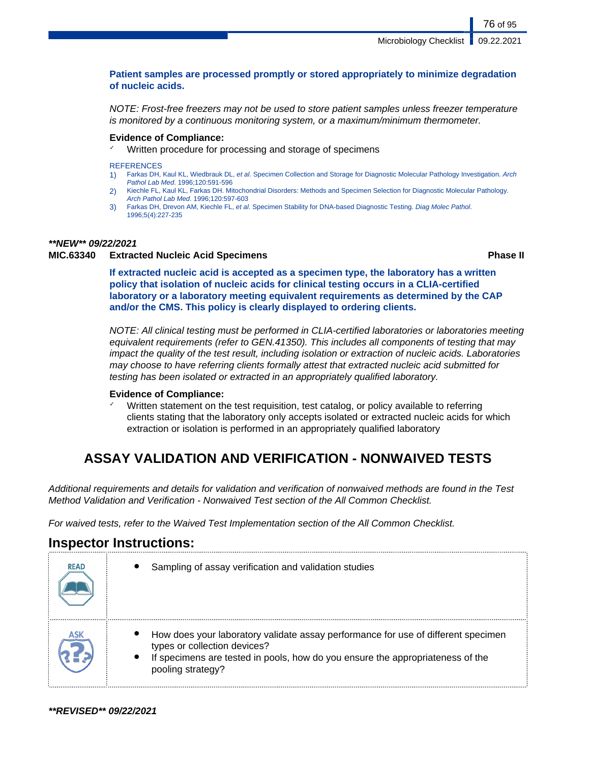# **Patient samples are processed promptly or stored appropriately to minimize degradation of nucleic acids.**

NOTE: Frost-free freezers may not be used to store patient samples unless freezer temperature is monitored by a continuous monitoring system, or a maximum/minimum thermometer.

## **Evidence of Compliance:**

✓ Written procedure for processing and storage of specimens

#### **REFERENCES**

- Farkas DH, Kaul KL, Wiedbrauk DL, et al. Specimen Collection and Storage for Diagnostic Molecular Pathology Investigation. Arch Pathol Lab Med. 1996;120:591-596
- 2) Kiechle FL, Kaul KL, Farkas DH. Mitochondrial Disorders: Methods and Specimen Selection for Diagnostic Molecular Pathology. Arch Pathol Lab Med. 1996;120:597-603
- 3) Farkas DH, Drevon AM, Kiechle FL, et al. Specimen Stability for DNA-based Diagnostic Testing. Diag Molec Pathol. 1996;5(4):227-235

# **\*\*NEW\*\* 09/22/2021**

# **MIC.63340 Extracted Nucleic Acid Specimens Phase II**

76 of 95

**If extracted nucleic acid is accepted as a specimen type, the laboratory has a written policy that isolation of nucleic acids for clinical testing occurs in a CLIA-certified laboratory or a laboratory meeting equivalent requirements as determined by the CAP and/or the CMS. This policy is clearly displayed to ordering clients.**

NOTE: All clinical testing must be performed in CLIA-certified laboratories or laboratories meeting equivalent requirements (refer to GEN.41350). This includes all components of testing that may impact the quality of the test result, including isolation or extraction of nucleic acids. Laboratories may choose to have referring clients formally attest that extracted nucleic acid submitted for testing has been isolated or extracted in an appropriately qualified laboratory.

### **Evidence of Compliance:**

Written statement on the test requisition, test catalog, or policy available to referring clients stating that the laboratory only accepts isolated or extracted nucleic acids for which extraction or isolation is performed in an appropriately qualified laboratory

# **ASSAY VALIDATION AND VERIFICATION - NONWAIVED TESTS**

Additional requirements and details for validation and verification of nonwaived methods are found in the Test Method Validation and Verification - Nonwaived Test section of the All Common Checklist.

For waived tests, refer to the Waived Test Implementation section of the All Common Checklist.

# **Inspector Instructions:**

| <b>READ</b> | Sampling of assay verification and validation studies                                                                                                                                                                    |
|-------------|--------------------------------------------------------------------------------------------------------------------------------------------------------------------------------------------------------------------------|
|             | How does your laboratory validate assay performance for use of different specimen<br>types or collection devices?<br>If specimens are tested in pools, how do you ensure the appropriateness of the<br>pooling strategy? |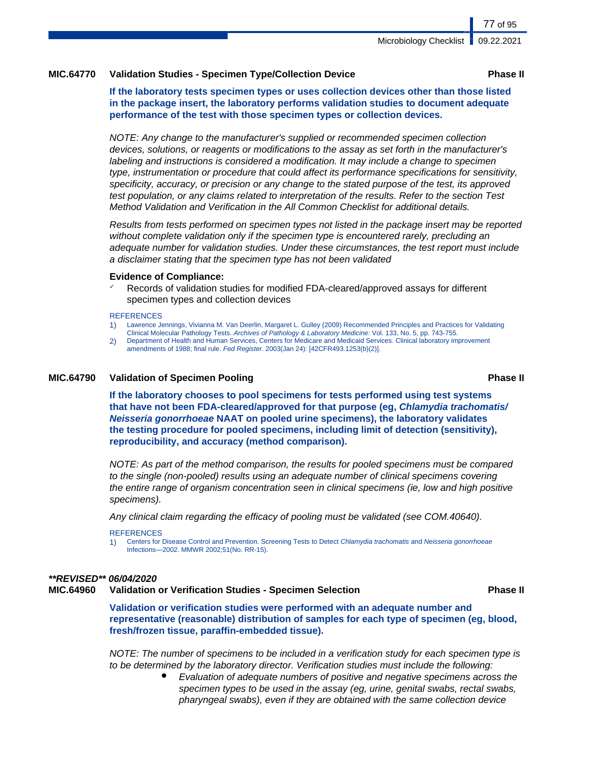## **MIC.64770 Validation Studies - Specimen Type/Collection Device Phase II**

**If the laboratory tests specimen types or uses collection devices other than those listed in the package insert, the laboratory performs validation studies to document adequate performance of the test with those specimen types or collection devices.**

NOTE: Any change to the manufacturer's supplied or recommended specimen collection devices, solutions, or reagents or modifications to the assay as set forth in the manufacturer's labeling and instructions is considered a modification. It may include a change to specimen type, instrumentation or procedure that could affect its performance specifications for sensitivity, specificity, accuracy, or precision or any change to the stated purpose of the test, its approved test population, or any claims related to interpretation of the results. Refer to the section Test Method Validation and Verification in the All Common Checklist for additional details.

Results from tests performed on specimen types not listed in the package insert may be reported without complete validation only if the specimen type is encountered rarely, precluding an adequate number for validation studies. Under these circumstances, the test report must include a disclaimer stating that the specimen type has not been validated

#### **Evidence of Compliance:**

Records of validation studies for modified FDA-cleared/approved assays for different specimen types and collection devices

#### **REFERENCES**

- 1) Lawrence Jennings, Vivianna M. Van Deerlin, Margaret L. Gulley (2009) Recommended Principles and Practices for Validating Clinical Molecular Pathology Tests. Archives of Pathology & Laboratory Medicine: Vol. 133, No. 5, pp. 743-755.
- 2) Department of Health and Human Services, Centers for Medicare and Medicaid Services. Clinical laboratory improvement amendments of 1988; final rule. Fed Register. 2003(Jan 24): [42CFR493.1253(b)(2)].

#### **MIC.64790 Validation of Specimen Pooling Phase II**

**If the laboratory chooses to pool specimens for tests performed using test systems that have not been FDA-cleared/approved for that purpose (eg, Chlamydia trachomatis/ Neisseria gonorrhoeae NAAT on pooled urine specimens), the laboratory validates the testing procedure for pooled specimens, including limit of detection (sensitivity), reproducibility, and accuracy (method comparison).**

NOTE: As part of the method comparison, the results for pooled specimens must be compared to the single (non-pooled) results using an adequate number of clinical specimens covering the entire range of organism concentration seen in clinical specimens (ie, low and high positive specimens).

Any clinical claim regarding the efficacy of pooling must be validated (see COM.40640).

#### **REFERENCES**

1) Centers for Disease Control and Prevention. Screening Tests to Detect Chlamydia trachomatis and Neisseria gonorrhoeae Infections—2002. MMWR 2002;51(No. RR-15).

### **\*\*REVISED\*\* 06/04/2020**

# **MIC.64960 Validation or Verification Studies - Specimen Selection Phase II**

**Validation or verification studies were performed with an adequate number and representative (reasonable) distribution of samples for each type of specimen (eg, blood, fresh/frozen tissue, paraffin-embedded tissue).**

NOTE: The number of specimens to be included in a verification study for each specimen type is to be determined by the laboratory director. Verification studies must include the following:

> Evaluation of adequate numbers of positive and negative specimens across the specimen types to be used in the assay (eg, urine, genital swabs, rectal swabs, pharyngeal swabs), even if they are obtained with the same collection device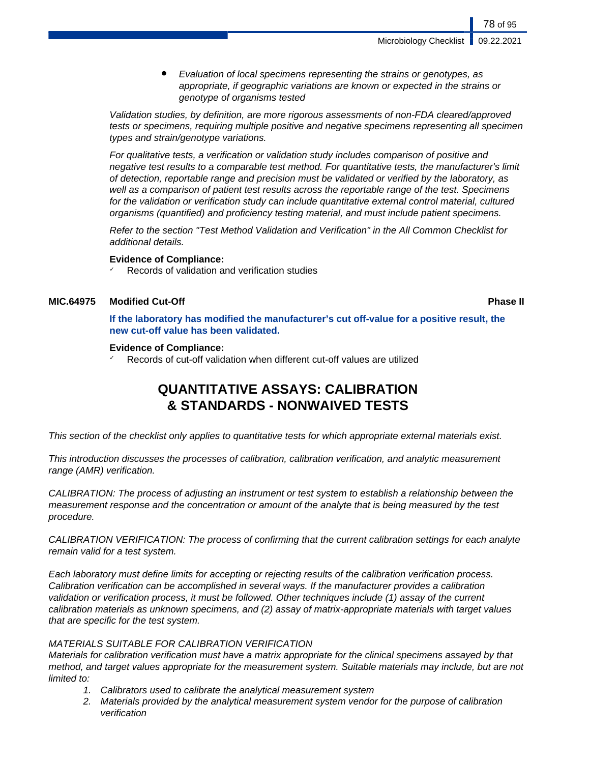Microbiology Checklist

78 of 95

Evaluation of local specimens representing the strains or genotypes, as appropriate, if geographic variations are known or expected in the strains or genotype of organisms tested

Validation studies, by definition, are more rigorous assessments of non-FDA cleared/approved tests or specimens, requiring multiple positive and negative specimens representing all specimen types and strain/genotype variations.

For qualitative tests, a verification or validation study includes comparison of positive and negative test results to a comparable test method. For quantitative tests, the manufacturer's limit of detection, reportable range and precision must be validated or verified by the laboratory, as well as a comparison of patient test results across the reportable range of the test. Specimens for the validation or verification study can include quantitative external control material, cultured organisms (quantified) and proficiency testing material, and must include patient specimens.

Refer to the section "Test Method Validation and Verification" in the All Common Checklist for additional details.

## **Evidence of Compliance:**

Records of validation and verification studies

# **MIC.64975 Modified Cut-Off Phase II**

**If the laboratory has modified the manufacturer's cut off-value for a positive result, the new cut-off value has been validated.**

### **Evidence of Compliance:**

Records of cut-off validation when different cut-off values are utilized

# **QUANTITATIVE ASSAYS: CALIBRATION & STANDARDS - NONWAIVED TESTS**

This section of the checklist only applies to quantitative tests for which appropriate external materials exist.

This introduction discusses the processes of calibration, calibration verification, and analytic measurement range (AMR) verification.

CALIBRATION: The process of adjusting an instrument or test system to establish a relationship between the measurement response and the concentration or amount of the analyte that is being measured by the test procedure.

CALIBRATION VERIFICATION: The process of confirming that the current calibration settings for each analyte remain valid for a test system.

Each laboratory must define limits for accepting or rejecting results of the calibration verification process. Calibration verification can be accomplished in several ways. If the manufacturer provides a calibration validation or verification process, it must be followed. Other techniques include (1) assay of the current calibration materials as unknown specimens, and (2) assay of matrix-appropriate materials with target values that are specific for the test system.

# MATERIALS SUITABLE FOR CALIBRATION VERIFICATION

Materials for calibration verification must have a matrix appropriate for the clinical specimens assayed by that method, and target values appropriate for the measurement system. Suitable materials may include, but are not limited to:

- 1. Calibrators used to calibrate the analytical measurement system
- 2. Materials provided by the analytical measurement system vendor for the purpose of calibration verification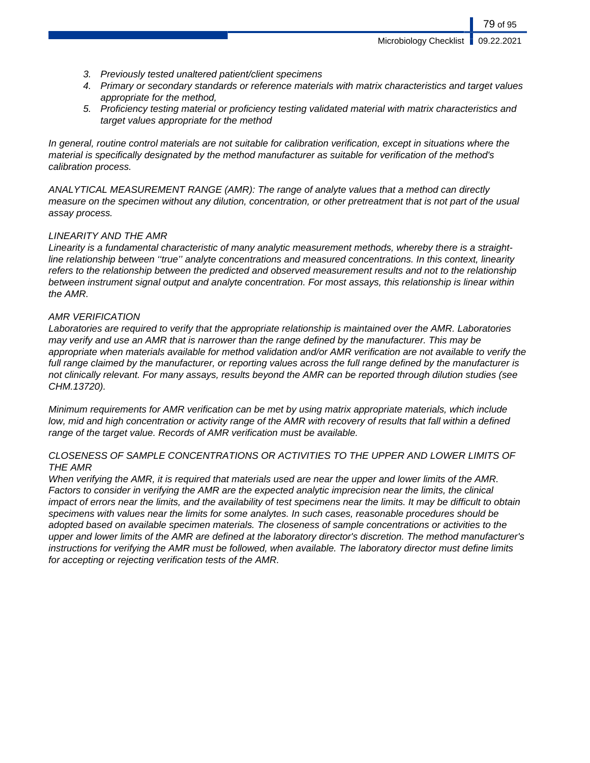- 3. Previously tested unaltered patient/client specimens
- 4. Primary or secondary standards or reference materials with matrix characteristics and target values appropriate for the method,
- 5. Proficiency testing material or proficiency testing validated material with matrix characteristics and target values appropriate for the method

In general, routine control materials are not suitable for calibration verification, except in situations where the material is specifically designated by the method manufacturer as suitable for verification of the method's calibration process.

ANALYTICAL MEASUREMENT RANGE (AMR): The range of analyte values that a method can directly measure on the specimen without any dilution, concentration, or other pretreatment that is not part of the usual assay process.

# LINEARITY AND THE AMR

Linearity is a fundamental characteristic of many analytic measurement methods, whereby there is a straightline relationship between ''true'' analyte concentrations and measured concentrations. In this context, linearity refers to the relationship between the predicted and observed measurement results and not to the relationship between instrument signal output and analyte concentration. For most assays, this relationship is linear within the AMR.

# AMR VERIFICATION

Laboratories are required to verify that the appropriate relationship is maintained over the AMR. Laboratories may verify and use an AMR that is narrower than the range defined by the manufacturer. This may be appropriate when materials available for method validation and/or AMR verification are not available to verify the full range claimed by the manufacturer, or reporting values across the full range defined by the manufacturer is not clinically relevant. For many assays, results beyond the AMR can be reported through dilution studies (see CHM.13720).

Minimum requirements for AMR verification can be met by using matrix appropriate materials, which include low, mid and high concentration or activity range of the AMR with recovery of results that fall within a defined range of the target value. Records of AMR verification must be available.

# CLOSENESS OF SAMPLE CONCENTRATIONS OR ACTIVITIES TO THE UPPER AND LOWER LIMITS OF THE AMR

When verifying the AMR, it is required that materials used are near the upper and lower limits of the AMR. Factors to consider in verifying the AMR are the expected analytic imprecision near the limits, the clinical impact of errors near the limits, and the availability of test specimens near the limits. It may be difficult to obtain specimens with values near the limits for some analytes. In such cases, reasonable procedures should be adopted based on available specimen materials. The closeness of sample concentrations or activities to the upper and lower limits of the AMR are defined at the laboratory director's discretion. The method manufacturer's instructions for verifying the AMR must be followed, when available. The laboratory director must define limits for accepting or rejecting verification tests of the AMR.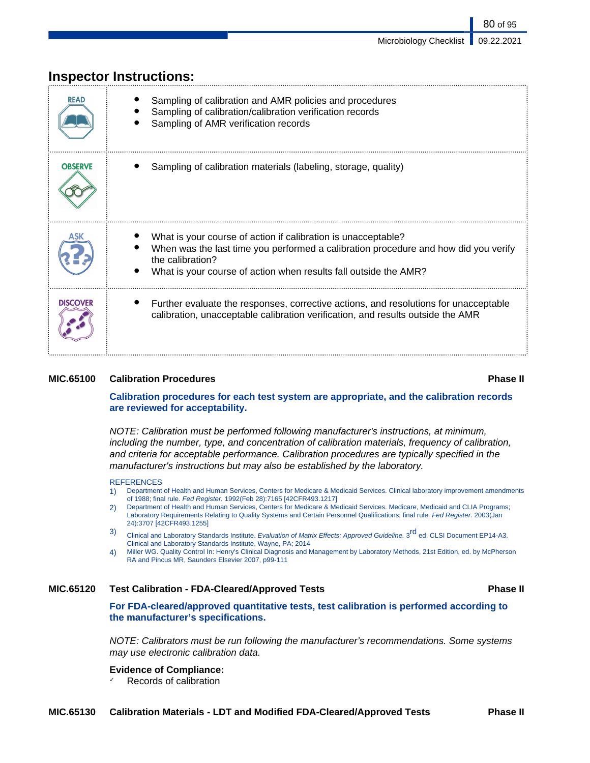| <b>READ</b>     | Sampling of calibration and AMR policies and procedures<br>Sampling of calibration/calibration verification records<br>Sampling of AMR verification records                                                                                  |
|-----------------|----------------------------------------------------------------------------------------------------------------------------------------------------------------------------------------------------------------------------------------------|
| <b>OBSERVE</b>  | Sampling of calibration materials (labeling, storage, quality)                                                                                                                                                                               |
|                 | What is your course of action if calibration is unacceptable?<br>When was the last time you performed a calibration procedure and how did you verify<br>the calibration?<br>What is your course of action when results fall outside the AMR? |
| <b>DISCOVER</b> | Further evaluate the responses, corrective actions, and resolutions for unacceptable<br>calibration, unacceptable calibration verification, and results outside the AMR                                                                      |

# **Inspector Instructions:**

## **MIC.65100 Calibration Procedures Phase II**

# **Calibration procedures for each test system are appropriate, and the calibration records are reviewed for acceptability.**

NOTE: Calibration must be performed following manufacturer's instructions, at minimum, including the number, type, and concentration of calibration materials, frequency of calibration, and criteria for acceptable performance. Calibration procedures are typically specified in the manufacturer's instructions but may also be established by the laboratory.

#### **REFERENCES**

- 1) Department of Health and Human Services, Centers for Medicare & Medicaid Services. Clinical laboratory improvement amendments of 1988; final rule. Fed Register. 1992(Feb 28):7165 [42CFR493.1217]
- 2) Department of Health and Human Services, Centers for Medicare & Medicaid Services. Medicare, Medicaid and CLIA Programs; Laboratory Requirements Relating to Quality Systems and Certain Personnel Qualifications; final rule. Fed Register. 2003(Jan 24):3707 [42CFR493.1255]
- 3) Clinical and Laboratory Standards Institute. Evaluation of Matrix Effects; Approved Guideline. 3<sup>rd</sup> ed. CLSI Document EP14-A3. Clinical and Laboratory Standards Institute, Wayne, PA; 2014
- 4) Miller WG. Quality Control In: Henry's Clinical Diagnosis and Management by Laboratory Methods, 21st Edition, ed. by McPherson RA and Pincus MR, Saunders Elsevier 2007, p99-111

# **MIC.65120 Test Calibration - FDA-Cleared/Approved Tests Phase II**

**For FDA-cleared/approved quantitative tests, test calibration is performed according to the manufacturer's specifications.**

NOTE: Calibrators must be run following the manufacturer's recommendations. Some systems may use electronic calibration data.

# **Evidence of Compliance:**

Records of calibration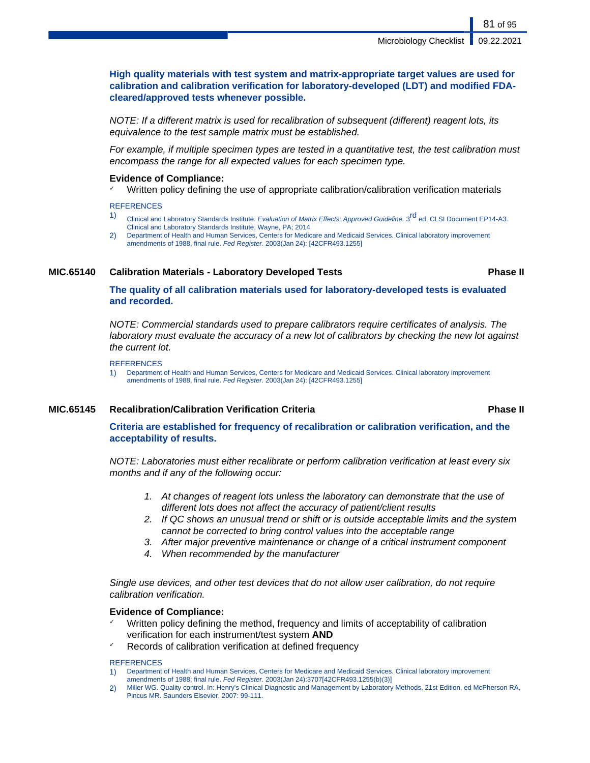**High quality materials with test system and matrix-appropriate target values are used for calibration and calibration verification for laboratory-developed (LDT) and modified FDAcleared/approved tests whenever possible.**

NOTE: If a different matrix is used for recalibration of subsequent (different) reagent lots, its equivalence to the test sample matrix must be established.

For example, if multiple specimen types are tested in a quantitative test, the test calibration must encompass the range for all expected values for each specimen type.

### **Evidence of Compliance:**

✓ Written policy defining the use of appropriate calibration/calibration verification materials

**REFERENCES** 

- 1) Clinical and Laboratory Standards Institute. Evaluation of Matrix Effects; Approved Guideline. 3<sup>rd</sup> ed. CLSI Document EP14-A3. Clinical and Laboratory Standards Institute, Wayne, PA; 2014
- 2) Department of Health and Human Services, Centers for Medicare and Medicaid Services. Clinical laboratory improvement amendments of 1988, final rule. Fed Register. 2003(Jan 24): [42CFR493.1255]

# **MIC.65140 Calibration Materials - Laboratory Developed Tests Phase II**

**The quality of all calibration materials used for laboratory-developed tests is evaluated and recorded.**

NOTE: Commercial standards used to prepare calibrators require certificates of analysis. The laboratory must evaluate the accuracy of a new lot of calibrators by checking the new lot against the current lot.

**REFERENCES** 

1) Department of Health and Human Services, Centers for Medicare and Medicaid Services. Clinical laboratory improvement amendments of 1988, final rule. Fed Register. 2003(Jan 24): [42CFR493.1255]

### **MIC.65145 Recalibration/Calibration Verification Criteria Phase II**

# **Criteria are established for frequency of recalibration or calibration verification, and the acceptability of results.**

NOTE: Laboratories must either recalibrate or perform calibration verification at least every six months and if any of the following occur:

- 1. At changes of reagent lots unless the laboratory can demonstrate that the use of different lots does not affect the accuracy of patient/client results
- 2. If QC shows an unusual trend or shift or is outside acceptable limits and the system cannot be corrected to bring control values into the acceptable range
- 3. After major preventive maintenance or change of a critical instrument component
- 4. When recommended by the manufacturer

Single use devices, and other test devices that do not allow user calibration, do not require calibration verification.

### **Evidence of Compliance:**

- Written policy defining the method, frequency and limits of acceptability of calibration verification for each instrument/test system **AND**
- Records of calibration verification at defined frequency

#### **REFERENCES**

- 1) Department of Health and Human Services, Centers for Medicare and Medicaid Services. Clinical laboratory improvement amendments of 1988; final rule. Fed Register. 2003(Jan 24):3707[42CFR493.1255(b)(3)]
- 2) Miller WG. Quality control. In: Henry's Clinical Diagnostic and Management by Laboratory Methods, 21st Edition, ed McPherson RA, Pincus MR. Saunders Elsevier, 2007: 99-111.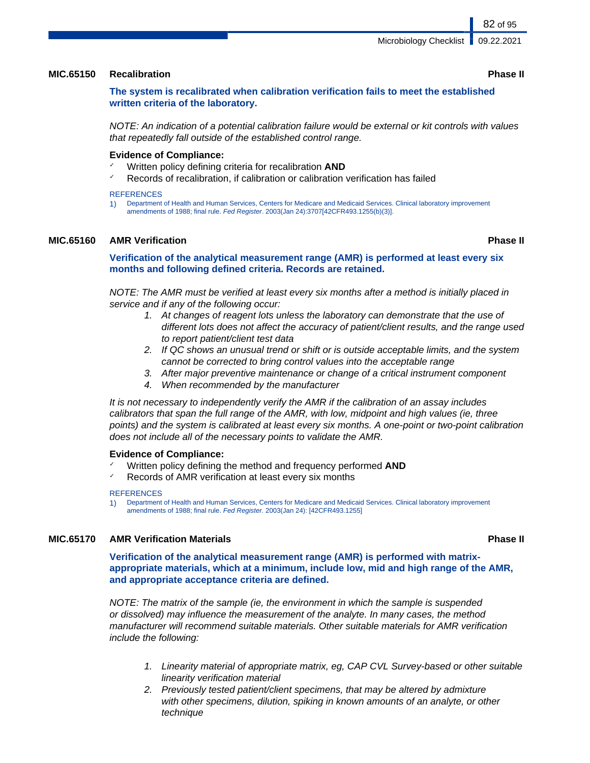### **MIC.65150 Recalibration Phase II**

# **The system is recalibrated when calibration verification fails to meet the established written criteria of the laboratory.**

NOTE: An indication of a potential calibration failure would be external or kit controls with values that repeatedly fall outside of the established control range.

### **Evidence of Compliance:**

- Written policy defining criteria for recalibration **AND**
- $\checkmark$  Records of recalibration, if calibration or calibration verification has failed

#### **REFERENCES**

1) Department of Health and Human Services, Centers for Medicare and Medicaid Services. Clinical laboratory improvement amendments of 1988; final rule. Fed Register. 2003(Jan 24):3707[42CFR493.1255(b)(3)].

## **MIC.65160 AMR Verification Phase II**

## **Verification of the analytical measurement range (AMR) is performed at least every six months and following defined criteria. Records are retained.**

NOTE: The AMR must be verified at least every six months after a method is initially placed in service and if any of the following occur:

- 1. At changes of reagent lots unless the laboratory can demonstrate that the use of different lots does not affect the accuracy of patient/client results, and the range used to report patient/client test data
- 2. If QC shows an unusual trend or shift or is outside acceptable limits, and the system cannot be corrected to bring control values into the acceptable range
- 3. After major preventive maintenance or change of a critical instrument component
- 4. When recommended by the manufacturer

It is not necessary to independently verify the AMR if the calibration of an assay includes calibrators that span the full range of the AMR, with low, midpoint and high values (ie, three points) and the system is calibrated at least every six months. A one-point or two-point calibration does not include all of the necessary points to validate the AMR.

#### **Evidence of Compliance:**

- ✓ Written policy defining the method and frequency performed **AND**
- Records of AMR verification at least every six months

#### **REFERENCES**

1) Department of Health and Human Services, Centers for Medicare and Medicaid Services. Clinical laboratory improvement amendments of 1988; final rule. Fed Register. 2003(Jan 24): [42CFR493.1255]

## **MIC.65170 AMR Verification Materials Phase II**

**Verification of the analytical measurement range (AMR) is performed with matrixappropriate materials, which at a minimum, include low, mid and high range of the AMR, and appropriate acceptance criteria are defined.**

NOTE: The matrix of the sample (ie, the environment in which the sample is suspended or dissolved) may influence the measurement of the analyte. In many cases, the method manufacturer will recommend suitable materials. Other suitable materials for AMR verification include the following:

- 1. Linearity material of appropriate matrix, eg, CAP CVL Survey-based or other suitable linearity verification material
- 2. Previously tested patient/client specimens, that may be altered by admixture with other specimens, dilution, spiking in known amounts of an analyte, or other technique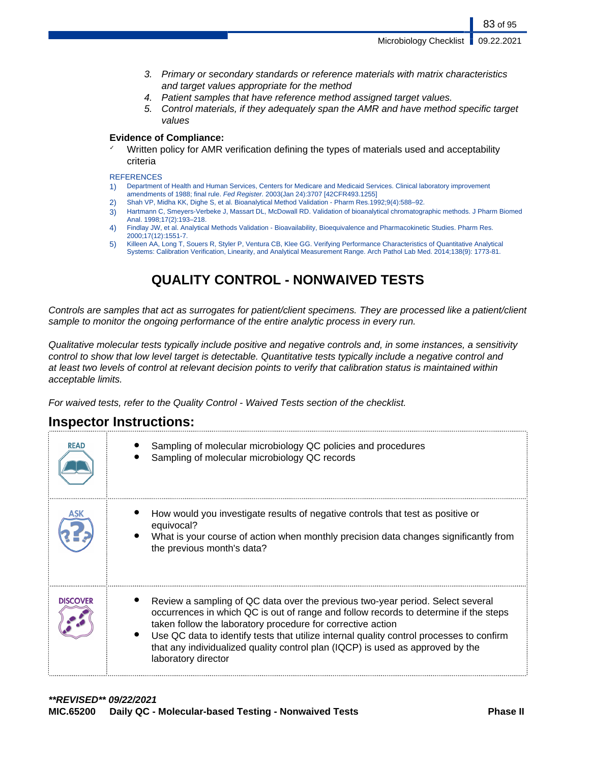Microbiology Checklist **1** 09.22.2021

83 of 95

- 3. Primary or secondary standards or reference materials with matrix characteristics and target values appropriate for the method
- 4. Patient samples that have reference method assigned target values.
- 5. Control materials, if they adequately span the AMR and have method specific target values

# **Evidence of Compliance:**

✓ Written policy for AMR verification defining the types of materials used and acceptability criteria

#### **REFERENCES**

- 1) Department of Health and Human Services, Centers for Medicare and Medicaid Services. Clinical laboratory improvement amendments of 1988; final rule. Fed Register. 2003(Jan 24):3707 [42CFR493.1255]
- 2) Shah VP, Midha KK, Dighe S, et al. Bioanalytical Method Validation Pharm Res.1992;9(4):588–92.
- 3) Hartmann C, Smeyers-Verbeke J, Massart DL, McDowall RD. Validation of bioanalytical chromatographic methods. J Pharm Biomed Anal. 1998;17(2):193–218.
- 4) Findlay JW, et al. Analytical Methods Validation Bioavailability, Bioequivalence and Pharmacokinetic Studies. Pharm Res. 2000;17(12):1551-7.
- 5) Killeen AA, Long T, Souers R, Styler P, Ventura CB, Klee GG. Verifying Performance Characteristics of Quantitative Analytical Systems: Calibration Verification, Linearity, and Analytical Measurement Range. Arch Pathol Lab Med. 2014;138(9): 1773-81.

# **QUALITY CONTROL - NONWAIVED TESTS**

Controls are samples that act as surrogates for patient/client specimens. They are processed like a patient/client sample to monitor the ongoing performance of the entire analytic process in every run.

Qualitative molecular tests typically include positive and negative controls and, in some instances, a sensitivity control to show that low level target is detectable. Quantitative tests typically include a negative control and at least two levels of control at relevant decision points to verify that calibration status is maintained within acceptable limits.

For waived tests, refer to the Quality Control - Waived Tests section of the checklist.

# **Inspector Instructions:**

| <b>READ</b>     | Sampling of molecular microbiology QC policies and procedures<br>Sampling of molecular microbiology QC records                                                                                                                                                                                                                                                                                                                             |
|-----------------|--------------------------------------------------------------------------------------------------------------------------------------------------------------------------------------------------------------------------------------------------------------------------------------------------------------------------------------------------------------------------------------------------------------------------------------------|
|                 | How would you investigate results of negative controls that test as positive or<br>equivocal?<br>What is your course of action when monthly precision data changes significantly from<br>the previous month's data?                                                                                                                                                                                                                        |
| <b>DISCOVER</b> | Review a sampling of QC data over the previous two-year period. Select several<br>occurrences in which QC is out of range and follow records to determine if the steps<br>taken follow the laboratory procedure for corrective action<br>Use QC data to identify tests that utilize internal quality control processes to confirm<br>that any individualized quality control plan (IQCP) is used as approved by the<br>laboratory director |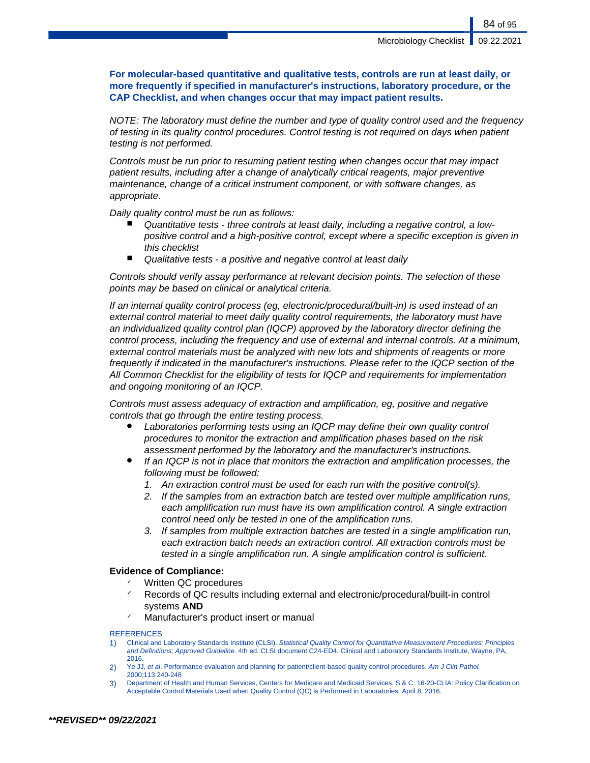**For molecular-based quantitative and qualitative tests, controls are run at least daily, or more frequently if specified in manufacturer's instructions, laboratory procedure, or the CAP Checklist, and when changes occur that may impact patient results.**

NOTE: The laboratory must define the number and type of quality control used and the frequency of testing in its quality control procedures. Control testing is not required on days when patient testing is not performed.

Controls must be run prior to resuming patient testing when changes occur that may impact patient results, including after a change of analytically critical reagents, major preventive maintenance, change of a critical instrument component, or with software changes, as appropriate.

Daily quality control must be run as follows:

- Quantitative tests three controls at least daily, including a negative control, a lowpositive control and a high-positive control, except where a specific exception is given in this checklist
- Qualitative tests a positive and negative control at least daily

Controls should verify assay performance at relevant decision points. The selection of these points may be based on clinical or analytical criteria.

If an internal quality control process (eg, electronic/procedural/built-in) is used instead of an external control material to meet daily quality control requirements, the laboratory must have an individualized quality control plan (IQCP) approved by the laboratory director defining the control process, including the frequency and use of external and internal controls. At a minimum, external control materials must be analyzed with new lots and shipments of reagents or more frequently if indicated in the manufacturer's instructions. Please refer to the IQCP section of the All Common Checklist for the eligibility of tests for IQCP and requirements for implementation and ongoing monitoring of an IQCP.

Controls must assess adequacy of extraction and amplification, eg, positive and negative controls that go through the entire testing process.

- Laboratories performing tests using an IQCP may define their own quality control procedures to monitor the extraction and amplification phases based on the risk assessment performed by the laboratory and the manufacturer's instructions.
- If an IQCP is not in place that monitors the extraction and amplification processes, the following must be followed:
	- 1. An extraction control must be used for each run with the positive control(s).
	- 2. If the samples from an extraction batch are tested over multiple amplification runs, each amplification run must have its own amplification control. A single extraction control need only be tested in one of the amplification runs.
	- 3. If samples from multiple extraction batches are tested in a single amplification run, each extraction batch needs an extraction control. All extraction controls must be tested in a single amplification run. A single amplification control is sufficient.

## **Evidence of Compliance:**

- Written QC procedures
- Records of QC results including external and electronic/procedural/built-in control systems **AND**
- Manufacturer's product insert or manual

#### **REFERENCES**

- 1) Clinical and Laboratory Standards Institute (CLSI). Statistical Quality Control for Quantitative Measurement Procedures: Principles and Definitions; Approved Guideline. 4th ed. CLSI document C24-ED4. Clinical and Laboratory Standards Institute, Wayne, PA, 2016.
- 2) Ye JJ, et al. Performance evaluation and planning for patient/client-based quality control procedures. Am J Clin Pathol. 2000;113:240-248
- 3) Department of Health and Human Services, Centers for Medicare and Medicaid Services. S & C: 16-20-CLIA: Policy Clarification on Acceptable Control Materials Used when Quality Control (QC) is Performed in Laboratories. April 8, 2016.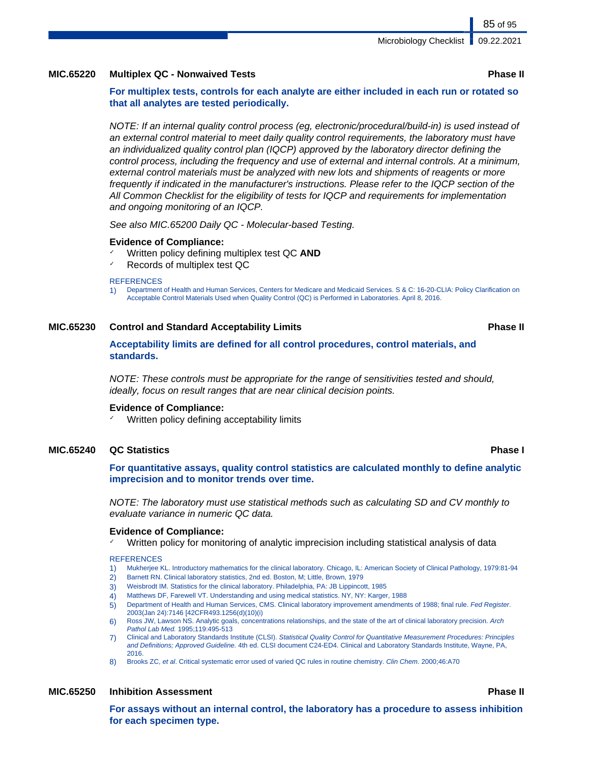# **MIC.65220 Multiplex QC - Nonwaived Tests Phase II**

**For multiplex tests, controls for each analyte are either included in each run or rotated so that all analytes are tested periodically.**

NOTE: If an internal quality control process (eg, electronic/procedural/build-in) is used instead of an external control material to meet daily quality control requirements, the laboratory must have an individualized quality control plan (IQCP) approved by the laboratory director defining the control process, including the frequency and use of external and internal controls. At a minimum, external control materials must be analyzed with new lots and shipments of reagents or more frequently if indicated in the manufacturer's instructions. Please refer to the IQCP section of the All Common Checklist for the eligibility of tests for IQCP and requirements for implementation and ongoing monitoring of an IQCP.

See also MIC.65200 Daily QC - Molecular-based Testing.

#### **Evidence of Compliance:**

- Written policy defining multiplex test QC AND
- Records of multiplex test QC

#### **REFERENCES**

1) Department of Health and Human Services, Centers for Medicare and Medicaid Services. S & C: 16-20-CLIA: Policy Clarification on Acceptable Control Materials Used when Quality Control (QC) is Performed in Laboratories. April 8, 2016.

#### **MIC.65230 Control and Standard Acceptability Limits Phase II**

## **Acceptability limits are defined for all control procedures, control materials, and standards.**

NOTE: These controls must be appropriate for the range of sensitivities tested and should, ideally, focus on result ranges that are near clinical decision points.

### **Evidence of Compliance:**

Written policy defining acceptability limits

### **MIC.65240 QC Statistics Phase I**

**For quantitative assays, quality control statistics are calculated monthly to define analytic imprecision and to monitor trends over time.**

NOTE: The laboratory must use statistical methods such as calculating SD and CV monthly to evaluate variance in numeric QC data.

#### **Evidence of Compliance:**

Written policy for monitoring of analytic imprecision including statistical analysis of data

#### **REFERENCES**

- 1) Mukherjee KL. Introductory mathematics for the clinical laboratory. Chicago, IL: American Society of Clinical Pathology, 1979:81-94
- 2) Barnett RN. Clinical laboratory statistics, 2nd ed. Boston, M; Little, Brown, 1979
- 3) Weisbrodt IM. Statistics for the clinical laboratory. Philadelphia, PA: JB Lippincott, 1985
- 4) Matthews DF, Farewell VT. Understanding and using medical statistics. NY, NY: Karger, 1988
- 5) Department of Health and Human Services, CMS. Clinical laboratory improvement amendments of 1988; final rule. Fed Register. 2003(Jan 24):7146 [42CFR493.1256(d)(10)(i)
- 6) Ross JW, Lawson NS. Analytic goals, concentrations relationships, and the state of the art of clinical laboratory precision. Arch Pathol Lab Med. 1995;119:495-513
- 7) Clinical and Laboratory Standards Institute (CLSI). Statistical Quality Control for Quantitative Measurement Procedures: Principles and Definitions; Approved Guideline. 4th ed. CLSI document C24-ED4. Clinical and Laboratory Standards Institute, Wayne, PA, 2016.
- 8) Brooks ZC, et al. Critical systematic error used of varied QC rules in routine chemistry. Clin Chem. 2000;46:A70

## **MIC.65250 Inhibition Assessment Phase II**

**For assays without an internal control, the laboratory has a procedure to assess inhibition for each specimen type.**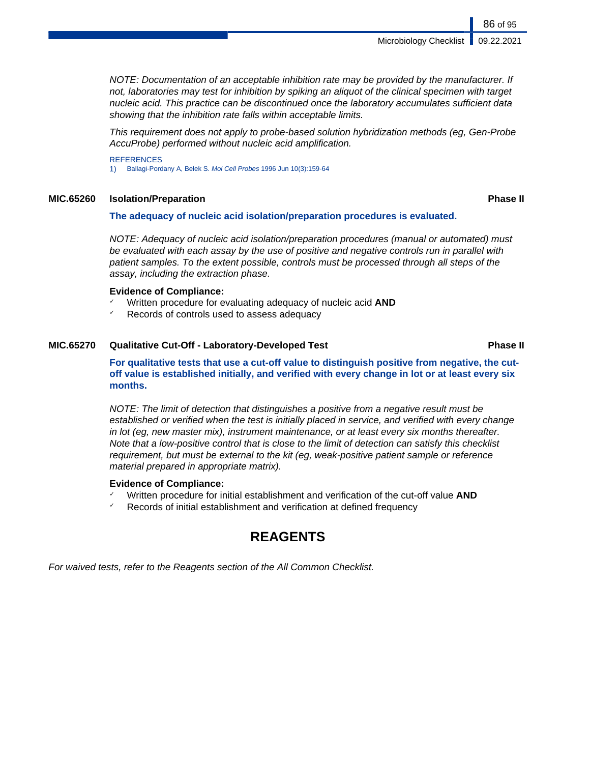Microbiology Checklist | 09.22.2021

NOTE: Documentation of an acceptable inhibition rate may be provided by the manufacturer. If not, laboratories may test for inhibition by spiking an aliquot of the clinical specimen with target nucleic acid. This practice can be discontinued once the laboratory accumulates sufficient data showing that the inhibition rate falls within acceptable limits.

This requirement does not apply to probe-based solution hybridization methods (eg, Gen-Probe AccuProbe) performed without nucleic acid amplification.

**REFERENCES** 1) Ballagi-Pordany A, Belek S. Mol Cell Probes 1996 Jun 10(3):159-64

## **MIC.65260 Isolation/Preparation Phase II**

### **The adequacy of nucleic acid isolation/preparation procedures is evaluated.**

NOTE: Adequacy of nucleic acid isolation/preparation procedures (manual or automated) must be evaluated with each assay by the use of positive and negative controls run in parallel with patient samples. To the extent possible, controls must be processed through all steps of the assay, including the extraction phase.

### **Evidence of Compliance:**

- ✓ Written procedure for evaluating adequacy of nucleic acid **AND**
- Records of controls used to assess adequacy

## **MIC.65270 Qualitative Cut-Off - Laboratory-Developed Test Phase II**

**For qualitative tests that use a cut-off value to distinguish positive from negative, the cutoff value is established initially, and verified with every change in lot or at least every six months.**

NOTE: The limit of detection that distinguishes a positive from a negative result must be established or verified when the test is initially placed in service, and verified with every change in lot (eg, new master mix), instrument maintenance, or at least every six months thereafter. Note that a low-positive control that is close to the limit of detection can satisfy this checklist requirement, but must be external to the kit (eg, weak-positive patient sample or reference material prepared in appropriate matrix).

#### **Evidence of Compliance:**

- ✓ Written procedure for initial establishment and verification of the cut-off value **AND**
- Records of initial establishment and verification at defined frequency

# **REAGENTS**

For waived tests, refer to the Reagents section of the All Common Checklist.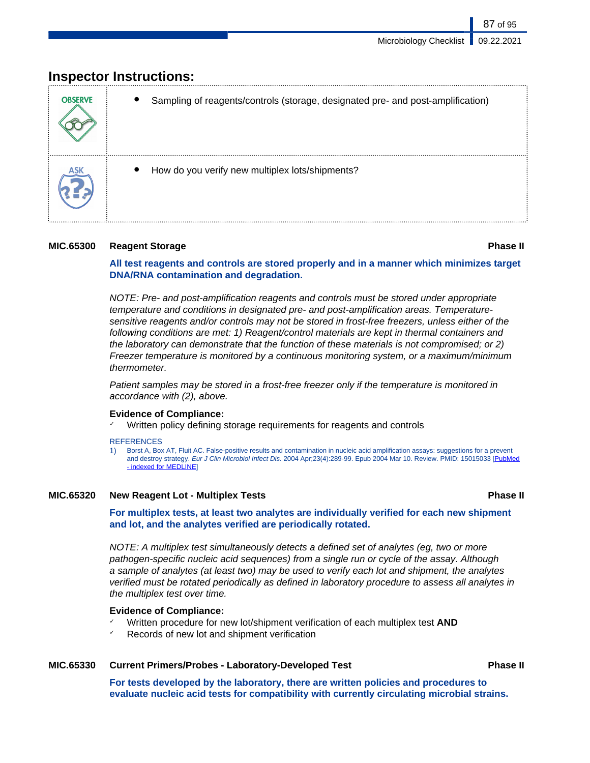# **Inspector Instructions:**

| <b>OBSERVE</b> | Sampling of reagents/controls (storage, designated pre- and post-amplification) |
|----------------|---------------------------------------------------------------------------------|
|                | How do you verify new multiplex lots/shipments?                                 |

# **MIC.65300 Reagent Storage Phase II**

87 of 95

**All test reagents and controls are stored properly and in a manner which minimizes target DNA/RNA contamination and degradation.**

NOTE: Pre- and post-amplification reagents and controls must be stored under appropriate temperature and conditions in designated pre- and post-amplification areas. Temperaturesensitive reagents and/or controls may not be stored in frost-free freezers, unless either of the following conditions are met: 1) Reagent/control materials are kept in thermal containers and the laboratory can demonstrate that the function of these materials is not compromised; or 2) Freezer temperature is monitored by a continuous monitoring system, or a maximum/minimum thermometer.

Patient samples may be stored in a frost-free freezer only if the temperature is monitored in accordance with (2), above.

# **Evidence of Compliance:**

Written policy defining storage requirements for reagents and controls

### **REFERENCES**

1) Borst A, Box AT, Fluit AC. False-positive results and contamination in nucleic acid amplification assays: suggestions for a prevent and destroy strategy. Eur J Clin Microbiol Infect Dis. 2004 Apr;23(4):289-99. Epub 2004 Mar 10. Review. PMID: 15015033 [\[PubMed](http://search.msn.com/results.aspx?srch=105&FORM=IE7RE&q=PubMed+-+indexed+for+MEDLINE) [- indexed for MEDLINE\]](http://search.msn.com/results.aspx?srch=105&FORM=IE7RE&q=PubMed+-+indexed+for+MEDLINE)

# **MIC.65320 New Reagent Lot - Multiplex Tests Phase II**

**For multiplex tests, at least two analytes are individually verified for each new shipment and lot, and the analytes verified are periodically rotated.**

NOTE: A multiplex test simultaneously detects a defined set of analytes (eg, two or more pathogen-specific nucleic acid sequences) from a single run or cycle of the assay. Although a sample of analytes (at least two) may be used to verify each lot and shipment, the analytes verified must be rotated periodically as defined in laboratory procedure to assess all analytes in the multiplex test over time.

# **Evidence of Compliance:**

- ✓ Written procedure for new lot/shipment verification of each multiplex test **AND**
- Records of new lot and shipment verification

# **MIC.65330 Current Primers/Probes - Laboratory-Developed Test Phase II**

**For tests developed by the laboratory, there are written policies and procedures to evaluate nucleic acid tests for compatibility with currently circulating microbial strains.**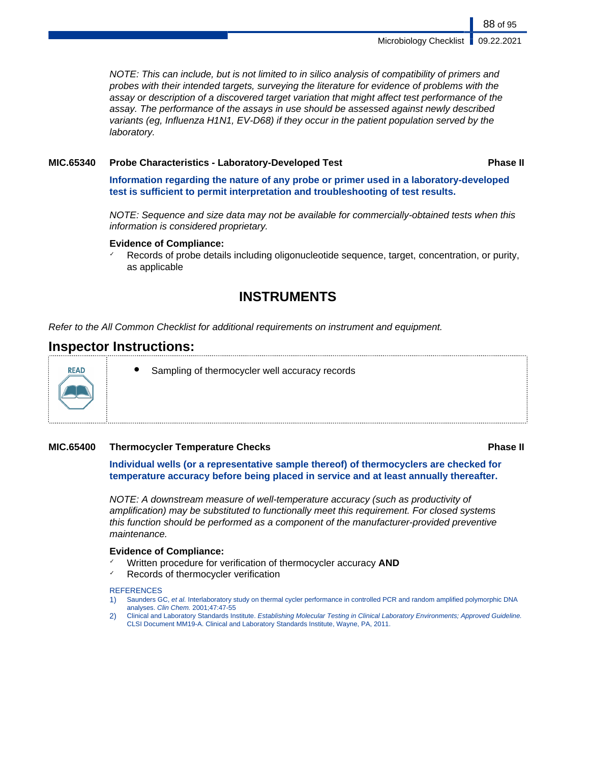NOTE: This can include, but is not limited to in silico analysis of compatibility of primers and probes with their intended targets, surveying the literature for evidence of problems with the assay or description of a discovered target variation that might affect test performance of the assay. The performance of the assays in use should be assessed against newly described variants (eg, Influenza H1N1, EV-D68) if they occur in the patient population served by the laboratory.

## **MIC.65340 Probe Characteristics - Laboratory-Developed Test Phase II**

**Information regarding the nature of any probe or primer used in a laboratory-developed test is sufficient to permit interpretation and troubleshooting of test results.**

NOTE: Sequence and size data may not be available for commercially-obtained tests when this information is considered proprietary.

### **Evidence of Compliance:**

Records of probe details including oligonucleotide sequence, target, concentration, or purity, as applicable

# **INSTRUMENTS**

Refer to the All Common Checklist for additional requirements on instrument and equipment.

# **Inspector Instructions:**



Sampling of thermocycler well accuracy records

# **MIC.65400 Thermocycler Temperature Checks Phase II**

**Individual wells (or a representative sample thereof) of thermocyclers are checked for temperature accuracy before being placed in service and at least annually thereafter.**

NOTE: A downstream measure of well-temperature accuracy (such as productivity of amplification) may be substituted to functionally meet this requirement. For closed systems this function should be performed as a component of the manufacturer-provided preventive maintenance.

### **Evidence of Compliance:**

- ✓ Written procedure for verification of thermocycler accuracy **AND**
- Records of thermocycler verification

#### **REFERENCES**

- 1) Saunders GC, et al. Interlaboratory study on thermal cycler performance in controlled PCR and random amplified polymorphic DNA analyses. Clin Chem. 2001;47:47-55
- 2) Clinical and Laboratory Standards Institute. Establishing Molecular Testing in Clinical Laboratory Environments; Approved Guideline. CLSI Document MM19-A. Clinical and Laboratory Standards Institute, Wayne, PA, 2011.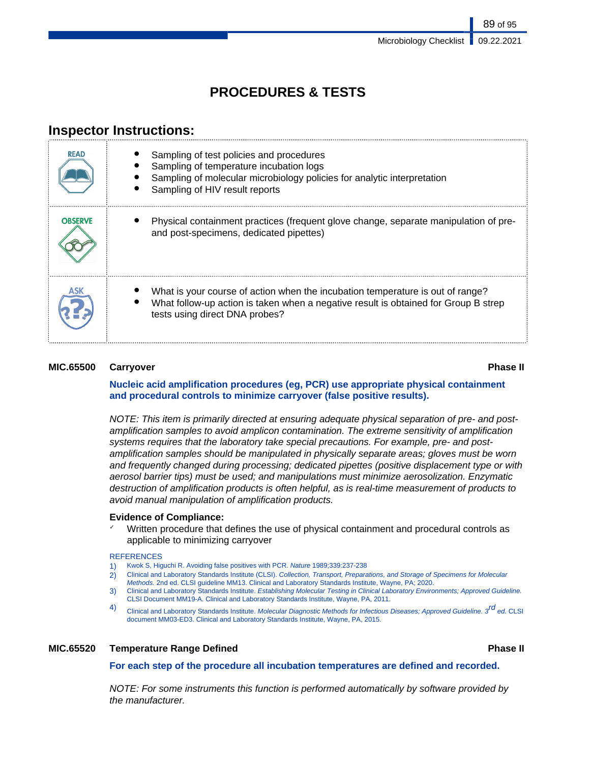# **PROCEDURES & TESTS**

# **Inspector Instructions:**

| <b>READ</b>    | Sampling of test policies and procedures<br>Sampling of temperature incubation logs<br>Sampling of molecular microbiology policies for analytic interpretation<br>Sampling of HIV result reports        |
|----------------|---------------------------------------------------------------------------------------------------------------------------------------------------------------------------------------------------------|
| <b>OBSERVE</b> | Physical containment practices (frequent glove change, separate manipulation of pre-<br>and post-specimens, dedicated pipettes)                                                                         |
|                | What is your course of action when the incubation temperature is out of range?<br>What follow-up action is taken when a negative result is obtained for Group B strep<br>tests using direct DNA probes? |

## **MIC.65500 Carryover Phase II**

# **Nucleic acid amplification procedures (eg, PCR) use appropriate physical containment and procedural controls to minimize carryover (false positive results).**

NOTE: This item is primarily directed at ensuring adequate physical separation of pre- and postamplification samples to avoid amplicon contamination. The extreme sensitivity of amplification systems requires that the laboratory take special precautions. For example, pre- and postamplification samples should be manipulated in physically separate areas; gloves must be worn and frequently changed during processing; dedicated pipettes (positive displacement type or with aerosol barrier tips) must be used; and manipulations must minimize aerosolization. Enzymatic destruction of amplification products is often helpful, as is real-time measurement of products to avoid manual manipulation of amplification products.

### **Evidence of Compliance:**

Written procedure that defines the use of physical containment and procedural controls as applicable to minimizing carryover

#### **REFERENCES**

- 1) Kwok S, Higuchi R. Avoiding false positives with PCR. Nature 1989;339:237-238
- 2) Clinical and Laboratory Standards Institute (CLSI). Collection, Transport, Preparations, and Storage of Specimens for Molecular Methods. 2nd ed. CLSI guideline MM13. Clinical and Laboratory Standards Institute, Wayne, PA; 2020.
- 3) Clinical and Laboratory Standards Institute. Establishing Molecular Testing in Clinical Laboratory Environments; Approved Guideline. CLSI Document MM19-A. Clinical and Laboratory Standards Institute, Wayne, PA, 2011.
- 4) Clinical and Laboratory Standards Institute. Molecular Diagnostic Methods for Infectious Diseases; Approved Guideline. 3<sup>rd</sup> ed. CLSI document MM03-ED3. Clinical and Laboratory Standards Institute, Wayne, PA, 2015.

# **MIC.65520 Temperature Range Defined Phase II**

**For each step of the procedure all incubation temperatures are defined and recorded.**

NOTE: For some instruments this function is performed automatically by software provided by the manufacturer.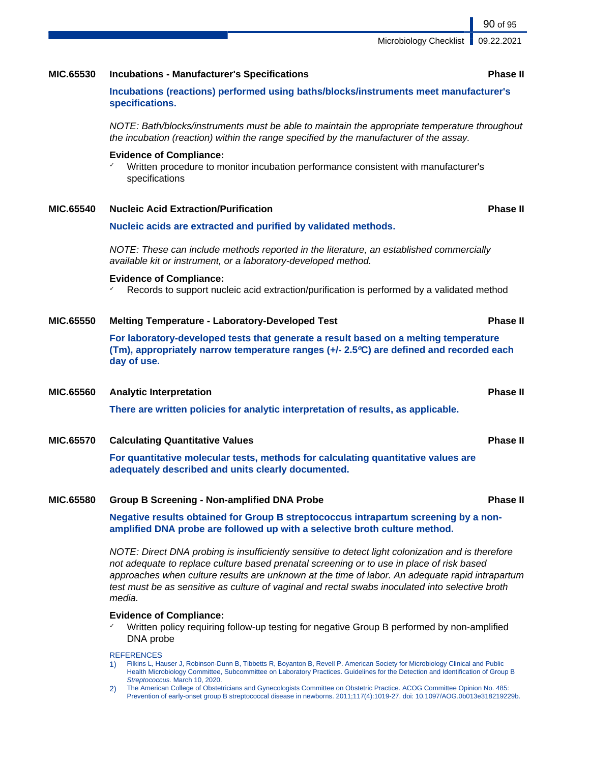Microbiology Checklist | 09.22.2021

# **MIC.65530 Incubations - Manufacturer's Specifications Phase II**

**Incubations (reactions) performed using baths/blocks/instruments meet manufacturer's specifications.**

NOTE: Bath/blocks/instruments must be able to maintain the appropriate temperature throughout the incubation (reaction) within the range specified by the manufacturer of the assay.

#### **Evidence of Compliance:**

✓ Written procedure to monitor incubation performance consistent with manufacturer's specifications

### **MIC.65540 Nucleic Acid Extraction/Purification Phase II**

## **Nucleic acids are extracted and purified by validated methods.**

NOTE: These can include methods reported in the literature, an established commercially available kit or instrument, or a laboratory-developed method.

### **Evidence of Compliance:**

 $\checkmark$  Records to support nucleic acid extraction/purification is performed by a validated method

## **MIC.65550 Melting Temperature - Laboratory-Developed Test Phase II**

**For laboratory-developed tests that generate a result based on a melting temperature (Tm), appropriately narrow temperature ranges (+/- 2.5ºC) are defined and recorded each day of use.**

# **MIC.65560 Analytic Interpretation Phase II**

**There are written policies for analytic interpretation of results, as applicable.**

# **MIC.65570 Calculating Quantitative Values Phase II**

**For quantitative molecular tests, methods for calculating quantitative values are adequately described and units clearly documented.**

# **MIC.65580 Group B Screening - Non-amplified DNA Probe Phase II**

**Negative results obtained for Group B streptococcus intrapartum screening by a nonamplified DNA probe are followed up with a selective broth culture method.**

NOTE: Direct DNA probing is insufficiently sensitive to detect light colonization and is therefore not adequate to replace culture based prenatal screening or to use in place of risk based approaches when culture results are unknown at the time of labor. An adequate rapid intrapartum test must be as sensitive as culture of vaginal and rectal swabs inoculated into selective broth media.

#### **Evidence of Compliance:**

Written policy requiring follow-up testing for negative Group B performed by non-amplified DNA probe

#### **REFERENCES**

- 1) Filkins L, Hauser J, Robinson-Dunn B, Tibbetts R, Boyanton B, Revell P. American Society for Microbiology Clinical and Public Health Microbiology Committee, Subcommittee on Laboratory Practices. Guidelines for the Detection and Identification of Group B Streptococcus. March 10, 2020.
- 2) The American College of Obstetricians and Gynecologists Committee on Obstetric Practice. ACOG Committee Opinion No. 485: Prevention of early-onset group B streptococcal disease in newborns. 2011;117(4):1019-27. doi: 10.1097/AOG.0b013e318219229b.

90 of 95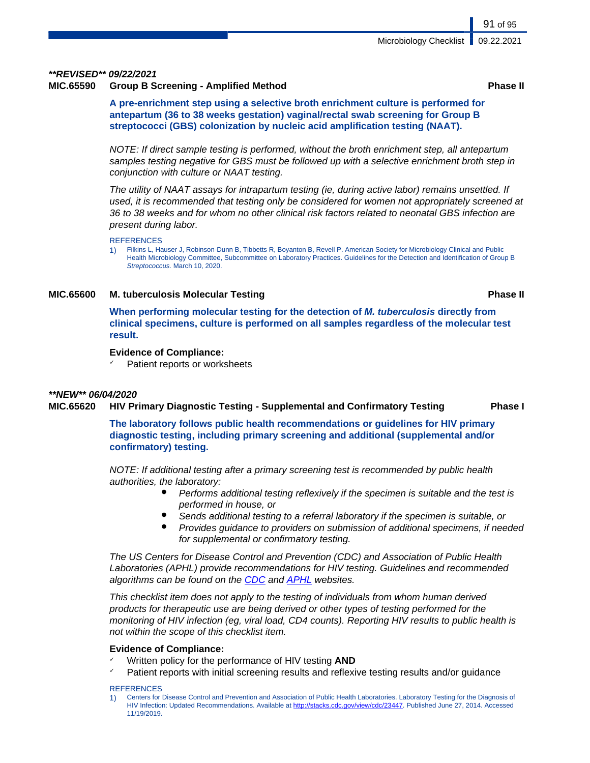# **\*\*REVISED\*\* 09/22/2021**

# **MIC.65590 Group B Screening - Amplified Method Phase II**

**A pre-enrichment step using a selective broth enrichment culture is performed for antepartum (36 to 38 weeks gestation) vaginal/rectal swab screening for Group B streptococci (GBS) colonization by nucleic acid amplification testing (NAAT).**

NOTE: If direct sample testing is performed, without the broth enrichment step, all antepartum samples testing negative for GBS must be followed up with a selective enrichment broth step in conjunction with culture or NAAT testing.

The utility of NAAT assays for intrapartum testing (ie, during active labor) remains unsettled. If used, it is recommended that testing only be considered for women not appropriately screened at 36 to 38 weeks and for whom no other clinical risk factors related to neonatal GBS infection are present during labor.

#### **REFERENCES**

1) Filkins L, Hauser J, Robinson-Dunn B, Tibbetts R, Boyanton B, Revell P. American Society for Microbiology Clinical and Public Health Microbiology Committee, Subcommittee on Laboratory Practices. Guidelines for the Detection and Identification of Group B Streptococcus. March 10, 2020.

## **MIC.65600 M. tuberculosis Molecular Testing Phase II**

**When performing molecular testing for the detection of M. tuberculosis directly from clinical specimens, culture is performed on all samples regardless of the molecular test result.**

### **Evidence of Compliance:**

Patient reports or worksheets

### **\*\*NEW\*\* 06/04/2020**

## **MIC.65620 HIV Primary Diagnostic Testing - Supplemental and Confirmatory Testing Phase I**

**The laboratory follows public health recommendations or guidelines for HIV primary diagnostic testing, including primary screening and additional (supplemental and/or confirmatory) testing.**

NOTE: If additional testing after a primary screening test is recommended by public health authorities, the laboratory:

- Performs additional testing reflexively if the specimen is suitable and the test is performed in house, or
- Sends additional testing to a referral laboratory if the specimen is suitable, or
- Provides guidance to providers on submission of additional specimens, if needed for supplemental or confirmatory testing.

The US Centers for Disease Control and Prevention (CDC) and Association of Public Health Laboratories (APHL) provide recommendations for HIV testing. Guidelines and recommended algorithms can be found on the [CDC](https://www.cdc.gov/hiv/guidelines/testing.html) and [APHL](https://www.aphl.org/programs/infectious_disease/Pages/HIV.aspx) websites.

This checklist item does not apply to the testing of individuals from whom human derived products for therapeutic use are being derived or other types of testing performed for the monitoring of HIV infection (eg, viral load, CD4 counts). Reporting HIV results to public health is not within the scope of this checklist item.

### **Evidence of Compliance:**

- Written policy for the performance of HIV testing **AND**
- Patient reports with initial screening results and reflexive testing results and/or guidance

#### **REFERENCES**

91 of 95

<sup>1)</sup> Centers for Disease Control and Prevention and Association of Public Health Laboratories. Laboratory Testing for the Diagnosis of HIV Infection: Updated Recommendations. Available at <http://stacks.cdc.gov/view/cdc/23447>. Published June 27, 2014. Accessed 11/19/2019.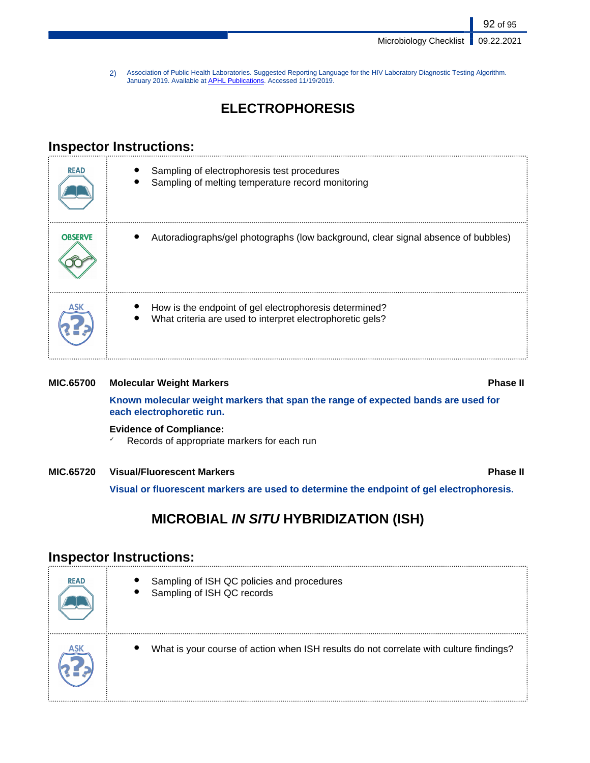Microbiology Checklist | 09.22.2021

92 of 95

2) Association of Public Health Laboratories. Suggested Reporting Language for the HIV Laboratory Diagnostic Testing Algorithm.<br>January 2019. Available at <u>APHL Publications</u>. Accessed 11/19/2019.

# **ELECTROPHORESIS**

# **Inspector Instructions:**

| <b>READ</b>    | Sampling of electrophoresis test procedures<br>Sampling of melting temperature record monitoring                    |
|----------------|---------------------------------------------------------------------------------------------------------------------|
| <b>OBSERVE</b> | Autoradiographs/gel photographs (low background, clear signal absence of bubbles)                                   |
|                | How is the endpoint of gel electrophoresis determined?<br>What criteria are used to interpret electrophoretic gels? |

# **MIC.65700 Molecular Weight Markers Phase II Known molecular weight markers that span the range of expected bands are used for each electrophoretic run. Evidence of Compliance:**

✓ Records of appropriate markers for each run

# **MIC.65720 Visual/Fluorescent Markers Phase II**

**Visual or fluorescent markers are used to determine the endpoint of gel electrophoresis.**

# **MICROBIAL IN SITU HYBRIDIZATION (ISH)**

# **Inspector Instructions:**

| <b>READ</b> | Sampling of ISH QC policies and procedures<br>Sampling of ISH QC records               |
|-------------|----------------------------------------------------------------------------------------|
|             | What is your course of action when ISH results do not correlate with culture findings? |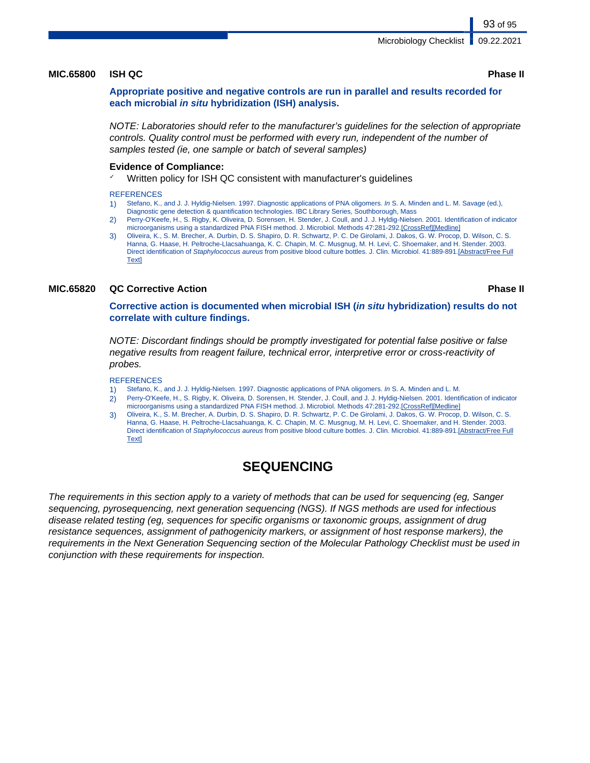#### **MIC.65800 ISH QC Phase II**

**Appropriate positive and negative controls are run in parallel and results recorded for each microbial in situ hybridization (ISH) analysis.**

NOTE: Laboratories should refer to the manufacturer's guidelines for the selection of appropriate controls. Quality control must be performed with every run, independent of the number of samples tested (ie, one sample or batch of several samples)

### **Evidence of Compliance:**

Written policy for ISH QC consistent with manufacturer's quidelines

#### **REFERENCES**

- 1) Stefano, K., and J. J. Hyldig-Nielsen. 1997. Diagnostic applications of PNA oligomers. In S. A. Minden and L. M. Savage (ed.),
- Diagnostic gene detection & quantification technologies. IBC Library Series, Southborough, Mass
- 2) Perry-O'Keefe, H., S. Rigby, K. Oliveira, D. Sorensen, H. Stender, J. Coull, and J. J. Hyldig-Nielsen. 2001. Identification of indicator microorganisms using a standardized PNA FISH method. J. Microbiol. Methods 47:281-292.[CrossRef][Medline]
- 3) Oliveira, K., S. M. Brecher, A. Durbin, D. S. Shapiro, D. R. Schwartz, P. C. De Girolami, J. Dakos, G. W. Procop, D. Wilson, C. S. Hanna, G. Haase, H. Peltroche-Llacsahuanga, K. C. Chapin, M. C. Musgnug, M. H. Levi, C. Shoemaker, and H. Stender. 2003. Direct identification of Staphylococcus aureus from positive blood culture bottles. J. Clin. Microbiol. 41:889-891.[Abstract/Free Full **Textl**

# **MIC.65820 QC Corrective Action Phase II**

**Corrective action is documented when microbial ISH (in situ hybridization) results do not correlate with culture findings.**

NOTE: Discordant findings should be promptly investigated for potential false positive or false negative results from reagent failure, technical error, interpretive error or cross-reactivity of probes.

#### **REFERENCES**

- 1) Stefano, K., and J. J. Hyldig-Nielsen. 1997. Diagnostic applications of PNA oligomers. In S. A. Minden and L. M.
- 2) Perry-O'Keefe, H., S. Rigby, K. Oliveira, D. Sorensen, H. Stender, J. Coull, and J. J. Hyldig-Nielsen. 2001. Identification of indicator microorganisms using a standardized PNA FISH method. J. Microbiol. Methods 47:281-292.[CrossRef][Medline]
- 3) Oliveira, K., S. M. Brecher, A. Durbin, D. S. Shapiro, D. R. Schwartz, P. C. De Girolami, J. Dakos, G. W. Procop, D. Wilson, C. S. Hanna, G. Haase, H. Peltroche-Llacsahuanga, K. C. Chapin, M. C. Musgnug, M. H. Levi, C. Shoemaker, and H. Stender. 2003. Direct identification of Staphylococcus aureus from positive blood culture bottles. J. Clin. Microbiol. 41:889-891.[Abstract/Free Full Text]

# **SEQUENCING**

The requirements in this section apply to a variety of methods that can be used for sequencing (eg, Sanger sequencing, pyrosequencing, next generation sequencing (NGS). If NGS methods are used for infectious disease related testing (eg, sequences for specific organisms or taxonomic groups, assignment of drug resistance sequences, assignment of pathogenicity markers, or assignment of host response markers), the requirements in the Next Generation Sequencing section of the Molecular Pathology Checklist must be used in conjunction with these requirements for inspection.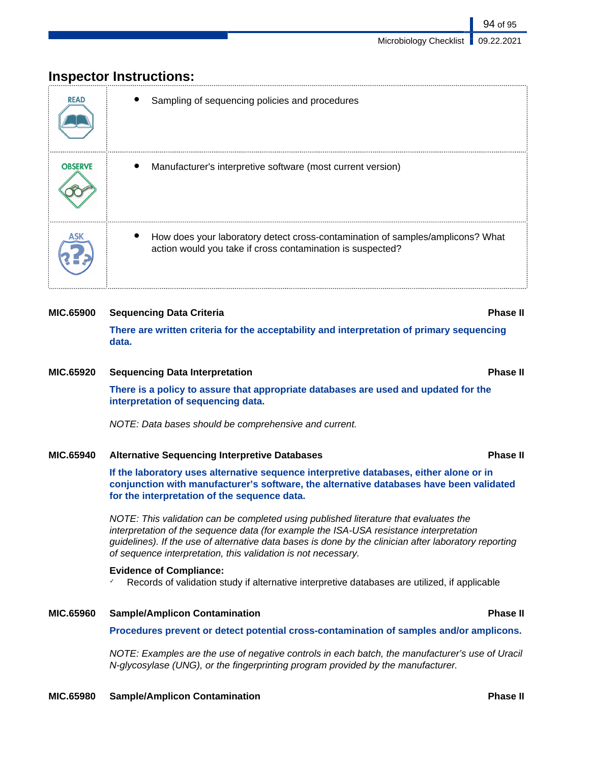# **Inspector Instructions:**

| <b>READ</b>    | Sampling of sequencing policies and procedures                                                                                               |
|----------------|----------------------------------------------------------------------------------------------------------------------------------------------|
| <b>OBSERVE</b> | Manufacturer's interpretive software (most current version)                                                                                  |
|                | How does your laboratory detect cross-contamination of samples/amplicons? What<br>action would you take if cross contamination is suspected? |

# **MIC.65900 Sequencing Data Criteria Phase II**

**There are written criteria for the acceptability and interpretation of primary sequencing data.**

# **MIC.65920 Sequencing Data Interpretation Phase II**

**There is a policy to assure that appropriate databases are used and updated for the interpretation of sequencing data.**

NOTE: Data bases should be comprehensive and current.

# **MIC.65940 Alternative Sequencing Interpretive Databases Phase II**

**If the laboratory uses alternative sequence interpretive databases, either alone or in conjunction with manufacturer's software, the alternative databases have been validated for the interpretation of the sequence data.**

NOTE: This validation can be completed using published literature that evaluates the interpretation of the sequence data (for example the ISA-USA resistance interpretation guidelines). If the use of alternative data bases is done by the clinician after laboratory reporting of sequence interpretation, this validation is not necessary.

# **Evidence of Compliance:**

Records of validation study if alternative interpretive databases are utilized, if applicable

# **MIC.65960 Sample/Amplicon Contamination Phase II**

**Procedures prevent or detect potential cross-contamination of samples and/or amplicons.**

NOTE: Examples are the use of negative controls in each batch, the manufacturer's use of Uracil N-glycosylase (UNG), or the fingerprinting program provided by the manufacturer.